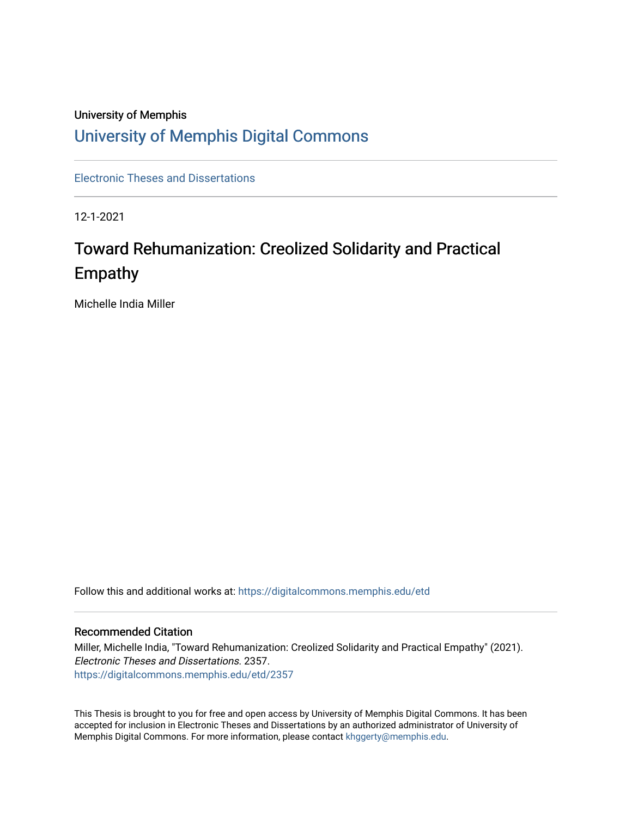# University of Memphis [University of Memphis Digital Commons](https://digitalcommons.memphis.edu/)

[Electronic Theses and Dissertations](https://digitalcommons.memphis.edu/etd)

12-1-2021

# Toward Rehumanization: Creolized Solidarity and Practical Empathy

Michelle India Miller

Follow this and additional works at: [https://digitalcommons.memphis.edu/etd](https://digitalcommons.memphis.edu/etd?utm_source=digitalcommons.memphis.edu%2Fetd%2F2357&utm_medium=PDF&utm_campaign=PDFCoverPages) 

## Recommended Citation

Miller, Michelle India, "Toward Rehumanization: Creolized Solidarity and Practical Empathy" (2021). Electronic Theses and Dissertations. 2357. [https://digitalcommons.memphis.edu/etd/2357](https://digitalcommons.memphis.edu/etd/2357?utm_source=digitalcommons.memphis.edu%2Fetd%2F2357&utm_medium=PDF&utm_campaign=PDFCoverPages) 

This Thesis is brought to you for free and open access by University of Memphis Digital Commons. It has been accepted for inclusion in Electronic Theses and Dissertations by an authorized administrator of University of Memphis Digital Commons. For more information, please contact [khggerty@memphis.edu.](mailto:khggerty@memphis.edu)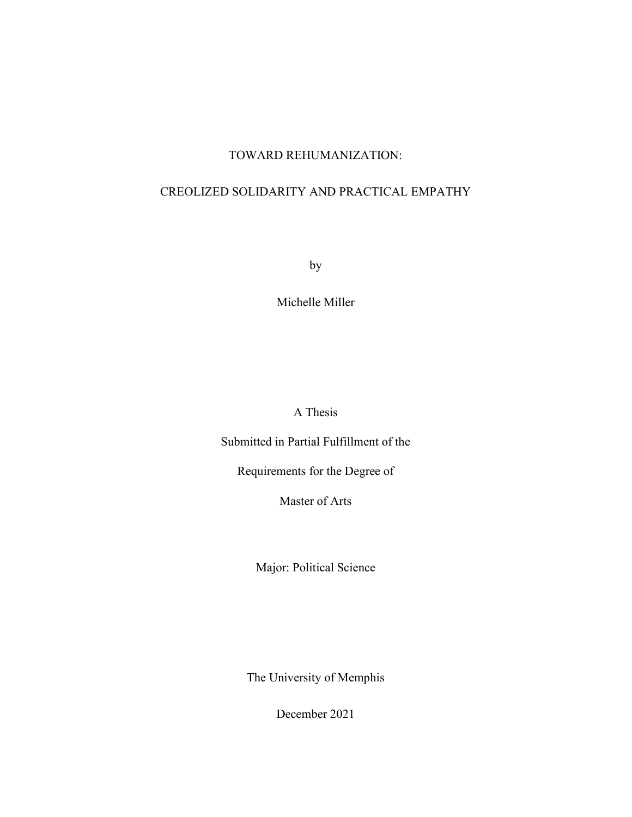# TOWARD REHUMANIZATION:

# CREOLIZED SOLIDARITY AND PRACTICAL EMPATHY

by

Michelle Miller

A Thesis

Submitted in Partial Fulfillment of the

Requirements for the Degree of

Master of Arts

Major: Political Science

The University of Memphis

December 2021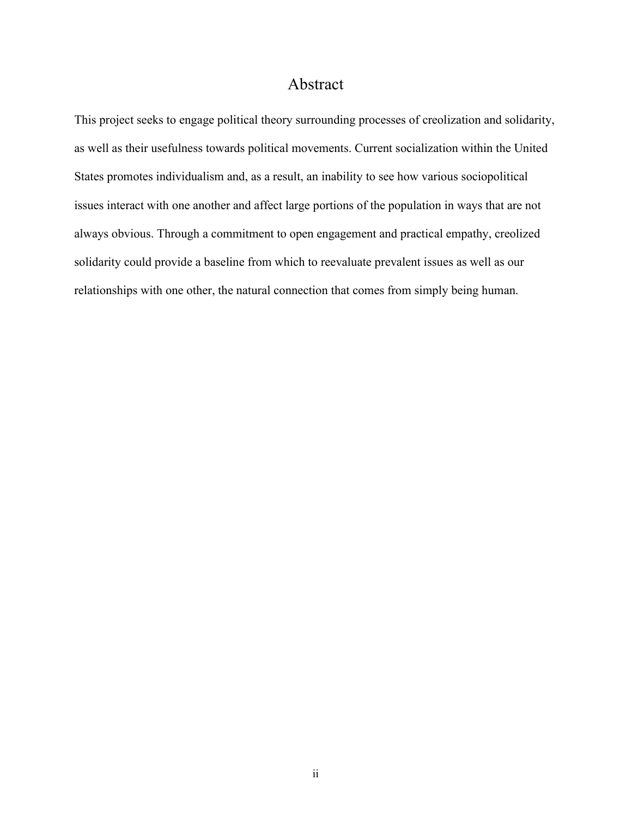# Abstract

This project seeks to engage political theory surrounding processes of creolization and solidarity, as well as their usefulness towards political movements. Current socialization within the United States promotes individualism and, as a result, an inability to see how various sociopolitical issues interact with one another and affect large portions of the population in ways that are not always obvious. Through a commitment to open engagement and practical empathy, creolized solidarity could provide a baseline from which to reevaluate prevalent issues as well as our relationships with one other, the natural connection that comes from simply being human.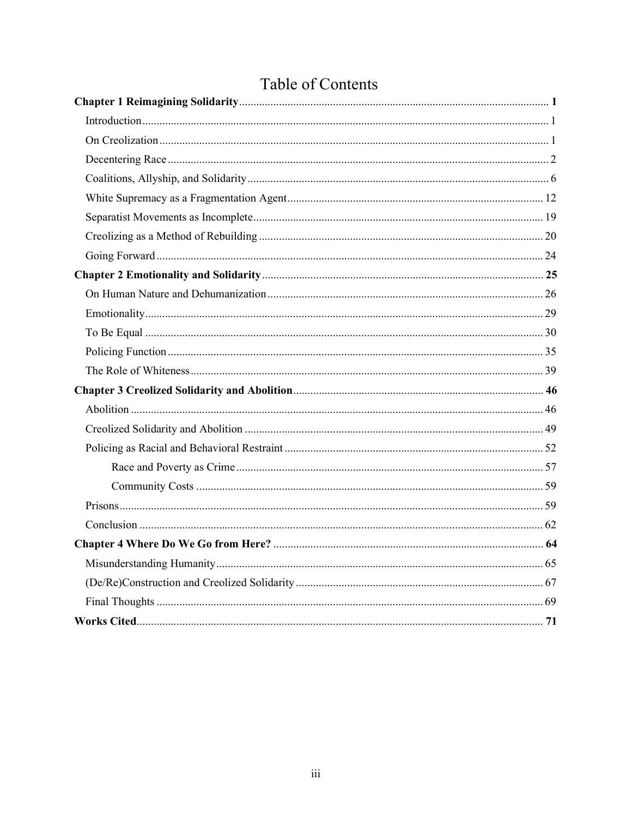# Table of Contents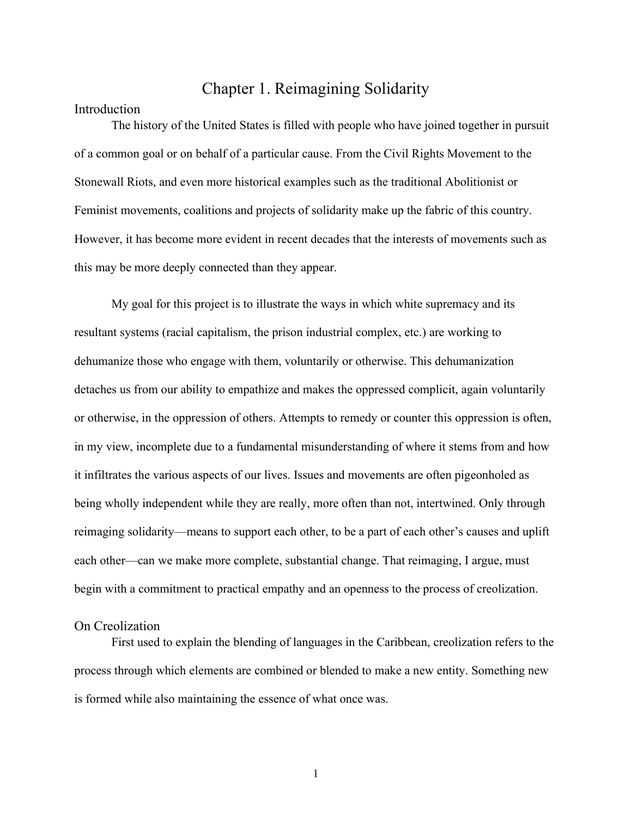# Chapter 1. Reimagining Solidarity

## Introduction

The history of the United States is filled with people who have joined together in pursuit of a common goal or on behalf of a particular cause. From the Civil Rights Movement to the Stonewall Riots, and even more historical examples such as the traditional Abolitionist or Feminist movements, coalitions and projects of solidarity make up the fabric of this country. However, it has become more evident in recent decades that the interests of movements such as this may be more deeply connected than they appear.

My goal for this project is to illustrate the ways in which white supremacy and its resultant systems (racial capitalism, the prison industrial complex, etc.) are working to dehumanize those who engage with them, voluntarily or otherwise. This dehumanization detaches us from our ability to empathize and makes the oppressed complicit, again voluntarily or otherwise, in the oppression of others. Attempts to remedy or counter this oppression is often, in my view, incomplete due to a fundamental misunderstanding of where it stems from and how it infiltrates the various aspects of our lives. Issues and movements are often pigeonholed as being wholly independent while they are really, more often than not, intertwined. Only through reimaging solidarity—means to support each other, to be a part of each other's causes and uplift each other—can we make more complete, substantial change. That reimaging, I argue, must begin with a commitment to practical empathy and an openness to the process of creolization.

# On Creolization

 First used to explain the blending of languages in the Caribbean, creolization refers to the process through which elements are combined or blended to make a new entity. Something new is formed while also maintaining the essence of what once was.

1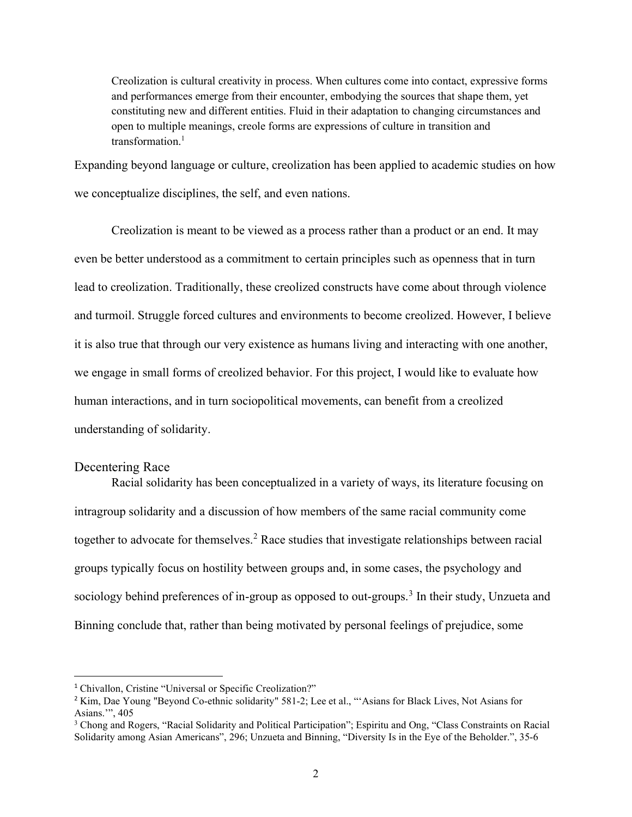Creolization is cultural creativity in process. When cultures come into contact, expressive forms and performances emerge from their encounter, embodying the sources that shape them, yet constituting new and different entities. Fluid in their adaptation to changing circumstances and open to multiple meanings, creole forms are expressions of culture in transition and transformation.<sup>1</sup>

Expanding beyond language or culture, creolization has been applied to academic studies on how we conceptualize disciplines, the self, and even nations.

 Creolization is meant to be viewed as a process rather than a product or an end. It may even be better understood as a commitment to certain principles such as openness that in turn lead to creolization. Traditionally, these creolized constructs have come about through violence and turmoil. Struggle forced cultures and environments to become creolized. However, I believe it is also true that through our very existence as humans living and interacting with one another, we engage in small forms of creolized behavior. For this project, I would like to evaluate how human interactions, and in turn sociopolitical movements, can benefit from a creolized understanding of solidarity.

# Decentering Race

 Racial solidarity has been conceptualized in a variety of ways, its literature focusing on intragroup solidarity and a discussion of how members of the same racial community come together to advocate for themselves.<sup>2</sup> Race studies that investigate relationships between racial groups typically focus on hostility between groups and, in some cases, the psychology and sociology behind preferences of in-group as opposed to out-groups.<sup>3</sup> In their study, Unzueta and Binning conclude that, rather than being motivated by personal feelings of prejudice, some

<sup>&</sup>lt;sup>1</sup> Chivallon, Cristine "Universal or Specific Creolization?"

<sup>&</sup>lt;sup>2</sup> Kim, Dae Young "Beyond Co-ethnic solidarity" 581-2; Lee et al., "'Asians for Black Lives, Not Asians for Asians.'", 405

<sup>&</sup>lt;sup>3</sup> Chong and Rogers, "Racial Solidarity and Political Participation"; Espiritu and Ong, "Class Constraints on Racial Solidarity among Asian Americans", 296; Unzueta and Binning, "Diversity Is in the Eye of the Beholder.", 35-6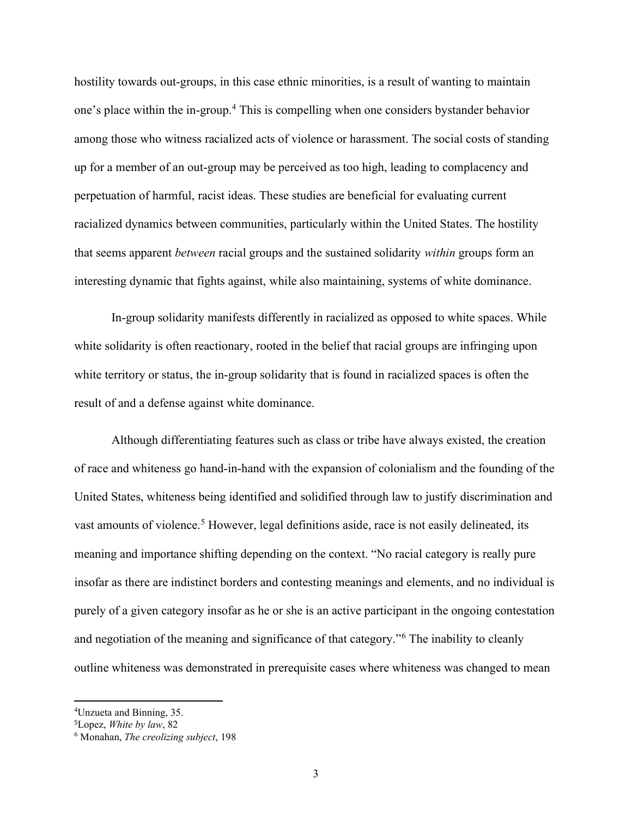hostility towards out-groups, in this case ethnic minorities, is a result of wanting to maintain one's place within the in-group.<sup>4</sup> This is compelling when one considers bystander behavior among those who witness racialized acts of violence or harassment. The social costs of standing up for a member of an out-group may be perceived as too high, leading to complacency and perpetuation of harmful, racist ideas. These studies are beneficial for evaluating current racialized dynamics between communities, particularly within the United States. The hostility that seems apparent *between* racial groups and the sustained solidarity *within* groups form an interesting dynamic that fights against, while also maintaining, systems of white dominance.

 In-group solidarity manifests differently in racialized as opposed to white spaces. While white solidarity is often reactionary, rooted in the belief that racial groups are infringing upon white territory or status, the in-group solidarity that is found in racialized spaces is often the result of and a defense against white dominance.

Although differentiating features such as class or tribe have always existed, the creation of race and whiteness go hand-in-hand with the expansion of colonialism and the founding of the United States, whiteness being identified and solidified through law to justify discrimination and vast amounts of violence.<sup>5</sup> However, legal definitions aside, race is not easily delineated, its meaning and importance shifting depending on the context. "No racial category is really pure insofar as there are indistinct borders and contesting meanings and elements, and no individual is purely of a given category insofar as he or she is an active participant in the ongoing contestation and negotiation of the meaning and significance of that category."<sup>6</sup> The inability to cleanly outline whiteness was demonstrated in prerequisite cases where whiteness was changed to mean

<sup>4</sup>Unzueta and Binning, 35.

<sup>5</sup>Lopez, White by law, 82

<sup>6</sup> Monahan, The creolizing subject, 198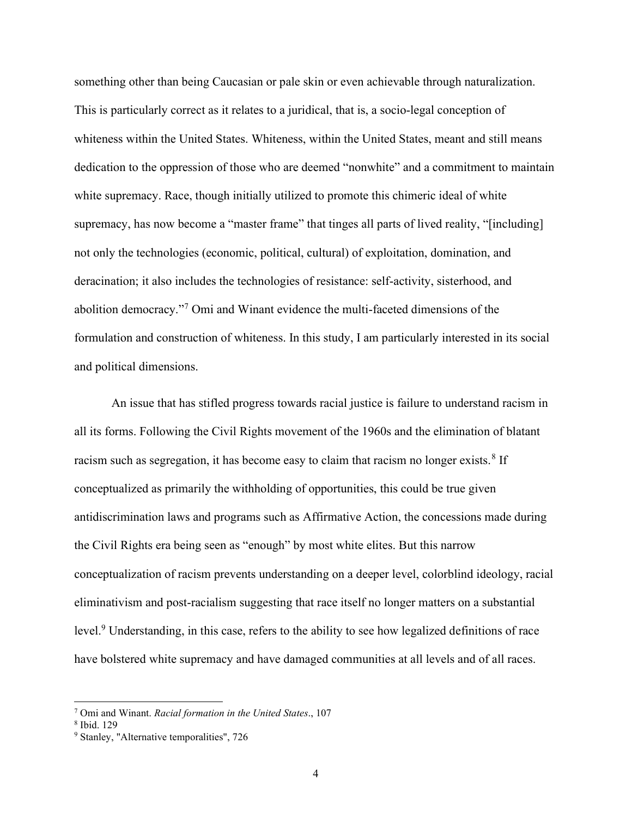something other than being Caucasian or pale skin or even achievable through naturalization. This is particularly correct as it relates to a juridical, that is, a socio-legal conception of whiteness within the United States. Whiteness, within the United States, meant and still means dedication to the oppression of those who are deemed "nonwhite" and a commitment to maintain white supremacy. Race, though initially utilized to promote this chimeric ideal of white supremacy, has now become a "master frame" that tinges all parts of lived reality, "[including] not only the technologies (economic, political, cultural) of exploitation, domination, and deracination; it also includes the technologies of resistance: self-activity, sisterhood, and abolition democracy."<sup>7</sup> Omi and Winant evidence the multi-faceted dimensions of the formulation and construction of whiteness. In this study, I am particularly interested in its social and political dimensions.

An issue that has stifled progress towards racial justice is failure to understand racism in all its forms. Following the Civil Rights movement of the 1960s and the elimination of blatant racism such as segregation, it has become easy to claim that racism no longer exists.<sup>8</sup> If conceptualized as primarily the withholding of opportunities, this could be true given antidiscrimination laws and programs such as Affirmative Action, the concessions made during the Civil Rights era being seen as "enough" by most white elites. But this narrow conceptualization of racism prevents understanding on a deeper level, colorblind ideology, racial eliminativism and post-racialism suggesting that race itself no longer matters on a substantial level.<sup>9</sup> Understanding, in this case, refers to the ability to see how legalized definitions of race have bolstered white supremacy and have damaged communities at all levels and of all races.

<sup>&</sup>lt;sup>7</sup> Omi and Winant. Racial formation in the United States., 107

<sup>8</sup> Ibid. 129

<sup>&</sup>lt;sup>9</sup> Stanley, "Alternative temporalities", 726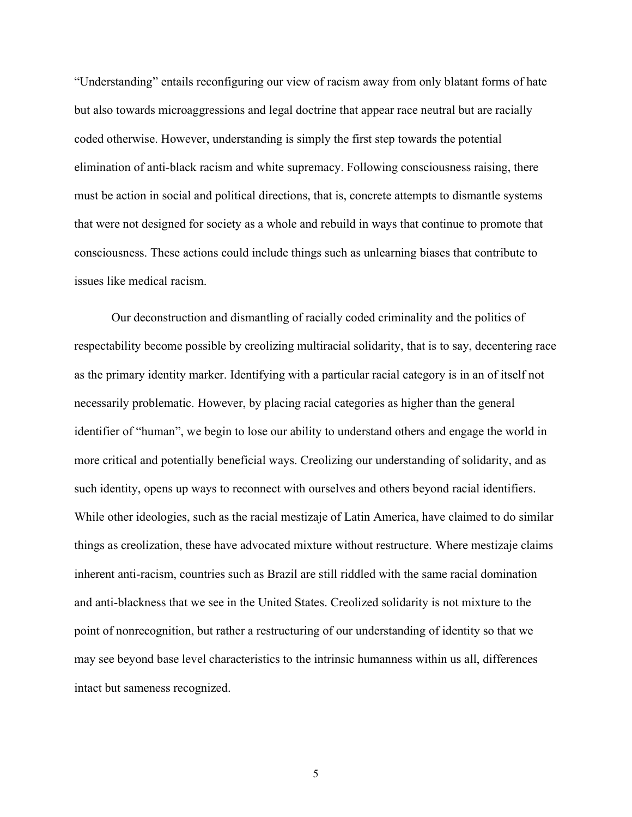"Understanding" entails reconfiguring our view of racism away from only blatant forms of hate but also towards microaggressions and legal doctrine that appear race neutral but are racially coded otherwise. However, understanding is simply the first step towards the potential elimination of anti-black racism and white supremacy. Following consciousness raising, there must be action in social and political directions, that is, concrete attempts to dismantle systems that were not designed for society as a whole and rebuild in ways that continue to promote that consciousness. These actions could include things such as unlearning biases that contribute to issues like medical racism.

Our deconstruction and dismantling of racially coded criminality and the politics of respectability become possible by creolizing multiracial solidarity, that is to say, decentering race as the primary identity marker. Identifying with a particular racial category is in an of itself not necessarily problematic. However, by placing racial categories as higher than the general identifier of "human", we begin to lose our ability to understand others and engage the world in more critical and potentially beneficial ways. Creolizing our understanding of solidarity, and as such identity, opens up ways to reconnect with ourselves and others beyond racial identifiers. While other ideologies, such as the racial mestizaje of Latin America, have claimed to do similar things as creolization, these have advocated mixture without restructure. Where mestizaje claims inherent anti-racism, countries such as Brazil are still riddled with the same racial domination and anti-blackness that we see in the United States. Creolized solidarity is not mixture to the point of nonrecognition, but rather a restructuring of our understanding of identity so that we may see beyond base level characteristics to the intrinsic humanness within us all, differences intact but sameness recognized.

5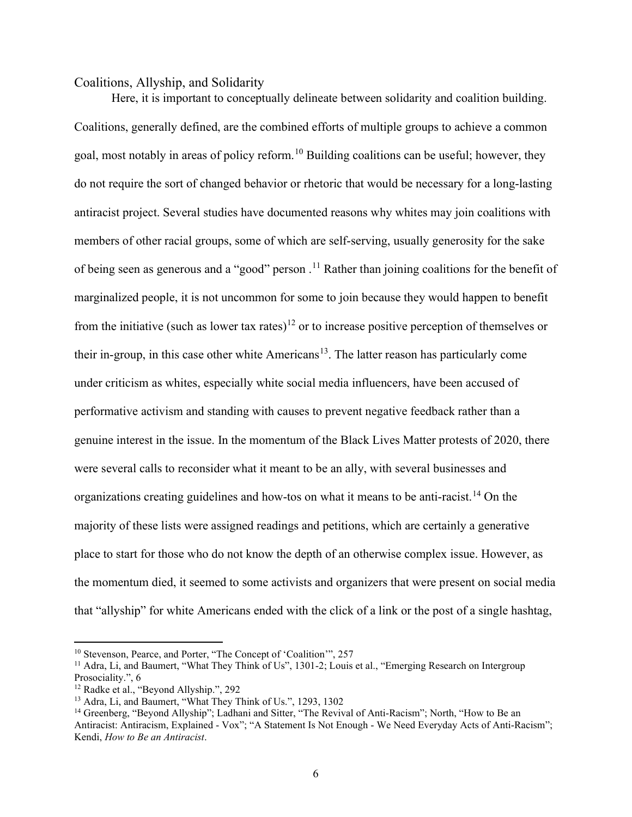#### Coalitions, Allyship, and Solidarity

Here, it is important to conceptually delineate between solidarity and coalition building. Coalitions, generally defined, are the combined efforts of multiple groups to achieve a common goal, most notably in areas of policy reform.<sup>10</sup> Building coalitions can be useful; however, they do not require the sort of changed behavior or rhetoric that would be necessary for a long-lasting antiracist project. Several studies have documented reasons why whites may join coalitions with members of other racial groups, some of which are self-serving, usually generosity for the sake of being seen as generous and a "good" person.<sup>11</sup> Rather than joining coalitions for the benefit of marginalized people, it is not uncommon for some to join because they would happen to benefit from the initiative (such as lower tax rates)<sup>12</sup> or to increase positive perception of themselves or their in-group, in this case other white Americans<sup>13</sup>. The latter reason has particularly come under criticism as whites, especially white social media influencers, have been accused of performative activism and standing with causes to prevent negative feedback rather than a genuine interest in the issue. In the momentum of the Black Lives Matter protests of 2020, there were several calls to reconsider what it meant to be an ally, with several businesses and organizations creating guidelines and how-tos on what it means to be anti-racist.<sup>14</sup> On the majority of these lists were assigned readings and petitions, which are certainly a generative place to start for those who do not know the depth of an otherwise complex issue. However, as the momentum died, it seemed to some activists and organizers that were present on social media that "allyship" for white Americans ended with the click of a link or the post of a single hashtag,

<sup>&</sup>lt;sup>10</sup> Stevenson, Pearce, and Porter, "The Concept of 'Coalition'", 257

<sup>&</sup>lt;sup>11</sup> Adra, Li, and Baumert, "What They Think of Us", 1301-2; Louis et al., "Emerging Research on Intergroup Prosociality.", 6

<sup>12</sup> Radke et al., "Beyond Allyship.", 292

<sup>13</sup> Adra, Li, and Baumert, "What They Think of Us.", 1293, 1302

<sup>&</sup>lt;sup>14</sup> Greenberg, "Beyond Allyship"; Ladhani and Sitter, "The Revival of Anti-Racism"; North, "How to Be an Antiracist: Antiracism, Explained - Vox"; "A Statement Is Not Enough - We Need Everyday Acts of Anti-Racism"; Kendi, How to Be an Antiracist.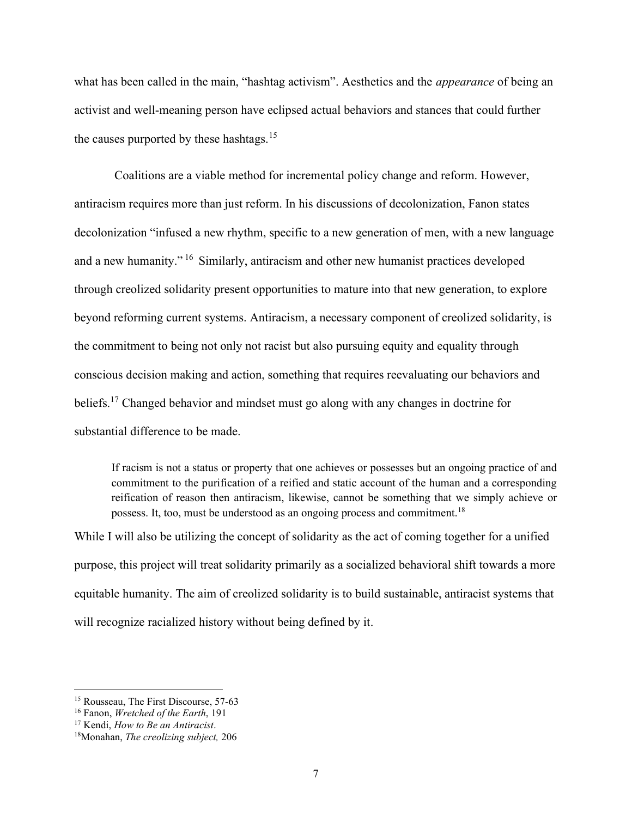what has been called in the main, "hashtag activism". Aesthetics and the *appearance* of being an activist and well-meaning person have eclipsed actual behaviors and stances that could further the causes purported by these hashtags.<sup>15</sup>

 Coalitions are a viable method for incremental policy change and reform. However, antiracism requires more than just reform. In his discussions of decolonization, Fanon states decolonization "infused a new rhythm, specific to a new generation of men, with a new language and a new humanity."<sup>16</sup> Similarly, antiracism and other new humanist practices developed through creolized solidarity present opportunities to mature into that new generation, to explore beyond reforming current systems. Antiracism, a necessary component of creolized solidarity, is the commitment to being not only not racist but also pursuing equity and equality through conscious decision making and action, something that requires reevaluating our behaviors and beliefs.<sup>17</sup> Changed behavior and mindset must go along with any changes in doctrine for substantial difference to be made.

If racism is not a status or property that one achieves or possesses but an ongoing practice of and commitment to the purification of a reified and static account of the human and a corresponding reification of reason then antiracism, likewise, cannot be something that we simply achieve or possess. It, too, must be understood as an ongoing process and commitment.<sup>18</sup>

While I will also be utilizing the concept of solidarity as the act of coming together for a unified purpose, this project will treat solidarity primarily as a socialized behavioral shift towards a more equitable humanity. The aim of creolized solidarity is to build sustainable, antiracist systems that will recognize racialized history without being defined by it.

<sup>&</sup>lt;sup>15</sup> Rousseau, The First Discourse, 57-63

<sup>&</sup>lt;sup>16</sup> Fanon, *Wretched of the Earth*, 191

<sup>&</sup>lt;sup>17</sup> Kendi, *How to Be an Antiracist*.

<sup>&</sup>lt;sup>18</sup>Monahan, The creolizing subject, 206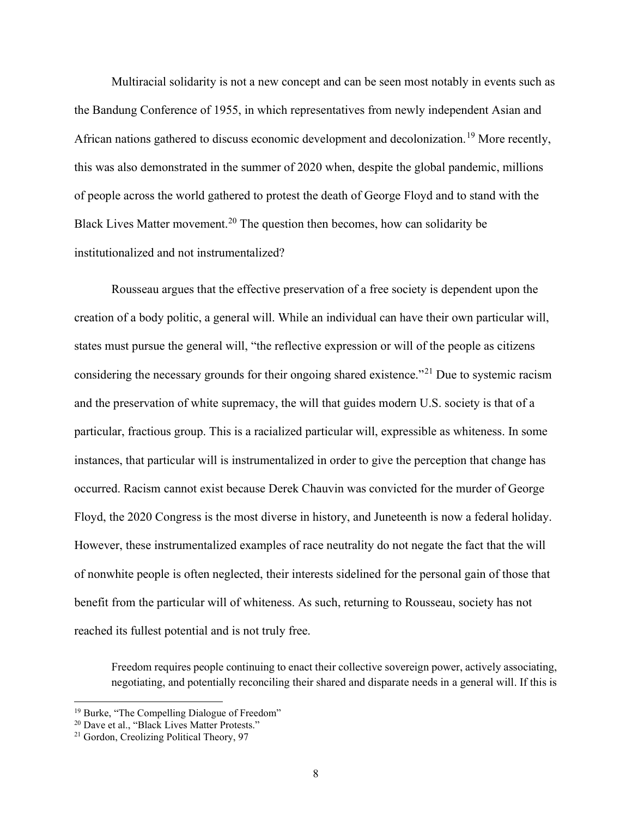Multiracial solidarity is not a new concept and can be seen most notably in events such as the Bandung Conference of 1955, in which representatives from newly independent Asian and African nations gathered to discuss economic development and decolonization.<sup>19</sup> More recently, this was also demonstrated in the summer of 2020 when, despite the global pandemic, millions of people across the world gathered to protest the death of George Floyd and to stand with the Black Lives Matter movement.<sup>20</sup> The question then becomes, how can solidarity be institutionalized and not instrumentalized?

Rousseau argues that the effective preservation of a free society is dependent upon the creation of a body politic, a general will. While an individual can have their own particular will, states must pursue the general will, "the reflective expression or will of the people as citizens considering the necessary grounds for their ongoing shared existence."<sup>21</sup> Due to systemic racism and the preservation of white supremacy, the will that guides modern U.S. society is that of a particular, fractious group. This is a racialized particular will, expressible as whiteness. In some instances, that particular will is instrumentalized in order to give the perception that change has occurred. Racism cannot exist because Derek Chauvin was convicted for the murder of George Floyd, the 2020 Congress is the most diverse in history, and Juneteenth is now a federal holiday. However, these instrumentalized examples of race neutrality do not negate the fact that the will of nonwhite people is often neglected, their interests sidelined for the personal gain of those that benefit from the particular will of whiteness. As such, returning to Rousseau, society has not reached its fullest potential and is not truly free.

Freedom requires people continuing to enact their collective sovereign power, actively associating, negotiating, and potentially reconciling their shared and disparate needs in a general will. If this is

<sup>19</sup> Burke, "The Compelling Dialogue of Freedom"

<sup>&</sup>lt;sup>20</sup> Dave et al., "Black Lives Matter Protests."

<sup>21</sup> Gordon, Creolizing Political Theory, 97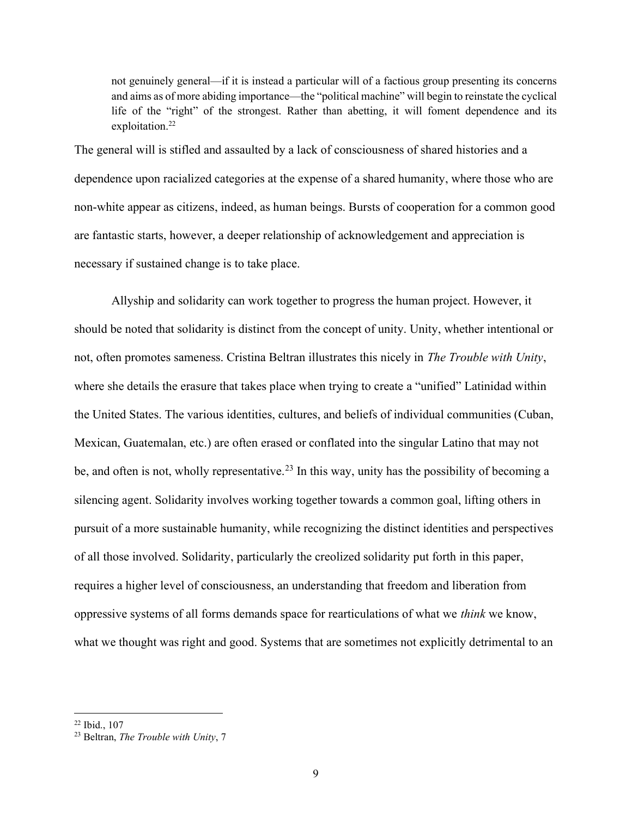not genuinely general—if it is instead a particular will of a factious group presenting its concerns and aims as of more abiding importance—the "political machine" will begin to reinstate the cyclical life of the "right" of the strongest. Rather than abetting, it will foment dependence and its exploitation.<sup>22</sup>

The general will is stifled and assaulted by a lack of consciousness of shared histories and a dependence upon racialized categories at the expense of a shared humanity, where those who are non-white appear as citizens, indeed, as human beings. Bursts of cooperation for a common good are fantastic starts, however, a deeper relationship of acknowledgement and appreciation is necessary if sustained change is to take place.

Allyship and solidarity can work together to progress the human project. However, it should be noted that solidarity is distinct from the concept of unity. Unity, whether intentional or not, often promotes sameness. Cristina Beltran illustrates this nicely in The Trouble with Unity, where she details the erasure that takes place when trying to create a "unified" Latinidad within the United States. The various identities, cultures, and beliefs of individual communities (Cuban, Mexican, Guatemalan, etc.) are often erased or conflated into the singular Latino that may not be, and often is not, wholly representative.<sup>23</sup> In this way, unity has the possibility of becoming a silencing agent. Solidarity involves working together towards a common goal, lifting others in pursuit of a more sustainable humanity, while recognizing the distinct identities and perspectives of all those involved. Solidarity, particularly the creolized solidarity put forth in this paper, requires a higher level of consciousness, an understanding that freedom and liberation from oppressive systems of all forms demands space for rearticulations of what we think we know, what we thought was right and good. Systems that are sometimes not explicitly detrimental to an

<sup>22</sup> Ibid., 107

<sup>&</sup>lt;sup>23</sup> Beltran, The Trouble with Unity, 7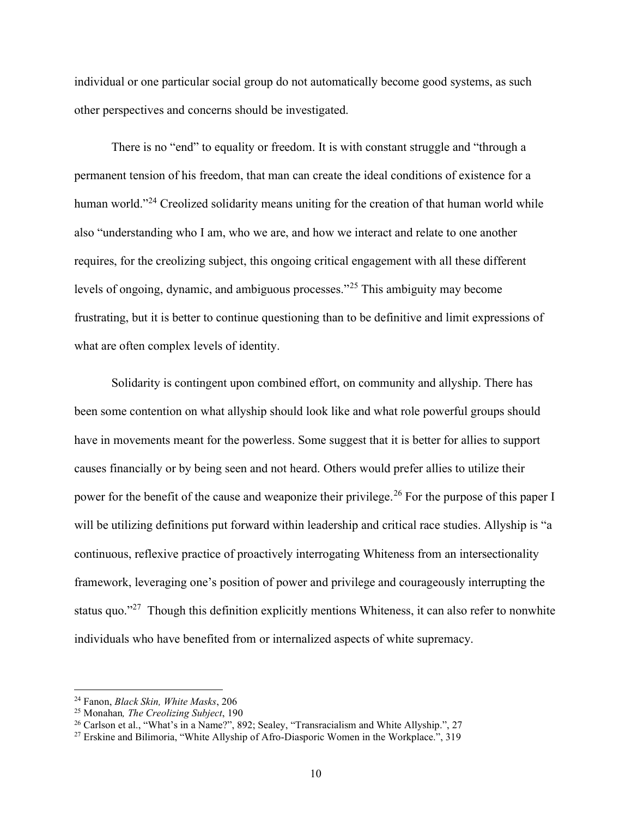individual or one particular social group do not automatically become good systems, as such other perspectives and concerns should be investigated.

There is no "end" to equality or freedom. It is with constant struggle and "through a permanent tension of his freedom, that man can create the ideal conditions of existence for a human world."<sup>24</sup> Creolized solidarity means uniting for the creation of that human world while also "understanding who I am, who we are, and how we interact and relate to one another requires, for the creolizing subject, this ongoing critical engagement with all these different levels of ongoing, dynamic, and ambiguous processes."<sup>25</sup> This ambiguity may become frustrating, but it is better to continue questioning than to be definitive and limit expressions of what are often complex levels of identity.

Solidarity is contingent upon combined effort, on community and allyship. There has been some contention on what allyship should look like and what role powerful groups should have in movements meant for the powerless. Some suggest that it is better for allies to support causes financially or by being seen and not heard. Others would prefer allies to utilize their power for the benefit of the cause and weaponize their privilege.<sup>26</sup> For the purpose of this paper I will be utilizing definitions put forward within leadership and critical race studies. Allyship is "a continuous, reflexive practice of proactively interrogating Whiteness from an intersectionality framework, leveraging one's position of power and privilege and courageously interrupting the status quo."<sup>27</sup> Though this definition explicitly mentions Whiteness, it can also refer to nonwhite individuals who have benefited from or internalized aspects of white supremacy.

<sup>&</sup>lt;sup>24</sup> Fanon, *Black Skin, White Masks*, 206

<sup>25</sup> Monahan, The Creolizing Subject, 190

<sup>&</sup>lt;sup>26</sup> Carlson et al., "What's in a Name?", 892; Sealey, "Transracialism and White Allyship.", 27

<sup>27</sup> Erskine and Bilimoria, "White Allyship of Afro-Diasporic Women in the Workplace.", 319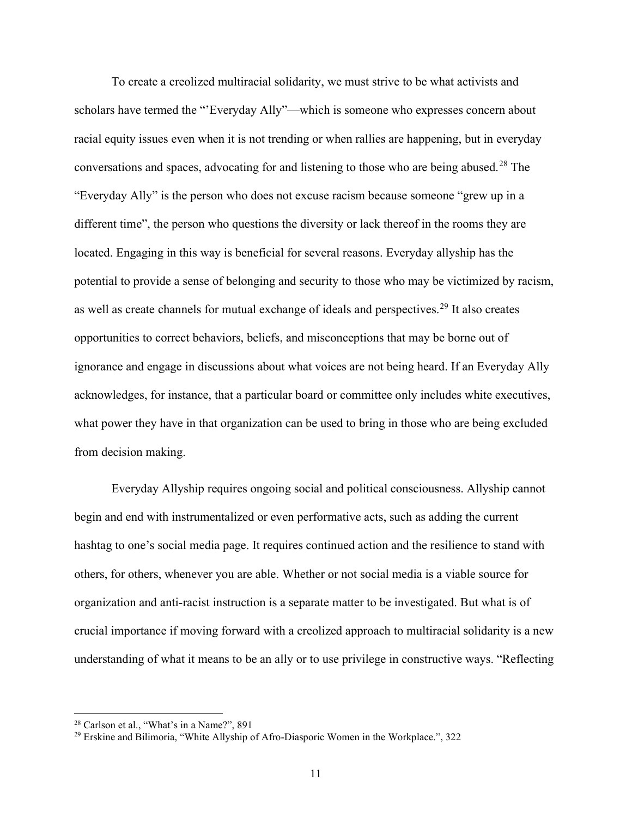To create a creolized multiracial solidarity, we must strive to be what activists and scholars have termed the "'Everyday Ally"—which is someone who expresses concern about racial equity issues even when it is not trending or when rallies are happening, but in everyday conversations and spaces, advocating for and listening to those who are being abused.<sup>28</sup> The "Everyday Ally" is the person who does not excuse racism because someone "grew up in a different time", the person who questions the diversity or lack thereof in the rooms they are located. Engaging in this way is beneficial for several reasons. Everyday allyship has the potential to provide a sense of belonging and security to those who may be victimized by racism, as well as create channels for mutual exchange of ideals and perspectives.<sup>29</sup> It also creates opportunities to correct behaviors, beliefs, and misconceptions that may be borne out of ignorance and engage in discussions about what voices are not being heard. If an Everyday Ally acknowledges, for instance, that a particular board or committee only includes white executives, what power they have in that organization can be used to bring in those who are being excluded from decision making.

Everyday Allyship requires ongoing social and political consciousness. Allyship cannot begin and end with instrumentalized or even performative acts, such as adding the current hashtag to one's social media page. It requires continued action and the resilience to stand with others, for others, whenever you are able. Whether or not social media is a viable source for organization and anti-racist instruction is a separate matter to be investigated. But what is of crucial importance if moving forward with a creolized approach to multiracial solidarity is a new understanding of what it means to be an ally or to use privilege in constructive ways. "Reflecting

<sup>&</sup>lt;sup>28</sup> Carlson et al., "What's in a Name?", 891

<sup>29</sup> Erskine and Bilimoria, "White Allyship of Afro-Diasporic Women in the Workplace.", 322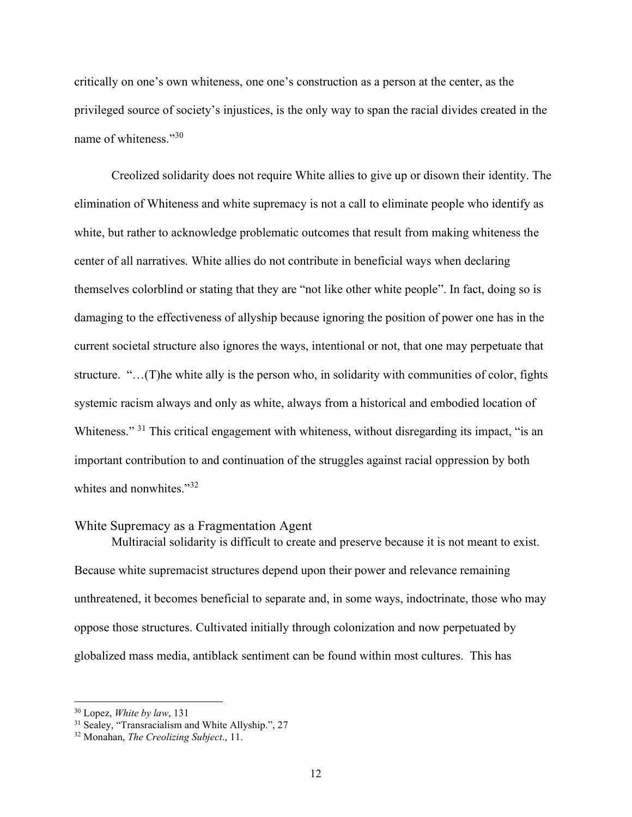critically on one's own whiteness, one one's construction as a person at the center, as the privileged source of society's injustices, is the only way to span the racial divides created in the name of whiteness."<sup>30</sup>

 Creolized solidarity does not require White allies to give up or disown their identity. The elimination of Whiteness and white supremacy is not a call to eliminate people who identify as white, but rather to acknowledge problematic outcomes that result from making whiteness the center of all narratives. White allies do not contribute in beneficial ways when declaring themselves colorblind or stating that they are "not like other white people". In fact, doing so is damaging to the effectiveness of allyship because ignoring the position of power one has in the current societal structure also ignores the ways, intentional or not, that one may perpetuate that structure. "…(T)he white ally is the person who, in solidarity with communities of color, fights systemic racism always and only as white, always from a historical and embodied location of Whiteness." <sup>31</sup> This critical engagement with whiteness, without disregarding its impact, "is an important contribution to and continuation of the struggles against racial oppression by both whites and nonwhites."<sup>32</sup>

## White Supremacy as a Fragmentation Agent

Multiracial solidarity is difficult to create and preserve because it is not meant to exist. Because white supremacist structures depend upon their power and relevance remaining unthreatened, it becomes beneficial to separate and, in some ways, indoctrinate, those who may oppose those structures. Cultivated initially through colonization and now perpetuated by globalized mass media, antiblack sentiment can be found within most cultures. This has

 $30$  Lopez, *White by law*, 131

<sup>&</sup>lt;sup>31</sup> Sealey, "Transracialism and White Allyship.", 27

<sup>32</sup> Monahan, The Creolizing Subject., 11.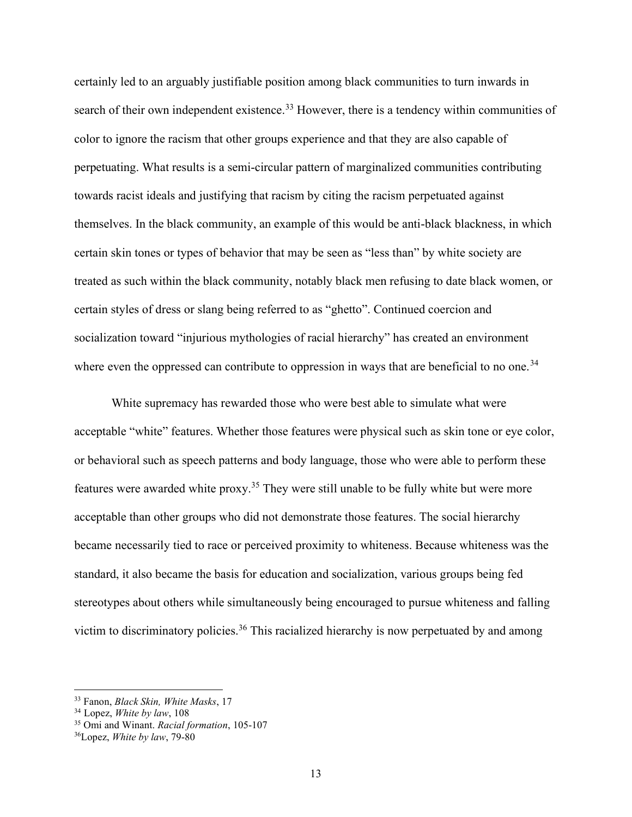certainly led to an arguably justifiable position among black communities to turn inwards in search of their own independent existence.<sup>33</sup> However, there is a tendency within communities of color to ignore the racism that other groups experience and that they are also capable of perpetuating. What results is a semi-circular pattern of marginalized communities contributing towards racist ideals and justifying that racism by citing the racism perpetuated against themselves. In the black community, an example of this would be anti-black blackness, in which certain skin tones or types of behavior that may be seen as "less than" by white society are treated as such within the black community, notably black men refusing to date black women, or certain styles of dress or slang being referred to as "ghetto". Continued coercion and socialization toward "injurious mythologies of racial hierarchy" has created an environment where even the oppressed can contribute to oppression in ways that are beneficial to no one.<sup>34</sup>

White supremacy has rewarded those who were best able to simulate what were acceptable "white" features. Whether those features were physical such as skin tone or eye color, or behavioral such as speech patterns and body language, those who were able to perform these features were awarded white proxy.<sup>35</sup> They were still unable to be fully white but were more acceptable than other groups who did not demonstrate those features. The social hierarchy became necessarily tied to race or perceived proximity to whiteness. Because whiteness was the standard, it also became the basis for education and socialization, various groups being fed stereotypes about others while simultaneously being encouraged to pursue whiteness and falling victim to discriminatory policies.<sup>36</sup> This racialized hierarchy is now perpetuated by and among

<sup>&</sup>lt;sup>33</sup> Fanon, *Black Skin, White Masks*, 17

 $34$  Lopez, White by law, 108

<sup>&</sup>lt;sup>35</sup> Omi and Winant. Racial formation, 105-107

<sup>36</sup>Lopez, White by law, 79-80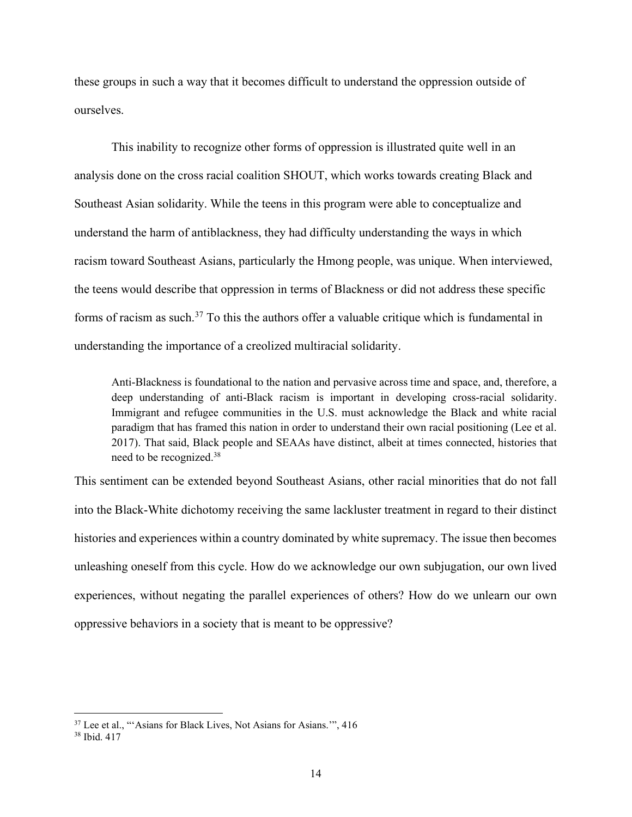these groups in such a way that it becomes difficult to understand the oppression outside of ourselves.

This inability to recognize other forms of oppression is illustrated quite well in an analysis done on the cross racial coalition SHOUT, which works towards creating Black and Southeast Asian solidarity. While the teens in this program were able to conceptualize and understand the harm of antiblackness, they had difficulty understanding the ways in which racism toward Southeast Asians, particularly the Hmong people, was unique. When interviewed, the teens would describe that oppression in terms of Blackness or did not address these specific forms of racism as such. $37$  To this the authors offer a valuable critique which is fundamental in understanding the importance of a creolized multiracial solidarity.

Anti-Blackness is foundational to the nation and pervasive across time and space, and, therefore, a deep understanding of anti-Black racism is important in developing cross-racial solidarity. Immigrant and refugee communities in the U.S. must acknowledge the Black and white racial paradigm that has framed this nation in order to understand their own racial positioning (Lee et al. 2017). That said, Black people and SEAAs have distinct, albeit at times connected, histories that need to be recognized.<sup>38</sup>

This sentiment can be extended beyond Southeast Asians, other racial minorities that do not fall into the Black-White dichotomy receiving the same lackluster treatment in regard to their distinct histories and experiences within a country dominated by white supremacy. The issue then becomes unleashing oneself from this cycle. How do we acknowledge our own subjugation, our own lived experiences, without negating the parallel experiences of others? How do we unlearn our own oppressive behaviors in a society that is meant to be oppressive?

<sup>&</sup>lt;sup>37</sup> Lee et al., "'Asians for Black Lives, Not Asians for Asians."", 416

<sup>38</sup> Ibid. 417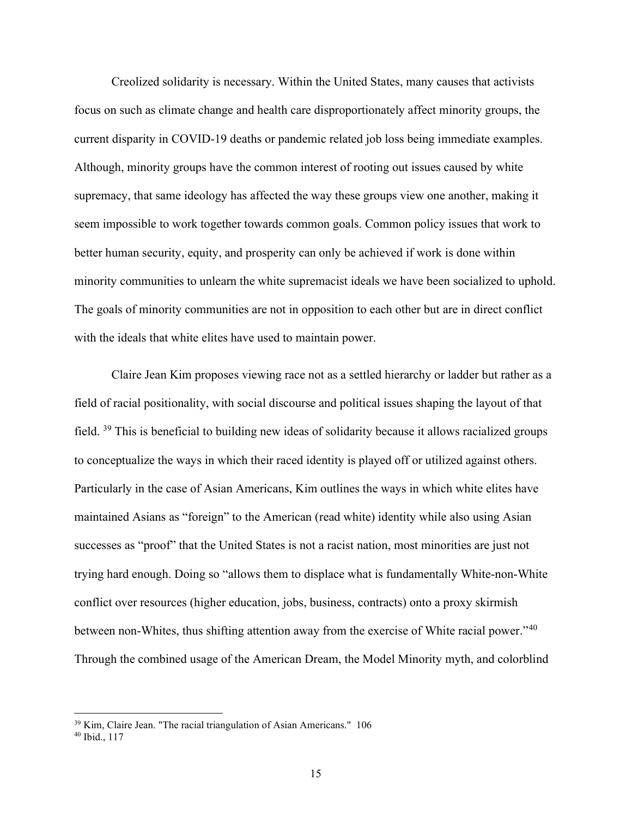Creolized solidarity is necessary. Within the United States, many causes that activists focus on such as climate change and health care disproportionately affect minority groups, the current disparity in COVID-19 deaths or pandemic related job loss being immediate examples. Although, minority groups have the common interest of rooting out issues caused by white supremacy, that same ideology has affected the way these groups view one another, making it seem impossible to work together towards common goals. Common policy issues that work to better human security, equity, and prosperity can only be achieved if work is done within minority communities to unlearn the white supremacist ideals we have been socialized to uphold. The goals of minority communities are not in opposition to each other but are in direct conflict with the ideals that white elites have used to maintain power.

Claire Jean Kim proposes viewing race not as a settled hierarchy or ladder but rather as a field of racial positionality, with social discourse and political issues shaping the layout of that field. <sup>39</sup> This is beneficial to building new ideas of solidarity because it allows racialized groups to conceptualize the ways in which their raced identity is played off or utilized against others. Particularly in the case of Asian Americans, Kim outlines the ways in which white elites have maintained Asians as "foreign" to the American (read white) identity while also using Asian successes as "proof" that the United States is not a racist nation, most minorities are just not trying hard enough. Doing so "allows them to displace what is fundamentally White-non-White conflict over resources (higher education, jobs, business, contracts) onto a proxy skirmish between non-Whites, thus shifting attention away from the exercise of White racial power."<sup>40</sup> Through the combined usage of the American Dream, the Model Minority myth, and colorblind

<sup>&</sup>lt;sup>39</sup> Kim, Claire Jean. "The racial triangulation of Asian Americans." 106

<sup>40</sup> Ibid., 117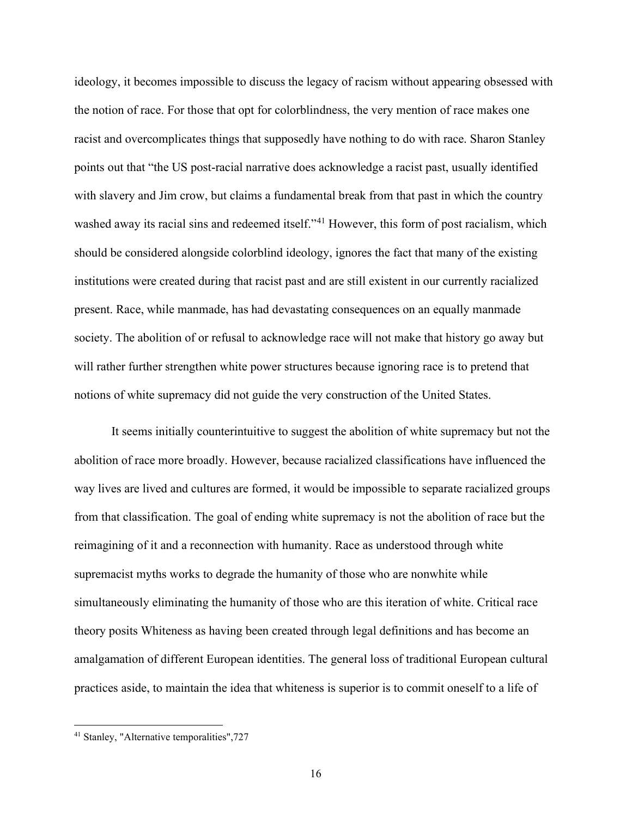ideology, it becomes impossible to discuss the legacy of racism without appearing obsessed with the notion of race. For those that opt for colorblindness, the very mention of race makes one racist and overcomplicates things that supposedly have nothing to do with race. Sharon Stanley points out that "the US post-racial narrative does acknowledge a racist past, usually identified with slavery and Jim crow, but claims a fundamental break from that past in which the country washed away its racial sins and redeemed itself."<sup>41</sup> However, this form of post racialism, which should be considered alongside colorblind ideology, ignores the fact that many of the existing institutions were created during that racist past and are still existent in our currently racialized present. Race, while manmade, has had devastating consequences on an equally manmade society. The abolition of or refusal to acknowledge race will not make that history go away but will rather further strengthen white power structures because ignoring race is to pretend that notions of white supremacy did not guide the very construction of the United States.

It seems initially counterintuitive to suggest the abolition of white supremacy but not the abolition of race more broadly. However, because racialized classifications have influenced the way lives are lived and cultures are formed, it would be impossible to separate racialized groups from that classification. The goal of ending white supremacy is not the abolition of race but the reimagining of it and a reconnection with humanity. Race as understood through white supremacist myths works to degrade the humanity of those who are nonwhite while simultaneously eliminating the humanity of those who are this iteration of white. Critical race theory posits Whiteness as having been created through legal definitions and has become an amalgamation of different European identities. The general loss of traditional European cultural practices aside, to maintain the idea that whiteness is superior is to commit oneself to a life of

<sup>41</sup> Stanley, "Alternative temporalities",727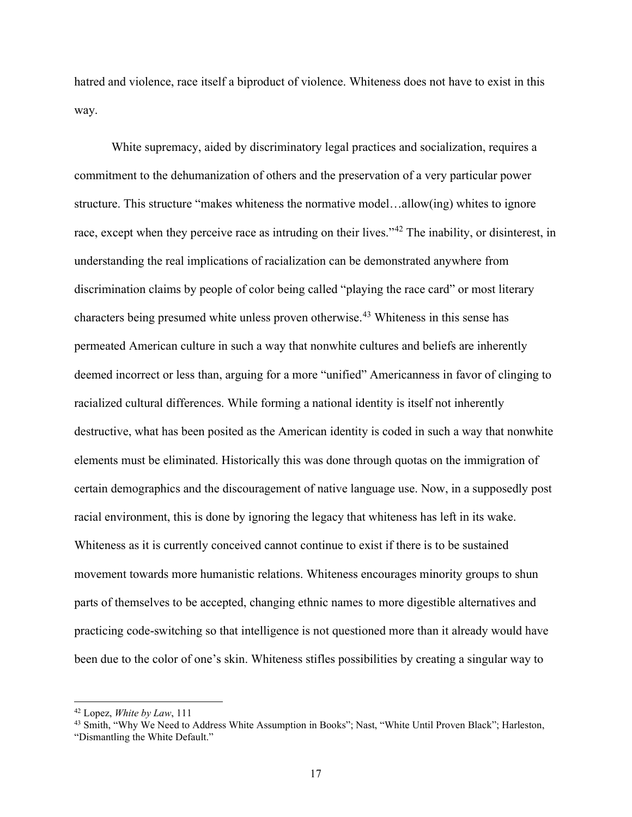hatred and violence, race itself a biproduct of violence. Whiteness does not have to exist in this way.

White supremacy, aided by discriminatory legal practices and socialization, requires a commitment to the dehumanization of others and the preservation of a very particular power structure. This structure "makes whiteness the normative model…allow(ing) whites to ignore race, except when they perceive race as intruding on their lives."<sup>42</sup> The inability, or disinterest, in understanding the real implications of racialization can be demonstrated anywhere from discrimination claims by people of color being called "playing the race card" or most literary characters being presumed white unless proven otherwise.<sup>43</sup> Whiteness in this sense has permeated American culture in such a way that nonwhite cultures and beliefs are inherently deemed incorrect or less than, arguing for a more "unified" Americanness in favor of clinging to racialized cultural differences. While forming a national identity is itself not inherently destructive, what has been posited as the American identity is coded in such a way that nonwhite elements must be eliminated. Historically this was done through quotas on the immigration of certain demographics and the discouragement of native language use. Now, in a supposedly post racial environment, this is done by ignoring the legacy that whiteness has left in its wake. Whiteness as it is currently conceived cannot continue to exist if there is to be sustained movement towards more humanistic relations. Whiteness encourages minority groups to shun parts of themselves to be accepted, changing ethnic names to more digestible alternatives and practicing code-switching so that intelligence is not questioned more than it already would have been due to the color of one's skin. Whiteness stifles possibilities by creating a singular way to

 $42$  Lopez, *White by Law*, 111

<sup>&</sup>lt;sup>43</sup> Smith, "Why We Need to Address White Assumption in Books"; Nast, "White Until Proven Black"; Harleston, "Dismantling the White Default."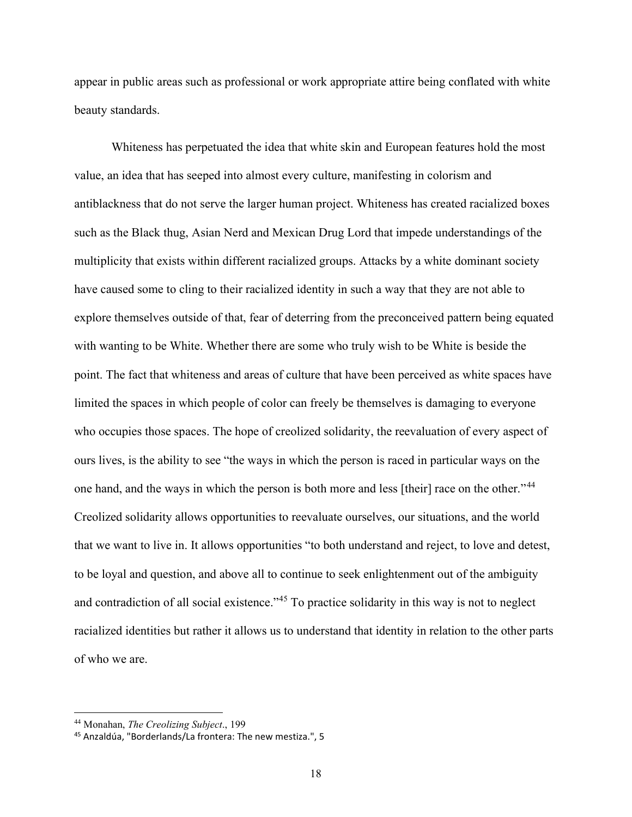appear in public areas such as professional or work appropriate attire being conflated with white beauty standards.

Whiteness has perpetuated the idea that white skin and European features hold the most value, an idea that has seeped into almost every culture, manifesting in colorism and antiblackness that do not serve the larger human project. Whiteness has created racialized boxes such as the Black thug, Asian Nerd and Mexican Drug Lord that impede understandings of the multiplicity that exists within different racialized groups. Attacks by a white dominant society have caused some to cling to their racialized identity in such a way that they are not able to explore themselves outside of that, fear of deterring from the preconceived pattern being equated with wanting to be White. Whether there are some who truly wish to be White is beside the point. The fact that whiteness and areas of culture that have been perceived as white spaces have limited the spaces in which people of color can freely be themselves is damaging to everyone who occupies those spaces. The hope of creolized solidarity, the reevaluation of every aspect of ours lives, is the ability to see "the ways in which the person is raced in particular ways on the one hand, and the ways in which the person is both more and less [their] race on the other."<sup>44</sup> Creolized solidarity allows opportunities to reevaluate ourselves, our situations, and the world that we want to live in. It allows opportunities "to both understand and reject, to love and detest, to be loyal and question, and above all to continue to seek enlightenment out of the ambiguity and contradiction of all social existence."<sup>45</sup> To practice solidarity in this way is not to neglect racialized identities but rather it allows us to understand that identity in relation to the other parts of who we are.

<sup>&</sup>lt;sup>44</sup> Monahan, *The Creolizing Subject.*, 199

<sup>45</sup> Anzaldúa, "Borderlands/La frontera: The new mestiza.", 5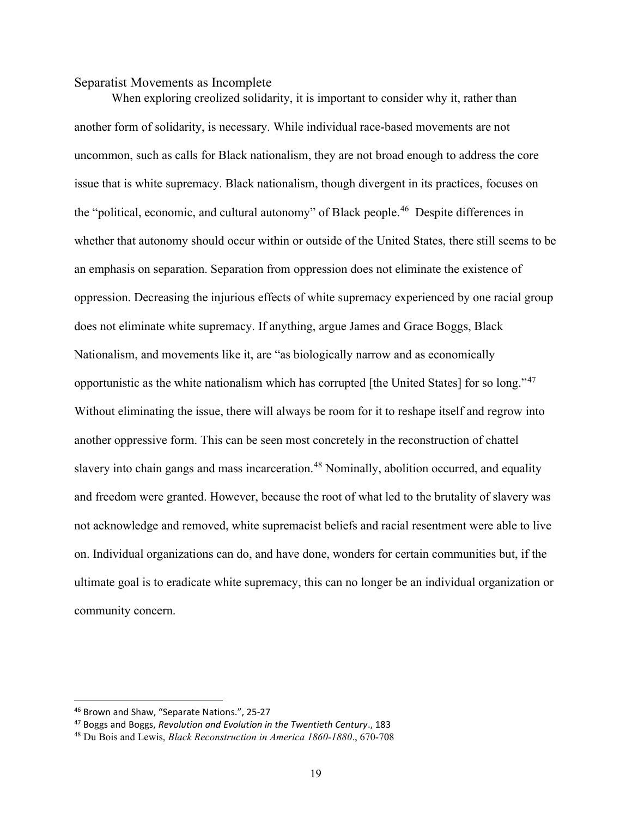## Separatist Movements as Incomplete

When exploring creolized solidarity, it is important to consider why it, rather than another form of solidarity, is necessary. While individual race-based movements are not uncommon, such as calls for Black nationalism, they are not broad enough to address the core issue that is white supremacy. Black nationalism, though divergent in its practices, focuses on the "political, economic, and cultural autonomy" of Black people.<sup>46</sup> Despite differences in whether that autonomy should occur within or outside of the United States, there still seems to be an emphasis on separation. Separation from oppression does not eliminate the existence of oppression. Decreasing the injurious effects of white supremacy experienced by one racial group does not eliminate white supremacy. If anything, argue James and Grace Boggs, Black Nationalism, and movements like it, are "as biologically narrow and as economically opportunistic as the white nationalism which has corrupted [the United States] for so long."<sup>47</sup> Without eliminating the issue, there will always be room for it to reshape itself and regrow into another oppressive form. This can be seen most concretely in the reconstruction of chattel slavery into chain gangs and mass incarceration.<sup>48</sup> Nominally, abolition occurred, and equality and freedom were granted. However, because the root of what led to the brutality of slavery was not acknowledge and removed, white supremacist beliefs and racial resentment were able to live on. Individual organizations can do, and have done, wonders for certain communities but, if the ultimate goal is to eradicate white supremacy, this can no longer be an individual organization or community concern.

<sup>46</sup> Brown and Shaw, "Separate Nations.", 25-27

 $47$  Boggs and Boggs, Revolution and Evolution in the Twentieth Century., 183

<sup>48</sup> Du Bois and Lewis, Black Reconstruction in America 1860-1880., 670-708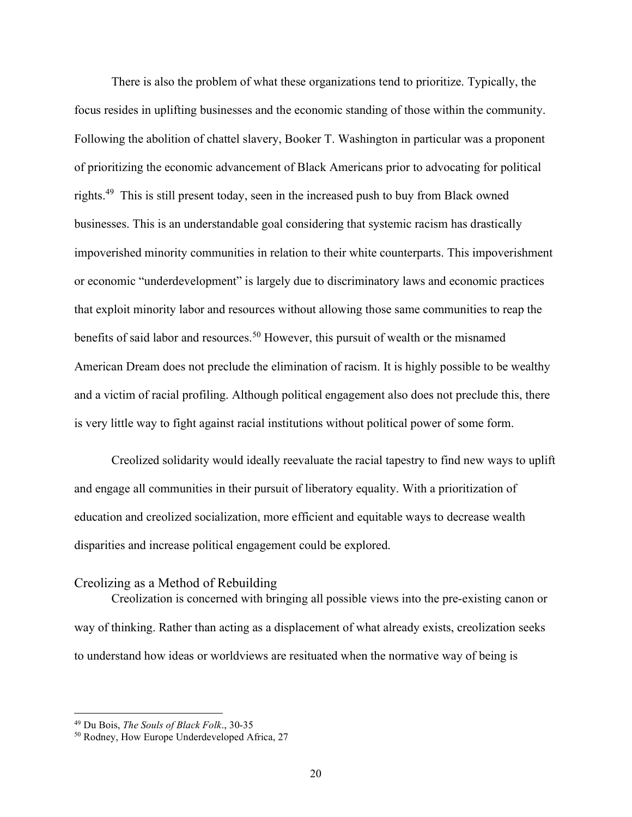There is also the problem of what these organizations tend to prioritize. Typically, the focus resides in uplifting businesses and the economic standing of those within the community. Following the abolition of chattel slavery, Booker T. Washington in particular was a proponent of prioritizing the economic advancement of Black Americans prior to advocating for political rights.<sup>49</sup> This is still present today, seen in the increased push to buy from Black owned businesses. This is an understandable goal considering that systemic racism has drastically impoverished minority communities in relation to their white counterparts. This impoverishment or economic "underdevelopment" is largely due to discriminatory laws and economic practices that exploit minority labor and resources without allowing those same communities to reap the benefits of said labor and resources.<sup>50</sup> However, this pursuit of wealth or the misnamed American Dream does not preclude the elimination of racism. It is highly possible to be wealthy and a victim of racial profiling. Although political engagement also does not preclude this, there is very little way to fight against racial institutions without political power of some form.

 Creolized solidarity would ideally reevaluate the racial tapestry to find new ways to uplift and engage all communities in their pursuit of liberatory equality. With a prioritization of education and creolized socialization, more efficient and equitable ways to decrease wealth disparities and increase political engagement could be explored.

## Creolizing as a Method of Rebuilding

Creolization is concerned with bringing all possible views into the pre-existing canon or way of thinking. Rather than acting as a displacement of what already exists, creolization seeks to understand how ideas or worldviews are resituated when the normative way of being is

<sup>&</sup>lt;sup>49</sup> Du Bois, The Souls of Black Folk., 30-35

<sup>50</sup> Rodney, How Europe Underdeveloped Africa, 27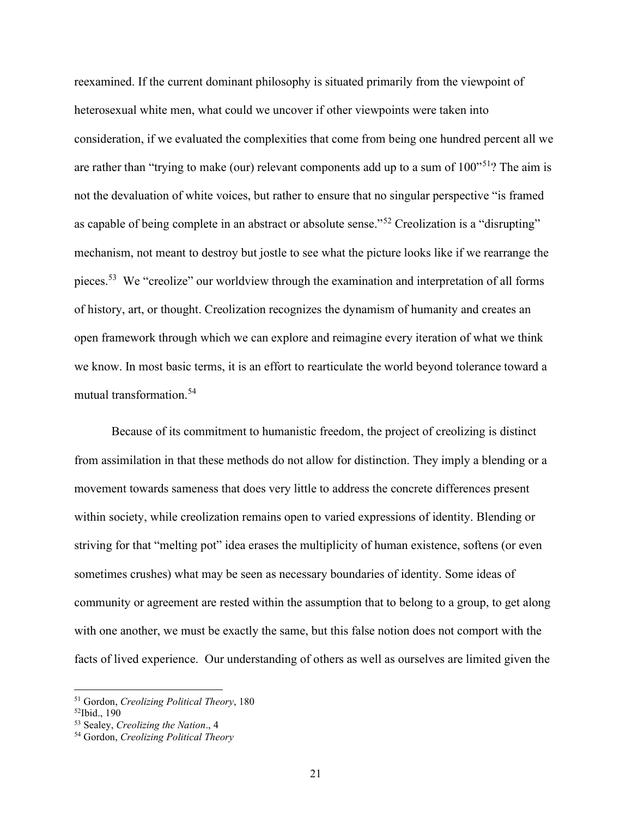reexamined. If the current dominant philosophy is situated primarily from the viewpoint of heterosexual white men, what could we uncover if other viewpoints were taken into consideration, if we evaluated the complexities that come from being one hundred percent all we are rather than "trying to make (our) relevant components add up to a sum of  $100"$ <sup>51</sup>? The aim is not the devaluation of white voices, but rather to ensure that no singular perspective "is framed as capable of being complete in an abstract or absolute sense."<sup>52</sup> Creolization is a "disrupting" mechanism, not meant to destroy but jostle to see what the picture looks like if we rearrange the pieces.<sup>53</sup> We "creolize" our worldview through the examination and interpretation of all forms of history, art, or thought. Creolization recognizes the dynamism of humanity and creates an open framework through which we can explore and reimagine every iteration of what we think we know. In most basic terms, it is an effort to rearticulate the world beyond tolerance toward a mutual transformation.<sup>54</sup>

 Because of its commitment to humanistic freedom, the project of creolizing is distinct from assimilation in that these methods do not allow for distinction. They imply a blending or a movement towards sameness that does very little to address the concrete differences present within society, while creolization remains open to varied expressions of identity. Blending or striving for that "melting pot" idea erases the multiplicity of human existence, softens (or even sometimes crushes) what may be seen as necessary boundaries of identity. Some ideas of community or agreement are rested within the assumption that to belong to a group, to get along with one another, we must be exactly the same, but this false notion does not comport with the facts of lived experience. Our understanding of others as well as ourselves are limited given the

<sup>51</sup> Gordon, Creolizing Political Theory, 180

<sup>52</sup>Ibid., 190

<sup>53</sup> Sealey, Creolizing the Nation., 4

<sup>54</sup> Gordon, Creolizing Political Theory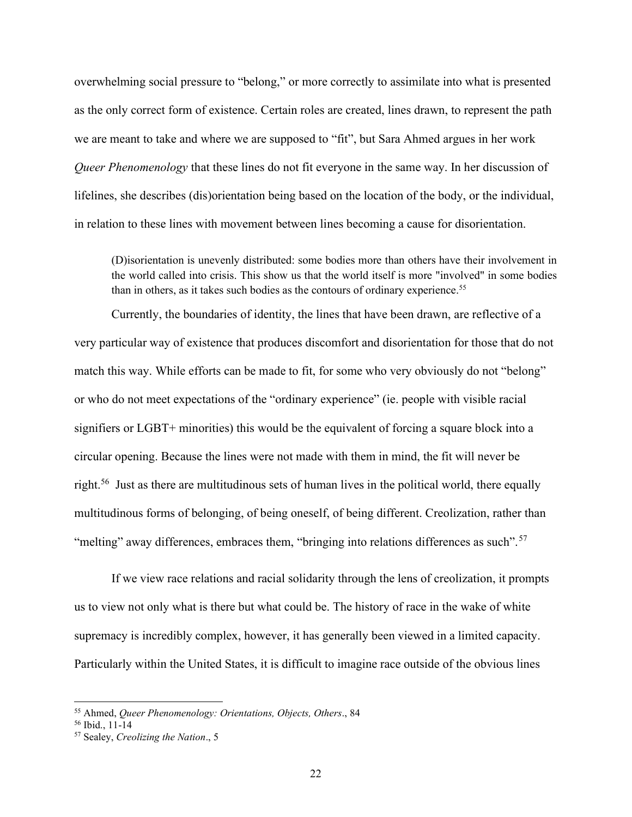overwhelming social pressure to "belong," or more correctly to assimilate into what is presented as the only correct form of existence. Certain roles are created, lines drawn, to represent the path we are meant to take and where we are supposed to "fit", but Sara Ahmed argues in her work Queer Phenomenology that these lines do not fit everyone in the same way. In her discussion of lifelines, she describes (dis)orientation being based on the location of the body, or the individual, in relation to these lines with movement between lines becoming a cause for disorientation.

(D)isorientation is unevenly distributed: some bodies more than others have their involvement in the world called into crisis. This show us that the world itself is more "involved" in some bodies than in others, as it takes such bodies as the contours of ordinary experience.<sup>55</sup>

Currently, the boundaries of identity, the lines that have been drawn, are reflective of a very particular way of existence that produces discomfort and disorientation for those that do not match this way. While efforts can be made to fit, for some who very obviously do not "belong" or who do not meet expectations of the "ordinary experience" (ie. people with visible racial signifiers or LGBT+ minorities) this would be the equivalent of forcing a square block into a circular opening. Because the lines were not made with them in mind, the fit will never be right.<sup>56</sup> Just as there are multitudinous sets of human lives in the political world, there equally multitudinous forms of belonging, of being oneself, of being different. Creolization, rather than "melting" away differences, embraces them, "bringing into relations differences as such".<sup>57</sup>

If we view race relations and racial solidarity through the lens of creolization, it prompts us to view not only what is there but what could be. The history of race in the wake of white supremacy is incredibly complex, however, it has generally been viewed in a limited capacity. Particularly within the United States, it is difficult to imagine race outside of the obvious lines

<sup>55</sup> Ahmed, Queer Phenomenology: Orientations, Objects, Others., 84

 $56$  Ibid., 11-14

<sup>57</sup> Sealey, Creolizing the Nation., 5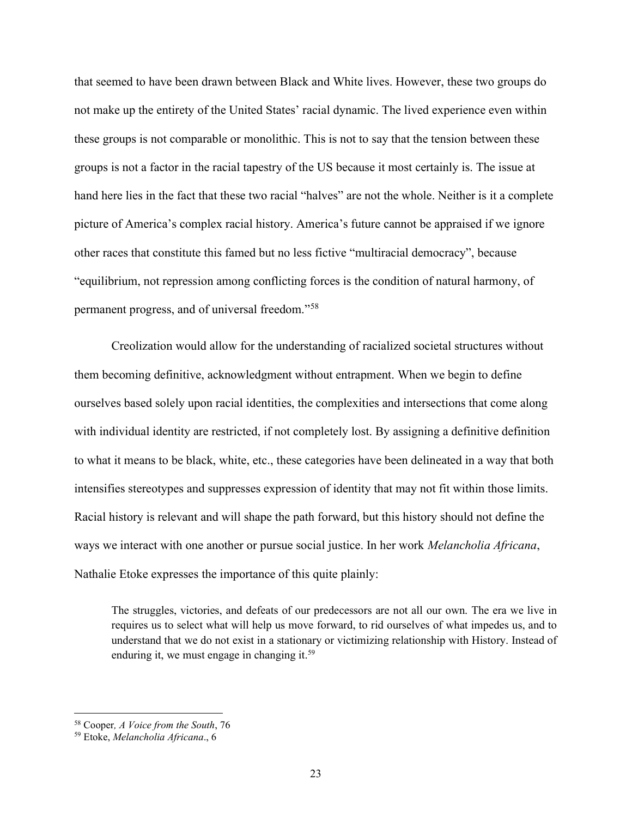that seemed to have been drawn between Black and White lives. However, these two groups do not make up the entirety of the United States' racial dynamic. The lived experience even within these groups is not comparable or monolithic. This is not to say that the tension between these groups is not a factor in the racial tapestry of the US because it most certainly is. The issue at hand here lies in the fact that these two racial "halves" are not the whole. Neither is it a complete picture of America's complex racial history. America's future cannot be appraised if we ignore other races that constitute this famed but no less fictive "multiracial democracy", because "equilibrium, not repression among conflicting forces is the condition of natural harmony, of permanent progress, and of universal freedom."<sup>58</sup>

Creolization would allow for the understanding of racialized societal structures without them becoming definitive, acknowledgment without entrapment. When we begin to define ourselves based solely upon racial identities, the complexities and intersections that come along with individual identity are restricted, if not completely lost. By assigning a definitive definition to what it means to be black, white, etc., these categories have been delineated in a way that both intensifies stereotypes and suppresses expression of identity that may not fit within those limits. Racial history is relevant and will shape the path forward, but this history should not define the ways we interact with one another or pursue social justice. In her work Melancholia Africana, Nathalie Etoke expresses the importance of this quite plainly:

The struggles, victories, and defeats of our predecessors are not all our own. The era we live in requires us to select what will help us move forward, to rid ourselves of what impedes us, and to understand that we do not exist in a stationary or victimizing relationship with History. Instead of enduring it, we must engage in changing it.<sup>59</sup>

<sup>&</sup>lt;sup>58</sup> Cooper, A Voice from the South, 76

<sup>59</sup> Etoke, Melancholia Africana., 6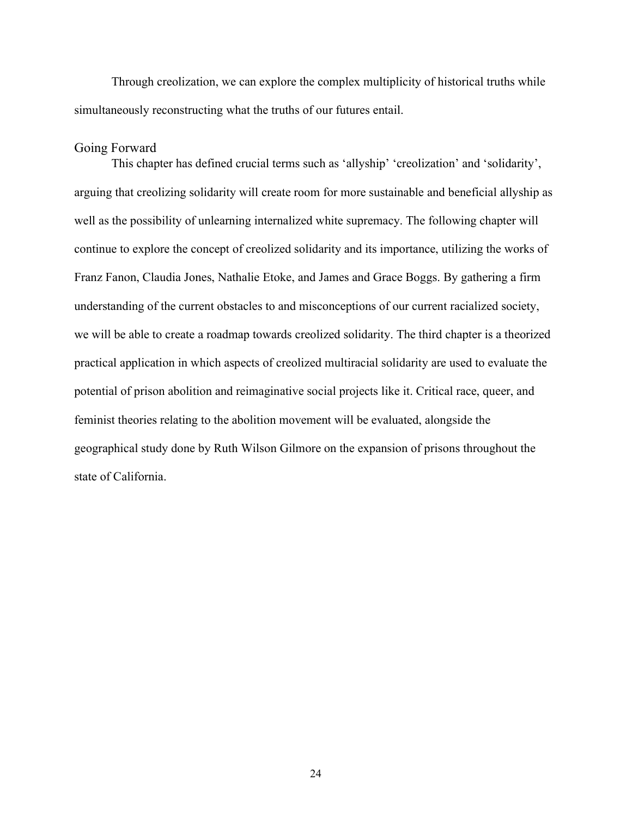Through creolization, we can explore the complex multiplicity of historical truths while simultaneously reconstructing what the truths of our futures entail.

# Going Forward

 This chapter has defined crucial terms such as 'allyship' 'creolization' and 'solidarity', arguing that creolizing solidarity will create room for more sustainable and beneficial allyship as well as the possibility of unlearning internalized white supremacy. The following chapter will continue to explore the concept of creolized solidarity and its importance, utilizing the works of Franz Fanon, Claudia Jones, Nathalie Etoke, and James and Grace Boggs. By gathering a firm understanding of the current obstacles to and misconceptions of our current racialized society, we will be able to create a roadmap towards creolized solidarity. The third chapter is a theorized practical application in which aspects of creolized multiracial solidarity are used to evaluate the potential of prison abolition and reimaginative social projects like it. Critical race, queer, and feminist theories relating to the abolition movement will be evaluated, alongside the geographical study done by Ruth Wilson Gilmore on the expansion of prisons throughout the state of California.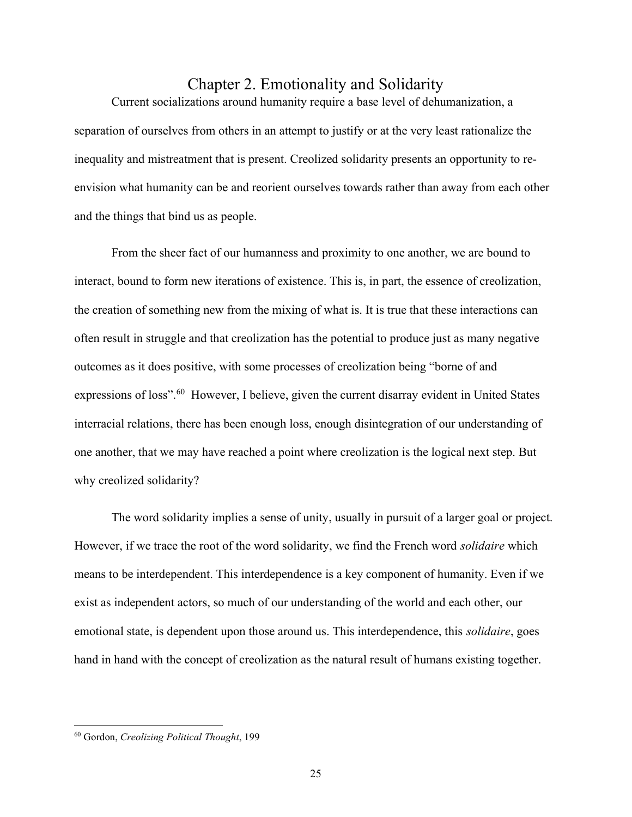# Chapter 2. Emotionality and Solidarity

Current socializations around humanity require a base level of dehumanization, a separation of ourselves from others in an attempt to justify or at the very least rationalize the inequality and mistreatment that is present. Creolized solidarity presents an opportunity to reenvision what humanity can be and reorient ourselves towards rather than away from each other and the things that bind us as people.

From the sheer fact of our humanness and proximity to one another, we are bound to interact, bound to form new iterations of existence. This is, in part, the essence of creolization, the creation of something new from the mixing of what is. It is true that these interactions can often result in struggle and that creolization has the potential to produce just as many negative outcomes as it does positive, with some processes of creolization being "borne of and expressions of loss".<sup>60</sup> However, I believe, given the current disarray evident in United States interracial relations, there has been enough loss, enough disintegration of our understanding of one another, that we may have reached a point where creolization is the logical next step. But why creolized solidarity?

 The word solidarity implies a sense of unity, usually in pursuit of a larger goal or project. However, if we trace the root of the word solidarity, we find the French word *solidaire* which means to be interdependent. This interdependence is a key component of humanity. Even if we exist as independent actors, so much of our understanding of the world and each other, our emotional state, is dependent upon those around us. This interdependence, this *solidaire*, goes hand in hand with the concept of creolization as the natural result of humans existing together.

<sup>60</sup> Gordon, Creolizing Political Thought, 199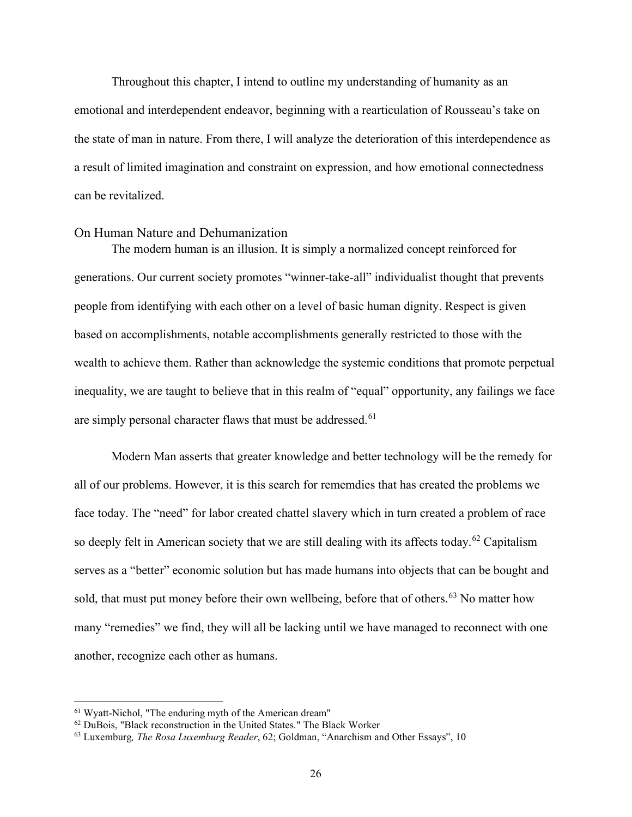Throughout this chapter, I intend to outline my understanding of humanity as an emotional and interdependent endeavor, beginning with a rearticulation of Rousseau's take on the state of man in nature. From there, I will analyze the deterioration of this interdependence as a result of limited imagination and constraint on expression, and how emotional connectedness can be revitalized.

## On Human Nature and Dehumanization

The modern human is an illusion. It is simply a normalized concept reinforced for generations. Our current society promotes "winner-take-all" individualist thought that prevents people from identifying with each other on a level of basic human dignity. Respect is given based on accomplishments, notable accomplishments generally restricted to those with the wealth to achieve them. Rather than acknowledge the systemic conditions that promote perpetual inequality, we are taught to believe that in this realm of "equal" opportunity, any failings we face are simply personal character flaws that must be addressed.<sup>61</sup>

Modern Man asserts that greater knowledge and better technology will be the remedy for all of our problems. However, it is this search for rememdies that has created the problems we face today. The "need" for labor created chattel slavery which in turn created a problem of race so deeply felt in American society that we are still dealing with its affects today.<sup>62</sup> Capitalism serves as a "better" economic solution but has made humans into objects that can be bought and sold, that must put money before their own wellbeing, before that of others.<sup>63</sup> No matter how many "remedies" we find, they will all be lacking until we have managed to reconnect with one another, recognize each other as humans.

<sup>61</sup> Wyatt-Nichol, "The enduring myth of the American dream"

<sup>&</sup>lt;sup>62</sup> DuBois, "Black reconstruction in the United States." The Black Worker

<sup>&</sup>lt;sup>63</sup> Luxemburg, *The Rosa Luxemburg Reader*, 62; Goldman, "Anarchism and Other Essays", 10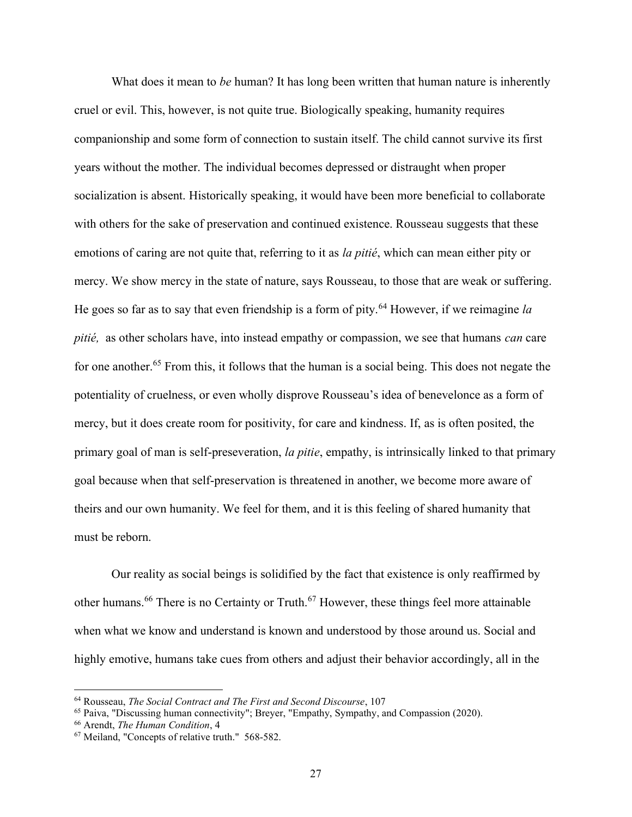What does it mean to be human? It has long been written that human nature is inherently cruel or evil. This, however, is not quite true. Biologically speaking, humanity requires companionship and some form of connection to sustain itself. The child cannot survive its first years without the mother. The individual becomes depressed or distraught when proper socialization is absent. Historically speaking, it would have been more beneficial to collaborate with others for the sake of preservation and continued existence. Rousseau suggests that these emotions of caring are not quite that, referring to it as *la pitié*, which can mean either pity or mercy. We show mercy in the state of nature, says Rousseau, to those that are weak or suffering. He goes so far as to say that even friendship is a form of pity.<sup>64</sup> However, if we reimagine la pitié, as other scholars have, into instead empathy or compassion, we see that humans *can* care for one another.<sup>65</sup> From this, it follows that the human is a social being. This does not negate the potentiality of cruelness, or even wholly disprove Rousseau's idea of benevelonce as a form of mercy, but it does create room for positivity, for care and kindness. If, as is often posited, the primary goal of man is self-preseveration, la pitie, empathy, is intrinsically linked to that primary goal because when that self-preservation is threatened in another, we become more aware of theirs and our own humanity. We feel for them, and it is this feeling of shared humanity that must be reborn.

Our reality as social beings is solidified by the fact that existence is only reaffirmed by other humans.<sup>66</sup> There is no Certainty or Truth.<sup>67</sup> However, these things feel more attainable when what we know and understand is known and understood by those around us. Social and highly emotive, humans take cues from others and adjust their behavior accordingly, all in the

<sup>64</sup> Rousseau, The Social Contract and The First and Second Discourse, 107

<sup>65</sup> Paiva, "Discussing human connectivity"; Breyer, "Empathy, Sympathy, and Compassion (2020).

<sup>66</sup> Arendt, The Human Condition, 4

<sup>67</sup> Meiland, "Concepts of relative truth." 568-582.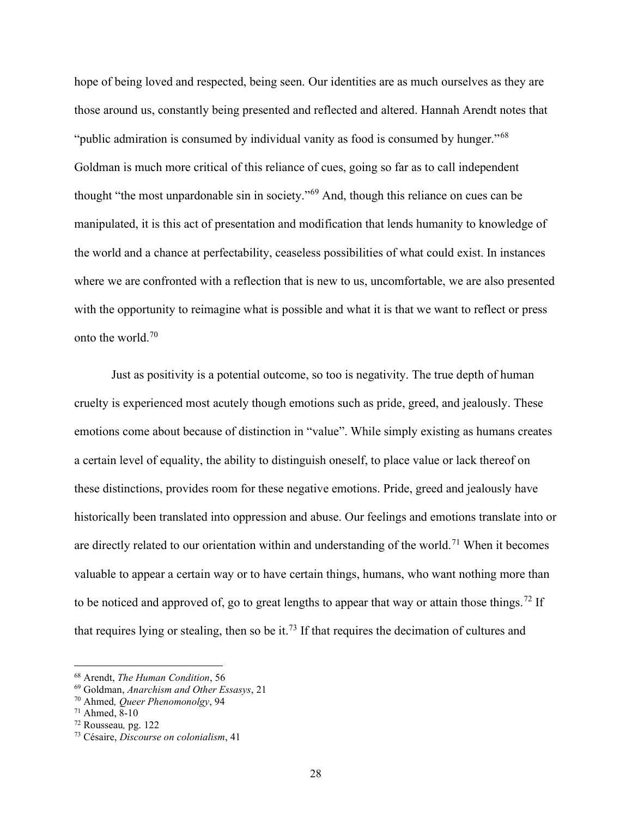hope of being loved and respected, being seen. Our identities are as much ourselves as they are those around us, constantly being presented and reflected and altered. Hannah Arendt notes that "public admiration is consumed by individual vanity as food is consumed by hunger."<sup>68</sup> Goldman is much more critical of this reliance of cues, going so far as to call independent thought "the most unpardonable sin in society."<sup>69</sup> And, though this reliance on cues can be manipulated, it is this act of presentation and modification that lends humanity to knowledge of the world and a chance at perfectability, ceaseless possibilities of what could exist. In instances where we are confronted with a reflection that is new to us, uncomfortable, we are also presented with the opportunity to reimagine what is possible and what it is that we want to reflect or press onto the world.<sup>70</sup>

Just as positivity is a potential outcome, so too is negativity. The true depth of human cruelty is experienced most acutely though emotions such as pride, greed, and jealously. These emotions come about because of distinction in "value". While simply existing as humans creates a certain level of equality, the ability to distinguish oneself, to place value or lack thereof on these distinctions, provides room for these negative emotions. Pride, greed and jealously have historically been translated into oppression and abuse. Our feelings and emotions translate into or are directly related to our orientation within and understanding of the world.<sup>71</sup> When it becomes valuable to appear a certain way or to have certain things, humans, who want nothing more than to be noticed and approved of, go to great lengths to appear that way or attain those things.<sup>72</sup> If that requires lying or stealing, then so be it.<sup>73</sup> If that requires the decimation of cultures and

<sup>68</sup> Arendt, The Human Condition, 56

 $69$  Goldman, Anarchism and Other Essasys, 21

<sup>70</sup> Ahmed, Queer Phenomonolgy, 94

 $71$  Ahmed,  $8-10$ 

<sup>72</sup> Rousseau, pg. 122

<sup>73</sup> Césaire, Discourse on colonialism, 41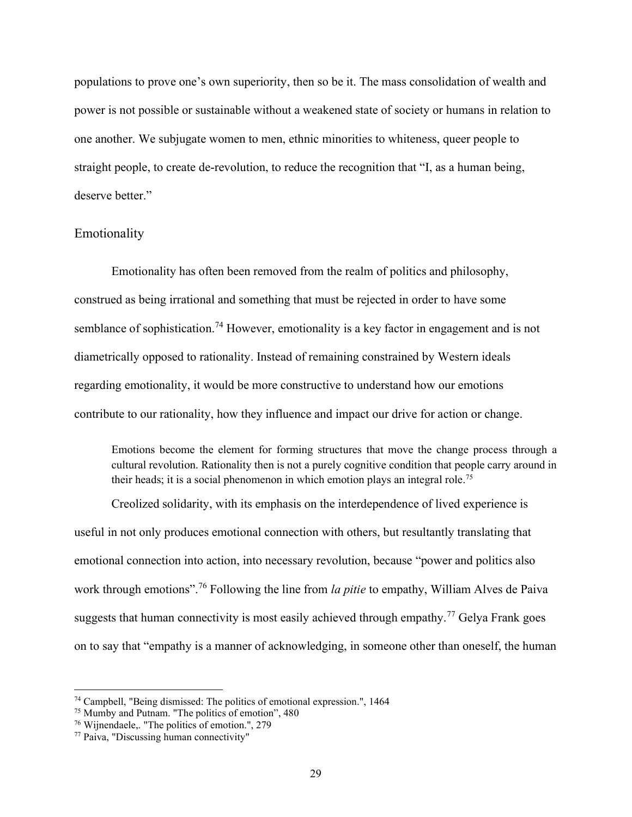populations to prove one's own superiority, then so be it. The mass consolidation of wealth and power is not possible or sustainable without a weakened state of society or humans in relation to one another. We subjugate women to men, ethnic minorities to whiteness, queer people to straight people, to create de-revolution, to reduce the recognition that "I, as a human being, deserve better."

# Emotionality

Emotionality has often been removed from the realm of politics and philosophy, construed as being irrational and something that must be rejected in order to have some semblance of sophistication.<sup>74</sup> However, emotionality is a key factor in engagement and is not diametrically opposed to rationality. Instead of remaining constrained by Western ideals regarding emotionality, it would be more constructive to understand how our emotions contribute to our rationality, how they influence and impact our drive for action or change.

Emotions become the element for forming structures that move the change process through a cultural revolution. Rationality then is not a purely cognitive condition that people carry around in their heads; it is a social phenomenon in which emotion plays an integral role.<sup>75</sup>

Creolized solidarity, with its emphasis on the interdependence of lived experience is useful in not only produces emotional connection with others, but resultantly translating that emotional connection into action, into necessary revolution, because "power and politics also work through emotions".<sup>76</sup> Following the line from *la pitie* to empathy, William Alves de Paiva suggests that human connectivity is most easily achieved through empathy.<sup>77</sup> Gelya Frank goes on to say that "empathy is a manner of acknowledging, in someone other than oneself, the human

<sup>74</sup> Campbell, "Being dismissed: The politics of emotional expression.", 1464

<sup>75</sup> Mumby and Putnam. "The politics of emotion", 480

<sup>76</sup> Wijnendaele,. "The politics of emotion.", 279

<sup>77</sup> Paiva, "Discussing human connectivity"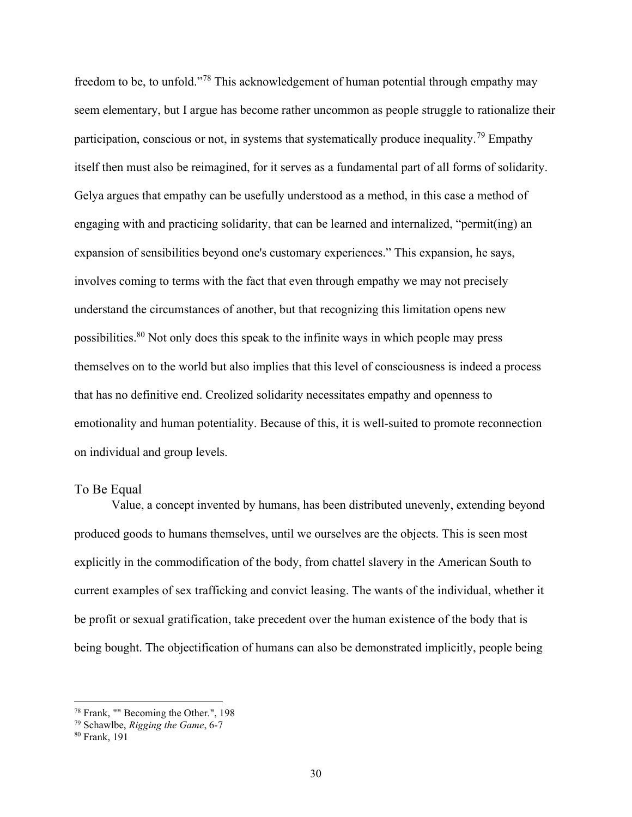freedom to be, to unfold."<sup>78</sup> This acknowledgement of human potential through empathy may seem elementary, but I argue has become rather uncommon as people struggle to rationalize their participation, conscious or not, in systems that systematically produce inequality.<sup>79</sup> Empathy itself then must also be reimagined, for it serves as a fundamental part of all forms of solidarity. Gelya argues that empathy can be usefully understood as a method, in this case a method of engaging with and practicing solidarity, that can be learned and internalized, "permit(ing) an expansion of sensibilities beyond one's customary experiences." This expansion, he says, involves coming to terms with the fact that even through empathy we may not precisely understand the circumstances of another, but that recognizing this limitation opens new possibilities.<sup>80</sup> Not only does this speak to the infinite ways in which people may press themselves on to the world but also implies that this level of consciousness is indeed a process that has no definitive end. Creolized solidarity necessitates empathy and openness to emotionality and human potentiality. Because of this, it is well-suited to promote reconnection on individual and group levels.

# To Be Equal

Value, a concept invented by humans, has been distributed unevenly, extending beyond produced goods to humans themselves, until we ourselves are the objects. This is seen most explicitly in the commodification of the body, from chattel slavery in the American South to current examples of sex trafficking and convict leasing. The wants of the individual, whether it be profit or sexual gratification, take precedent over the human existence of the body that is being bought. The objectification of humans can also be demonstrated implicitly, people being

<sup>78</sup> Frank, "" Becoming the Other.", 198

 $79$  Schawlbe, Rigging the Game, 6-7

<sup>80</sup> Frank, 191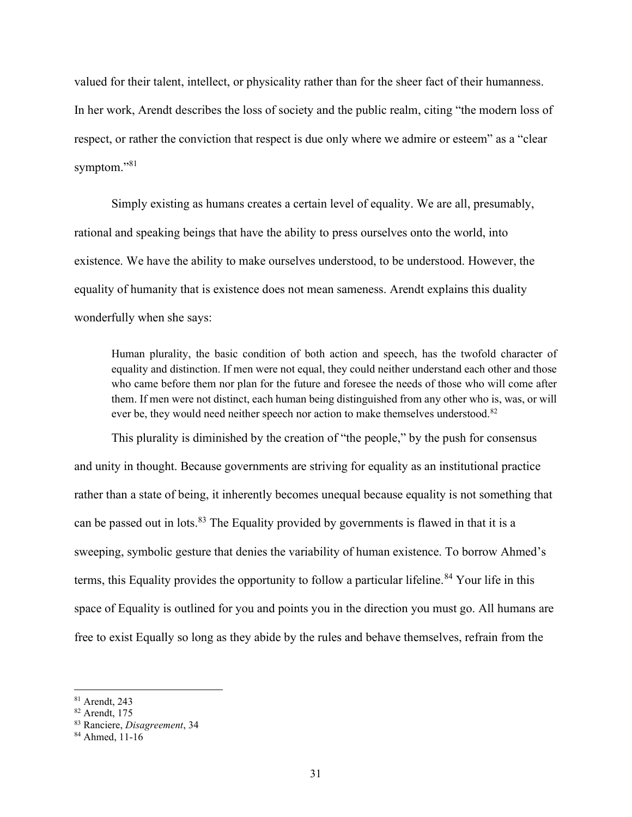valued for their talent, intellect, or physicality rather than for the sheer fact of their humanness. In her work, Arendt describes the loss of society and the public realm, citing "the modern loss of respect, or rather the conviction that respect is due only where we admire or esteem" as a "clear symptom."<sup>81</sup>

Simply existing as humans creates a certain level of equality. We are all, presumably, rational and speaking beings that have the ability to press ourselves onto the world, into existence. We have the ability to make ourselves understood, to be understood. However, the equality of humanity that is existence does not mean sameness. Arendt explains this duality wonderfully when she says:

Human plurality, the basic condition of both action and speech, has the twofold character of equality and distinction. If men were not equal, they could neither understand each other and those who came before them nor plan for the future and foresee the needs of those who will come after them. If men were not distinct, each human being distinguished from any other who is, was, or will ever be, they would need neither speech nor action to make themselves understood.<sup>82</sup>

This plurality is diminished by the creation of "the people," by the push for consensus and unity in thought. Because governments are striving for equality as an institutional practice rather than a state of being, it inherently becomes unequal because equality is not something that can be passed out in lots.<sup>83</sup> The Equality provided by governments is flawed in that it is a sweeping, symbolic gesture that denies the variability of human existence. To borrow Ahmed's terms, this Equality provides the opportunity to follow a particular lifeline.<sup>84</sup> Your life in this space of Equality is outlined for you and points you in the direction you must go. All humans are free to exist Equally so long as they abide by the rules and behave themselves, refrain from the

<sup>81</sup> Arendt, 243

<sup>82</sup> Arendt, 175

<sup>83</sup> Ranciere, Disagreement, 34

<sup>84</sup> Ahmed, 11-16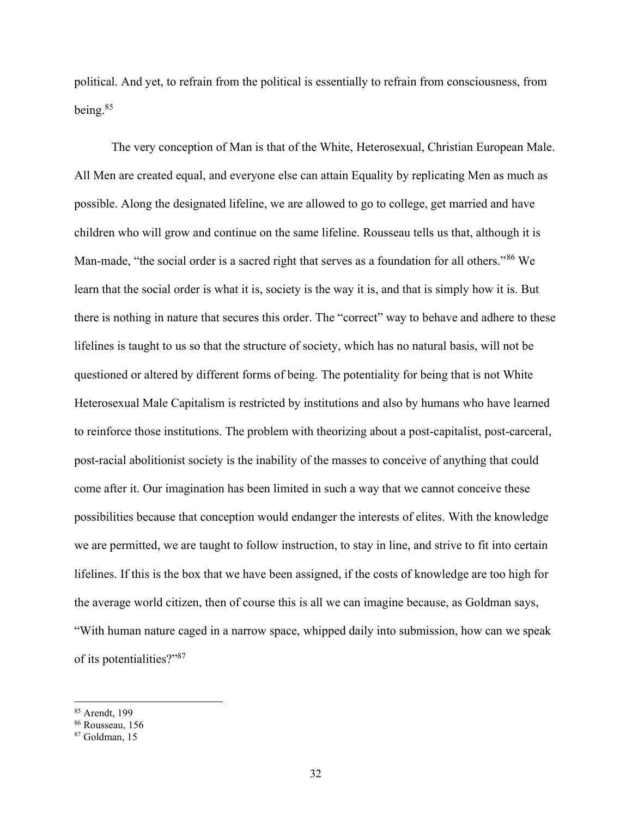political. And yet, to refrain from the political is essentially to refrain from consciousness, from being.<sup>85</sup>

The very conception of Man is that of the White, Heterosexual, Christian European Male. All Men are created equal, and everyone else can attain Equality by replicating Men as much as possible. Along the designated lifeline, we are allowed to go to college, get married and have children who will grow and continue on the same lifeline. Rousseau tells us that, although it is Man-made, "the social order is a sacred right that serves as a foundation for all others."<sup>86</sup> We learn that the social order is what it is, society is the way it is, and that is simply how it is. But there is nothing in nature that secures this order. The "correct" way to behave and adhere to these lifelines is taught to us so that the structure of society, which has no natural basis, will not be questioned or altered by different forms of being. The potentiality for being that is not White Heterosexual Male Capitalism is restricted by institutions and also by humans who have learned to reinforce those institutions. The problem with theorizing about a post-capitalist, post-carceral, post-racial abolitionist society is the inability of the masses to conceive of anything that could come after it. Our imagination has been limited in such a way that we cannot conceive these possibilities because that conception would endanger the interests of elites. With the knowledge we are permitted, we are taught to follow instruction, to stay in line, and strive to fit into certain lifelines. If this is the box that we have been assigned, if the costs of knowledge are too high for the average world citizen, then of course this is all we can imagine because, as Goldman says, "With human nature caged in a narrow space, whipped daily into submission, how can we speak of its potentialities?"<sup>87</sup>

<sup>85</sup> Arendt, 199

<sup>86</sup> Rousseau, 156

<sup>87</sup> Goldman, 15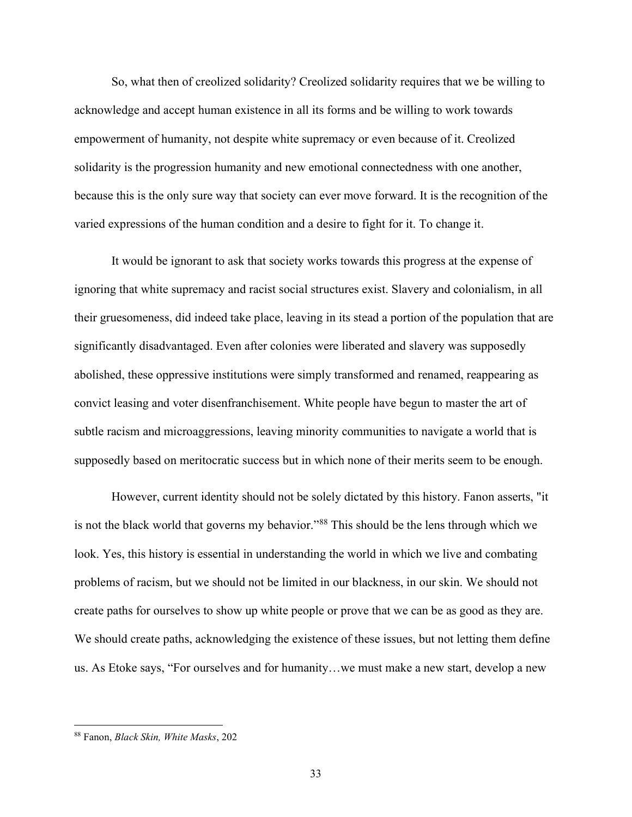So, what then of creolized solidarity? Creolized solidarity requires that we be willing to acknowledge and accept human existence in all its forms and be willing to work towards empowerment of humanity, not despite white supremacy or even because of it. Creolized solidarity is the progression humanity and new emotional connectedness with one another, because this is the only sure way that society can ever move forward. It is the recognition of the varied expressions of the human condition and a desire to fight for it. To change it.

It would be ignorant to ask that society works towards this progress at the expense of ignoring that white supremacy and racist social structures exist. Slavery and colonialism, in all their gruesomeness, did indeed take place, leaving in its stead a portion of the population that are significantly disadvantaged. Even after colonies were liberated and slavery was supposedly abolished, these oppressive institutions were simply transformed and renamed, reappearing as convict leasing and voter disenfranchisement. White people have begun to master the art of subtle racism and microaggressions, leaving minority communities to navigate a world that is supposedly based on meritocratic success but in which none of their merits seem to be enough.

However, current identity should not be solely dictated by this history. Fanon asserts, "it is not the black world that governs my behavior."<sup>88</sup> This should be the lens through which we look. Yes, this history is essential in understanding the world in which we live and combating problems of racism, but we should not be limited in our blackness, in our skin. We should not create paths for ourselves to show up white people or prove that we can be as good as they are. We should create paths, acknowledging the existence of these issues, but not letting them define us. As Etoke says, "For ourselves and for humanity…we must make a new start, develop a new

<sup>88</sup> Fanon, Black Skin, White Masks, 202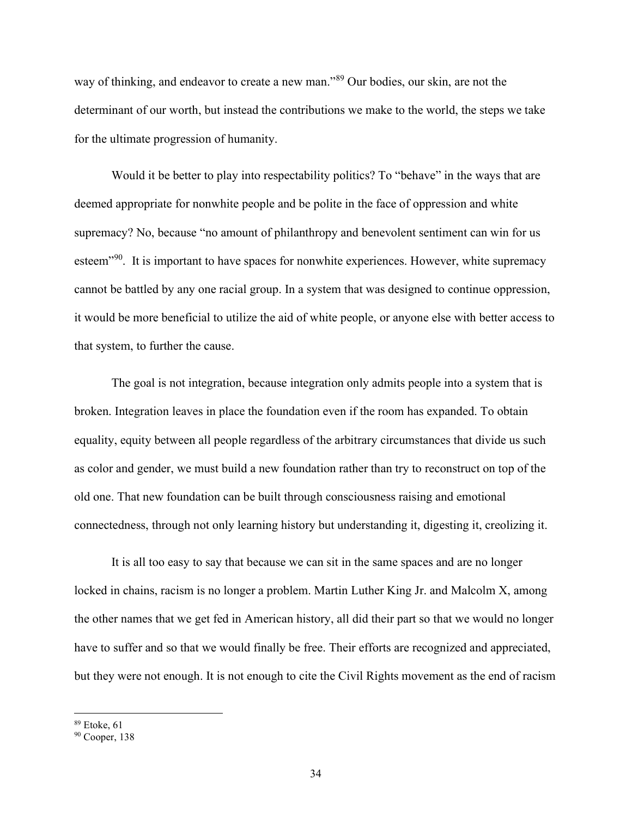way of thinking, and endeavor to create a new man."<sup>89</sup> Our bodies, our skin, are not the determinant of our worth, but instead the contributions we make to the world, the steps we take for the ultimate progression of humanity.

Would it be better to play into respectability politics? To "behave" in the ways that are deemed appropriate for nonwhite people and be polite in the face of oppression and white supremacy? No, because "no amount of philanthropy and benevolent sentiment can win for us esteem<sup>"90</sup>. It is important to have spaces for nonwhite experiences. However, white supremacy cannot be battled by any one racial group. In a system that was designed to continue oppression, it would be more beneficial to utilize the aid of white people, or anyone else with better access to that system, to further the cause.

The goal is not integration, because integration only admits people into a system that is broken. Integration leaves in place the foundation even if the room has expanded. To obtain equality, equity between all people regardless of the arbitrary circumstances that divide us such as color and gender, we must build a new foundation rather than try to reconstruct on top of the old one. That new foundation can be built through consciousness raising and emotional connectedness, through not only learning history but understanding it, digesting it, creolizing it.

It is all too easy to say that because we can sit in the same spaces and are no longer locked in chains, racism is no longer a problem. Martin Luther King Jr. and Malcolm X, among the other names that we get fed in American history, all did their part so that we would no longer have to suffer and so that we would finally be free. Their efforts are recognized and appreciated, but they were not enough. It is not enough to cite the Civil Rights movement as the end of racism

<sup>89</sup> Etoke, 61

<sup>90</sup> Cooper, 138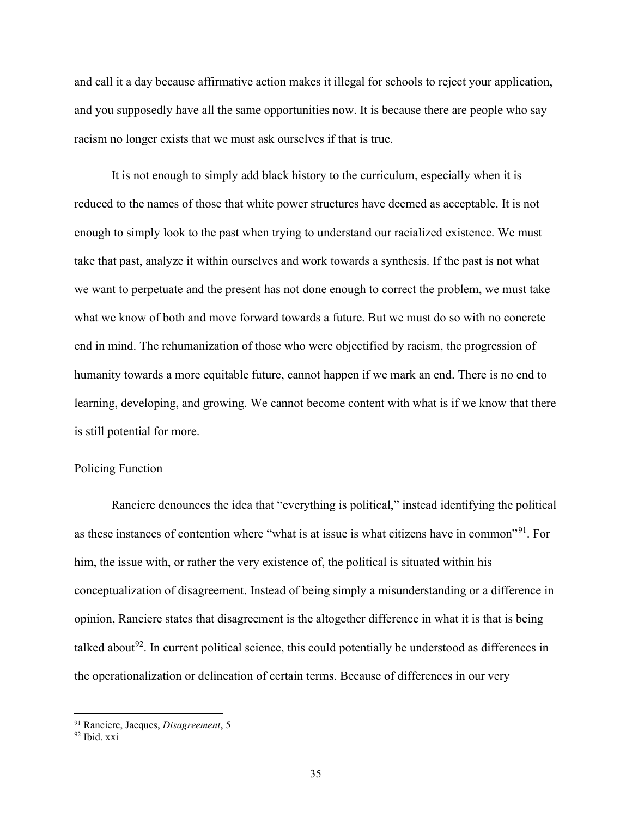and call it a day because affirmative action makes it illegal for schools to reject your application, and you supposedly have all the same opportunities now. It is because there are people who say racism no longer exists that we must ask ourselves if that is true.

It is not enough to simply add black history to the curriculum, especially when it is reduced to the names of those that white power structures have deemed as acceptable. It is not enough to simply look to the past when trying to understand our racialized existence. We must take that past, analyze it within ourselves and work towards a synthesis. If the past is not what we want to perpetuate and the present has not done enough to correct the problem, we must take what we know of both and move forward towards a future. But we must do so with no concrete end in mind. The rehumanization of those who were objectified by racism, the progression of humanity towards a more equitable future, cannot happen if we mark an end. There is no end to learning, developing, and growing. We cannot become content with what is if we know that there is still potential for more.

## Policing Function

Ranciere denounces the idea that "everything is political," instead identifying the political as these instances of contention where "what is at issue is what citizens have in common"<sup>91</sup>. For him, the issue with, or rather the very existence of, the political is situated within his conceptualization of disagreement. Instead of being simply a misunderstanding or a difference in opinion, Ranciere states that disagreement is the altogether difference in what it is that is being talked about<sup>92</sup>. In current political science, this could potentially be understood as differences in the operationalization or delineation of certain terms. Because of differences in our very

<sup>&</sup>lt;sup>91</sup> Ranciere, Jacques, Disagreement, 5

<sup>92</sup> Ibid. xxi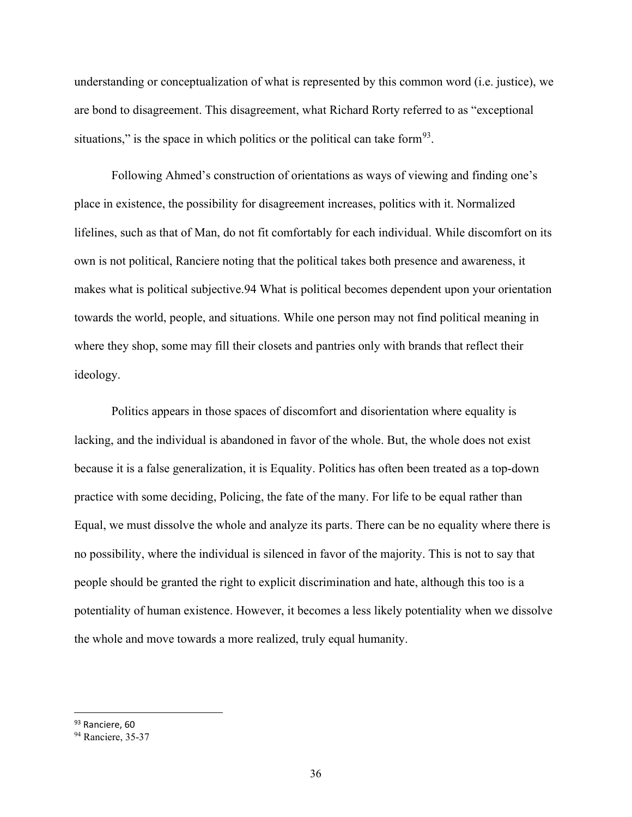understanding or conceptualization of what is represented by this common word (i.e. justice), we are bond to disagreement. This disagreement, what Richard Rorty referred to as "exceptional situations," is the space in which politics or the political can take form<sup>93</sup>.

Following Ahmed's construction of orientations as ways of viewing and finding one's place in existence, the possibility for disagreement increases, politics with it. Normalized lifelines, such as that of Man, do not fit comfortably for each individual. While discomfort on its own is not political, Ranciere noting that the political takes both presence and awareness, it makes what is political subjective.94 What is political becomes dependent upon your orientation towards the world, people, and situations. While one person may not find political meaning in where they shop, some may fill their closets and pantries only with brands that reflect their ideology.

Politics appears in those spaces of discomfort and disorientation where equality is lacking, and the individual is abandoned in favor of the whole. But, the whole does not exist because it is a false generalization, it is Equality. Politics has often been treated as a top-down practice with some deciding, Policing, the fate of the many. For life to be equal rather than Equal, we must dissolve the whole and analyze its parts. There can be no equality where there is no possibility, where the individual is silenced in favor of the majority. This is not to say that people should be granted the right to explicit discrimination and hate, although this too is a potentiality of human existence. However, it becomes a less likely potentiality when we dissolve the whole and move towards a more realized, truly equal humanity.

<sup>93</sup> Ranciere, 60

<sup>&</sup>lt;sup>94</sup> Ranciere, 35-37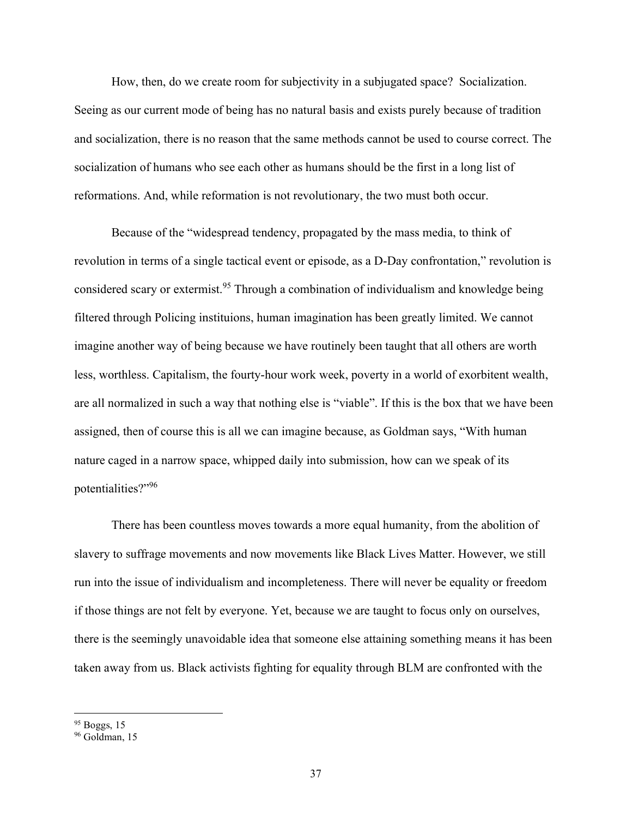How, then, do we create room for subjectivity in a subjugated space? Socialization. Seeing as our current mode of being has no natural basis and exists purely because of tradition and socialization, there is no reason that the same methods cannot be used to course correct. The socialization of humans who see each other as humans should be the first in a long list of reformations. And, while reformation is not revolutionary, the two must both occur.

Because of the "widespread tendency, propagated by the mass media, to think of revolution in terms of a single tactical event or episode, as a D-Day confrontation," revolution is considered scary or extermist.<sup>95</sup> Through a combination of individualism and knowledge being filtered through Policing instituions, human imagination has been greatly limited. We cannot imagine another way of being because we have routinely been taught that all others are worth less, worthless. Capitalism, the fourty-hour work week, poverty in a world of exorbitent wealth, are all normalized in such a way that nothing else is "viable". If this is the box that we have been assigned, then of course this is all we can imagine because, as Goldman says, "With human nature caged in a narrow space, whipped daily into submission, how can we speak of its potentialities?"<sup>96</sup>

There has been countless moves towards a more equal humanity, from the abolition of slavery to suffrage movements and now movements like Black Lives Matter. However, we still run into the issue of individualism and incompleteness. There will never be equality or freedom if those things are not felt by everyone. Yet, because we are taught to focus only on ourselves, there is the seemingly unavoidable idea that someone else attaining something means it has been taken away from us. Black activists fighting for equality through BLM are confronted with the

<sup>&</sup>lt;sup>95</sup> Boggs, 15

<sup>&</sup>lt;sup>96</sup> Goldman, 15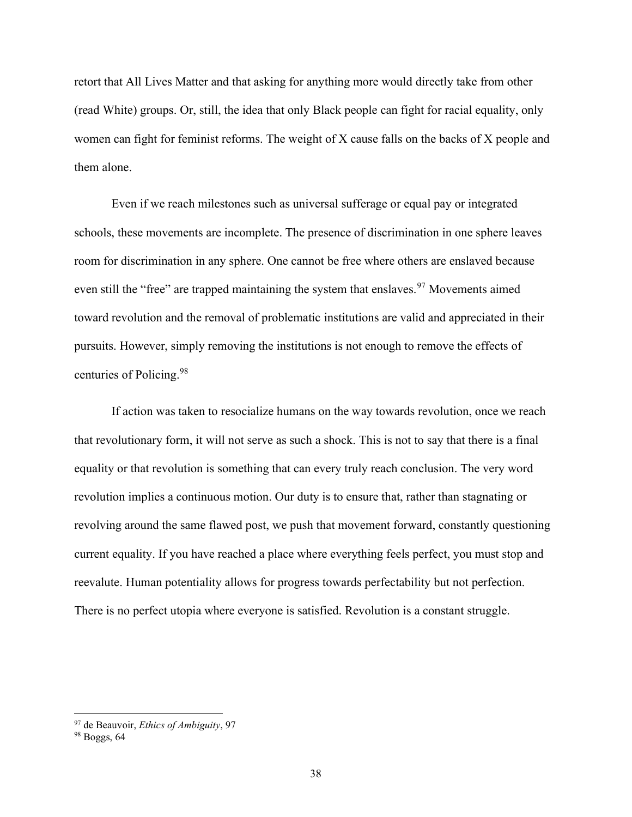retort that All Lives Matter and that asking for anything more would directly take from other (read White) groups. Or, still, the idea that only Black people can fight for racial equality, only women can fight for feminist reforms. The weight of X cause falls on the backs of X people and them alone.

Even if we reach milestones such as universal sufferage or equal pay or integrated schools, these movements are incomplete. The presence of discrimination in one sphere leaves room for discrimination in any sphere. One cannot be free where others are enslaved because even still the "free" are trapped maintaining the system that enslaves.<sup>97</sup> Movements aimed toward revolution and the removal of problematic institutions are valid and appreciated in their pursuits. However, simply removing the institutions is not enough to remove the effects of centuries of Policing.<sup>98</sup>

If action was taken to resocialize humans on the way towards revolution, once we reach that revolutionary form, it will not serve as such a shock. This is not to say that there is a final equality or that revolution is something that can every truly reach conclusion. The very word revolution implies a continuous motion. Our duty is to ensure that, rather than stagnating or revolving around the same flawed post, we push that movement forward, constantly questioning current equality. If you have reached a place where everything feels perfect, you must stop and reevalute. Human potentiality allows for progress towards perfectability but not perfection. There is no perfect utopia where everyone is satisfied. Revolution is a constant struggle.

 $97$  de Beauvoir, *Ethics of Ambiguity*, 97

<sup>98</sup> Boggs, 64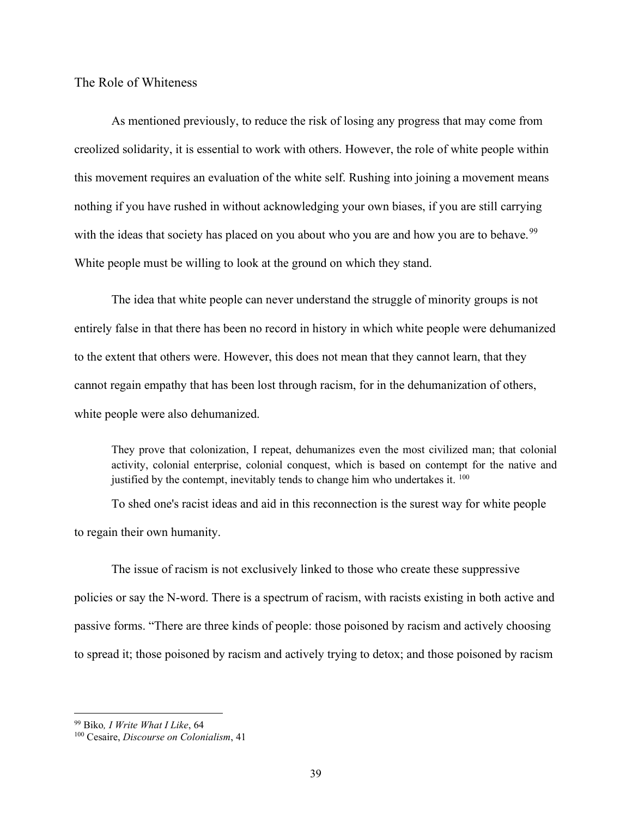The Role of Whiteness

As mentioned previously, to reduce the risk of losing any progress that may come from creolized solidarity, it is essential to work with others. However, the role of white people within this movement requires an evaluation of the white self. Rushing into joining a movement means nothing if you have rushed in without acknowledging your own biases, if you are still carrying with the ideas that society has placed on you about who you are and how you are to behave.<sup>99</sup> White people must be willing to look at the ground on which they stand.

The idea that white people can never understand the struggle of minority groups is not entirely false in that there has been no record in history in which white people were dehumanized to the extent that others were. However, this does not mean that they cannot learn, that they cannot regain empathy that has been lost through racism, for in the dehumanization of others, white people were also dehumanized.

They prove that colonization, I repeat, dehumanizes even the most civilized man; that colonial activity, colonial enterprise, colonial conquest, which is based on contempt for the native and justified by the contempt, inevitably tends to change him who undertakes it.  $^{100}$ 

To shed one's racist ideas and aid in this reconnection is the surest way for white people to regain their own humanity.

The issue of racism is not exclusively linked to those who create these suppressive policies or say the N-word. There is a spectrum of racism, with racists existing in both active and passive forms. "There are three kinds of people: those poisoned by racism and actively choosing to spread it; those poisoned by racism and actively trying to detox; and those poisoned by racism

<sup>&</sup>lt;sup>99</sup> Biko, *I Write What I Like*, 64

<sup>&</sup>lt;sup>100</sup> Cesaire, Discourse on Colonialism, 41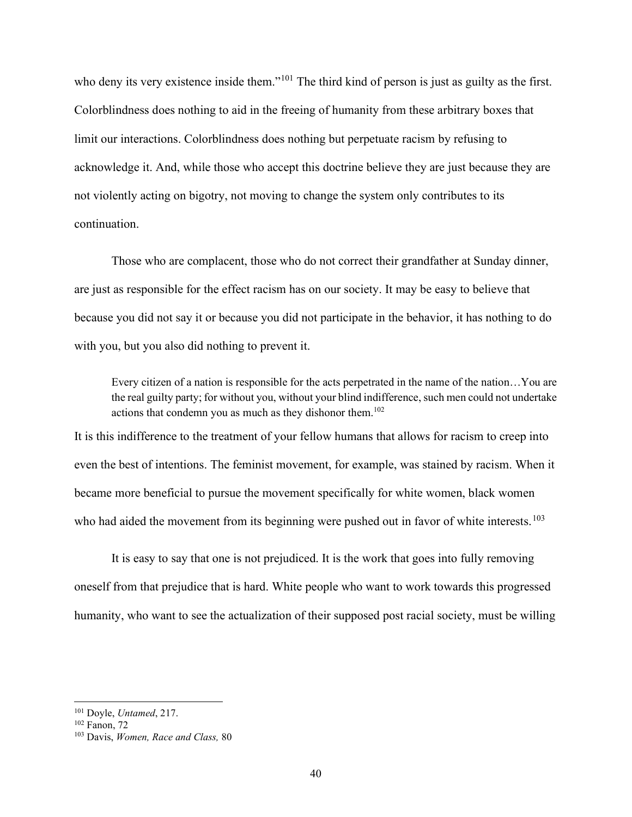who deny its very existence inside them."<sup>101</sup> The third kind of person is just as guilty as the first. Colorblindness does nothing to aid in the freeing of humanity from these arbitrary boxes that limit our interactions. Colorblindness does nothing but perpetuate racism by refusing to acknowledge it. And, while those who accept this doctrine believe they are just because they are not violently acting on bigotry, not moving to change the system only contributes to its continuation.

Those who are complacent, those who do not correct their grandfather at Sunday dinner, are just as responsible for the effect racism has on our society. It may be easy to believe that because you did not say it or because you did not participate in the behavior, it has nothing to do with you, but you also did nothing to prevent it.

Every citizen of a nation is responsible for the acts perpetrated in the name of the nation…You are the real guilty party; for without you, without your blind indifference, such men could not undertake actions that condemn you as much as they dishonor them.<sup>102</sup>

It is this indifference to the treatment of your fellow humans that allows for racism to creep into even the best of intentions. The feminist movement, for example, was stained by racism. When it became more beneficial to pursue the movement specifically for white women, black women who had aided the movement from its beginning were pushed out in favor of white interests.<sup>103</sup>

It is easy to say that one is not prejudiced. It is the work that goes into fully removing oneself from that prejudice that is hard. White people who want to work towards this progressed humanity, who want to see the actualization of their supposed post racial society, must be willing

<sup>101</sup> Doyle, Untamed, 217.

<sup>102</sup> Fanon, 72

<sup>103</sup> Davis, Women, Race and Class, 80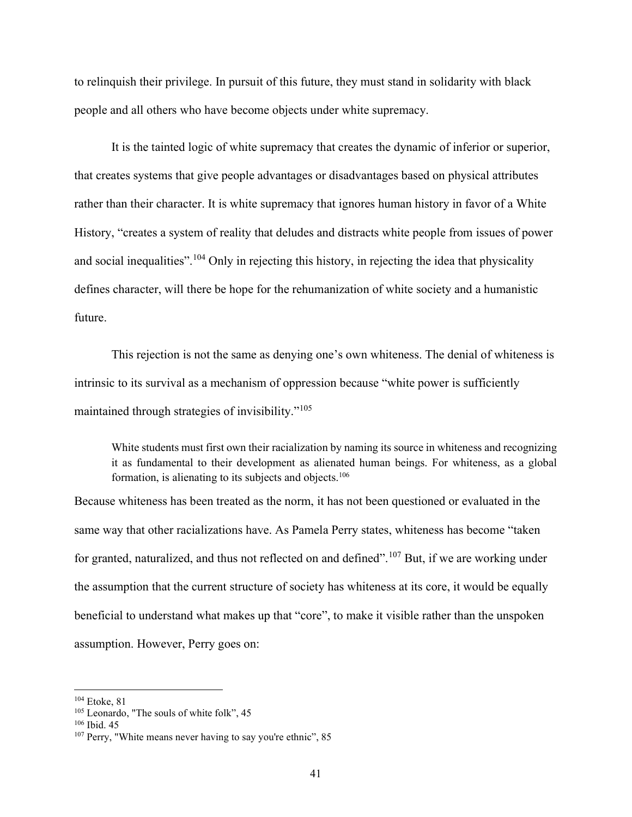to relinquish their privilege. In pursuit of this future, they must stand in solidarity with black people and all others who have become objects under white supremacy.

It is the tainted logic of white supremacy that creates the dynamic of inferior or superior, that creates systems that give people advantages or disadvantages based on physical attributes rather than their character. It is white supremacy that ignores human history in favor of a White History, "creates a system of reality that deludes and distracts white people from issues of power and social inequalities".<sup>104</sup> Only in rejecting this history, in rejecting the idea that physicality defines character, will there be hope for the rehumanization of white society and a humanistic future.

This rejection is not the same as denying one's own whiteness. The denial of whiteness is intrinsic to its survival as a mechanism of oppression because "white power is sufficiently maintained through strategies of invisibility."<sup>105</sup>

White students must first own their racialization by naming its source in whiteness and recognizing it as fundamental to their development as alienated human beings. For whiteness, as a global formation, is alienating to its subjects and objects.<sup>106</sup>

Because whiteness has been treated as the norm, it has not been questioned or evaluated in the same way that other racializations have. As Pamela Perry states, whiteness has become "taken for granted, naturalized, and thus not reflected on and defined".<sup>107</sup> But, if we are working under the assumption that the current structure of society has whiteness at its core, it would be equally beneficial to understand what makes up that "core", to make it visible rather than the unspoken assumption. However, Perry goes on:

<sup>104</sup> Etoke, 81

<sup>&</sup>lt;sup>105</sup> Leonardo, "The souls of white folk", 45

 $106$  Ibid. 45

<sup>&</sup>lt;sup>107</sup> Perry, "White means never having to say you're ethnic", 85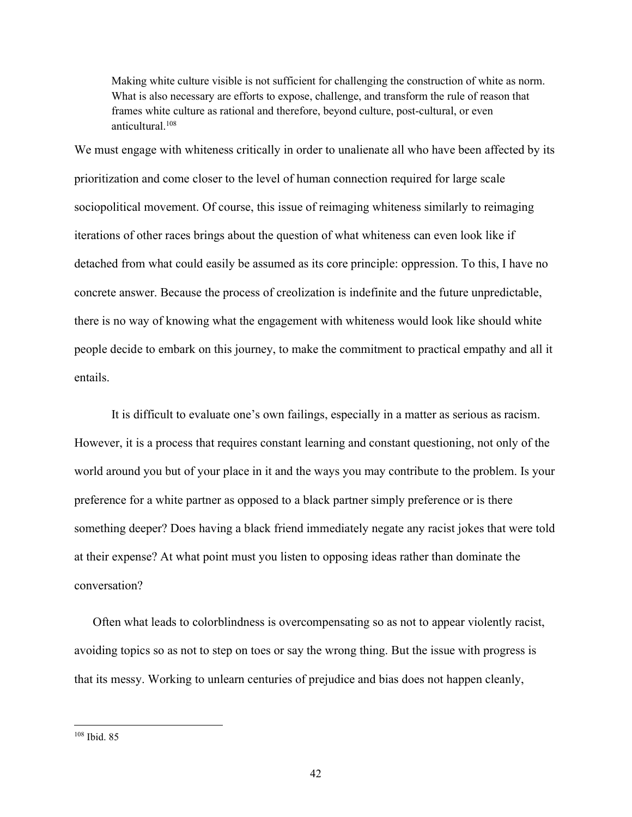Making white culture visible is not sufficient for challenging the construction of white as norm. What is also necessary are efforts to expose, challenge, and transform the rule of reason that frames white culture as rational and therefore, beyond culture, post-cultural, or even anticultural.<sup>108</sup>

We must engage with whiteness critically in order to unalienate all who have been affected by its prioritization and come closer to the level of human connection required for large scale sociopolitical movement. Of course, this issue of reimaging whiteness similarly to reimaging iterations of other races brings about the question of what whiteness can even look like if detached from what could easily be assumed as its core principle: oppression. To this, I have no concrete answer. Because the process of creolization is indefinite and the future unpredictable, there is no way of knowing what the engagement with whiteness would look like should white people decide to embark on this journey, to make the commitment to practical empathy and all it entails.

It is difficult to evaluate one's own failings, especially in a matter as serious as racism. However, it is a process that requires constant learning and constant questioning, not only of the world around you but of your place in it and the ways you may contribute to the problem. Is your preference for a white partner as opposed to a black partner simply preference or is there something deeper? Does having a black friend immediately negate any racist jokes that were told at their expense? At what point must you listen to opposing ideas rather than dominate the conversation?

Often what leads to colorblindness is overcompensating so as not to appear violently racist, avoiding topics so as not to step on toes or say the wrong thing. But the issue with progress is that its messy. Working to unlearn centuries of prejudice and bias does not happen cleanly,

<sup>108</sup> Ibid. 85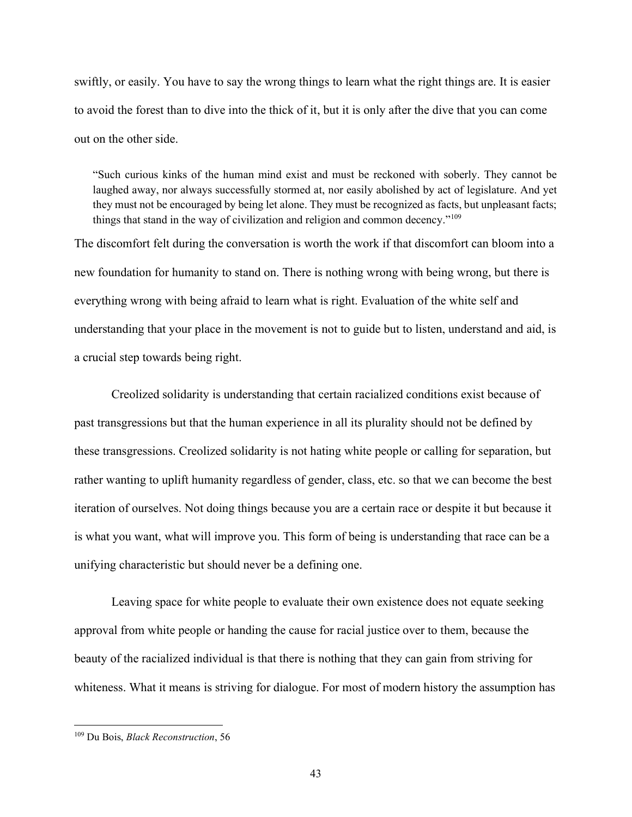swiftly, or easily. You have to say the wrong things to learn what the right things are. It is easier to avoid the forest than to dive into the thick of it, but it is only after the dive that you can come out on the other side.

"Such curious kinks of the human mind exist and must be reckoned with soberly. They cannot be laughed away, nor always successfully stormed at, nor easily abolished by act of legislature. And yet they must not be encouraged by being let alone. They must be recognized as facts, but unpleasant facts; things that stand in the way of civilization and religion and common decency."<sup>109</sup>

The discomfort felt during the conversation is worth the work if that discomfort can bloom into a new foundation for humanity to stand on. There is nothing wrong with being wrong, but there is everything wrong with being afraid to learn what is right. Evaluation of the white self and understanding that your place in the movement is not to guide but to listen, understand and aid, is a crucial step towards being right.

Creolized solidarity is understanding that certain racialized conditions exist because of past transgressions but that the human experience in all its plurality should not be defined by these transgressions. Creolized solidarity is not hating white people or calling for separation, but rather wanting to uplift humanity regardless of gender, class, etc. so that we can become the best iteration of ourselves. Not doing things because you are a certain race or despite it but because it is what you want, what will improve you. This form of being is understanding that race can be a unifying characteristic but should never be a defining one.

Leaving space for white people to evaluate their own existence does not equate seeking approval from white people or handing the cause for racial justice over to them, because the beauty of the racialized individual is that there is nothing that they can gain from striving for whiteness. What it means is striving for dialogue. For most of modern history the assumption has

<sup>&</sup>lt;sup>109</sup> Du Bois, *Black Reconstruction*, 56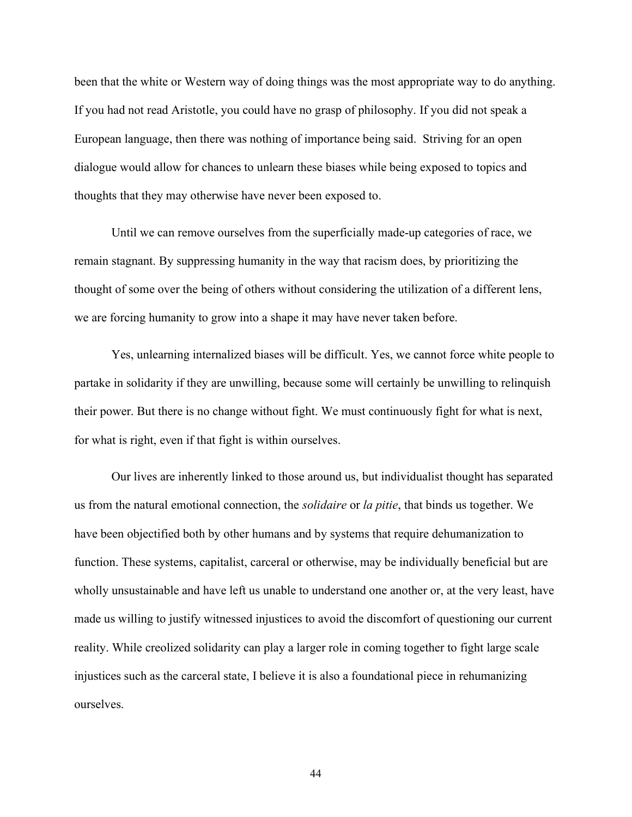been that the white or Western way of doing things was the most appropriate way to do anything. If you had not read Aristotle, you could have no grasp of philosophy. If you did not speak a European language, then there was nothing of importance being said. Striving for an open dialogue would allow for chances to unlearn these biases while being exposed to topics and thoughts that they may otherwise have never been exposed to.

Until we can remove ourselves from the superficially made-up categories of race, we remain stagnant. By suppressing humanity in the way that racism does, by prioritizing the thought of some over the being of others without considering the utilization of a different lens, we are forcing humanity to grow into a shape it may have never taken before.

 Yes, unlearning internalized biases will be difficult. Yes, we cannot force white people to partake in solidarity if they are unwilling, because some will certainly be unwilling to relinquish their power. But there is no change without fight. We must continuously fight for what is next, for what is right, even if that fight is within ourselves.

Our lives are inherently linked to those around us, but individualist thought has separated us from the natural emotional connection, the *solidaire* or *la pitie*, that binds us together. We have been objectified both by other humans and by systems that require dehumanization to function. These systems, capitalist, carceral or otherwise, may be individually beneficial but are wholly unsustainable and have left us unable to understand one another or, at the very least, have made us willing to justify witnessed injustices to avoid the discomfort of questioning our current reality. While creolized solidarity can play a larger role in coming together to fight large scale injustices such as the carceral state, I believe it is also a foundational piece in rehumanizing ourselves.

44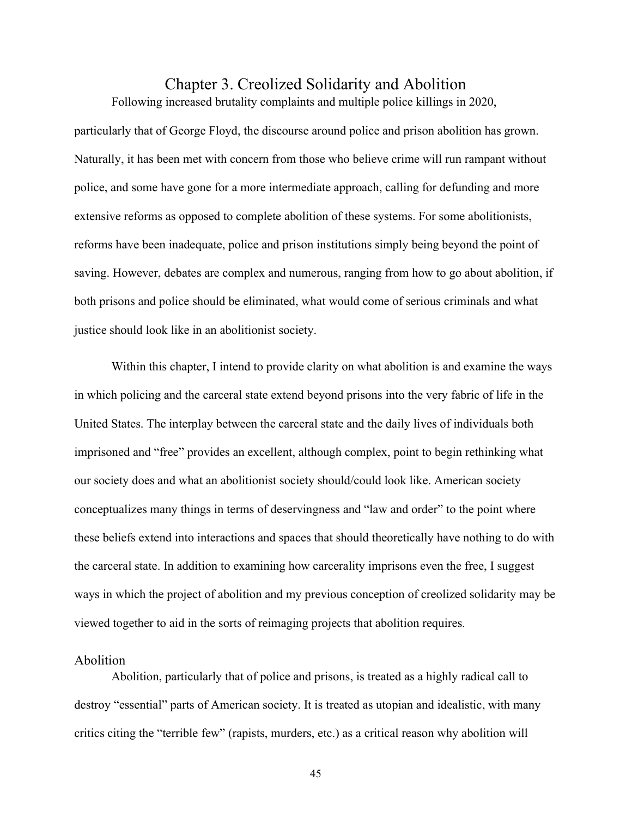# Chapter 3. Creolized Solidarity and Abolition

Following increased brutality complaints and multiple police killings in 2020,

particularly that of George Floyd, the discourse around police and prison abolition has grown. Naturally, it has been met with concern from those who believe crime will run rampant without police, and some have gone for a more intermediate approach, calling for defunding and more extensive reforms as opposed to complete abolition of these systems. For some abolitionists, reforms have been inadequate, police and prison institutions simply being beyond the point of saving. However, debates are complex and numerous, ranging from how to go about abolition, if both prisons and police should be eliminated, what would come of serious criminals and what justice should look like in an abolitionist society.

Within this chapter, I intend to provide clarity on what abolition is and examine the ways in which policing and the carceral state extend beyond prisons into the very fabric of life in the United States. The interplay between the carceral state and the daily lives of individuals both imprisoned and "free" provides an excellent, although complex, point to begin rethinking what our society does and what an abolitionist society should/could look like. American society conceptualizes many things in terms of deservingness and "law and order" to the point where these beliefs extend into interactions and spaces that should theoretically have nothing to do with the carceral state. In addition to examining how carcerality imprisons even the free, I suggest ways in which the project of abolition and my previous conception of creolized solidarity may be viewed together to aid in the sorts of reimaging projects that abolition requires.

## Abolition

Abolition, particularly that of police and prisons, is treated as a highly radical call to destroy "essential" parts of American society. It is treated as utopian and idealistic, with many critics citing the "terrible few" (rapists, murders, etc.) as a critical reason why abolition will

45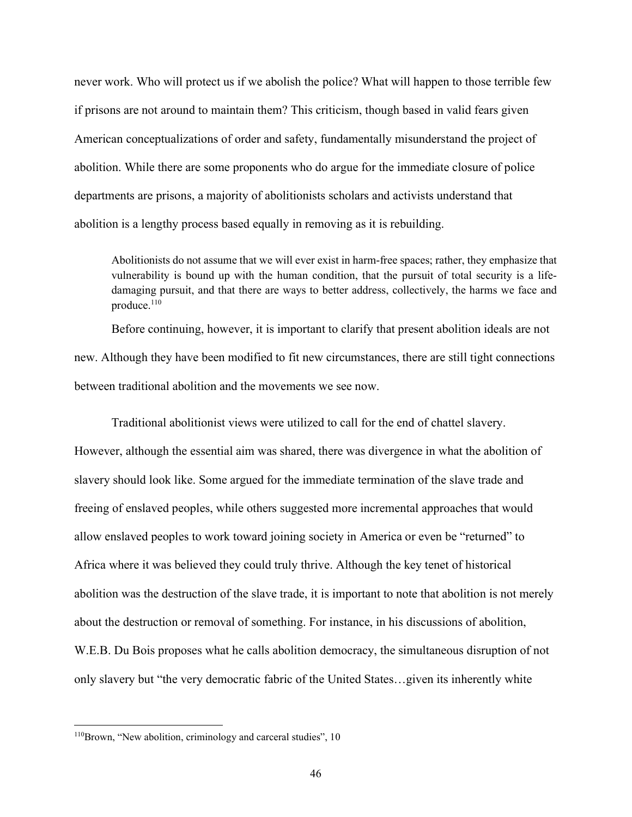never work. Who will protect us if we abolish the police? What will happen to those terrible few if prisons are not around to maintain them? This criticism, though based in valid fears given American conceptualizations of order and safety, fundamentally misunderstand the project of abolition. While there are some proponents who do argue for the immediate closure of police departments are prisons, a majority of abolitionists scholars and activists understand that abolition is a lengthy process based equally in removing as it is rebuilding.

Abolitionists do not assume that we will ever exist in harm-free spaces; rather, they emphasize that vulnerability is bound up with the human condition, that the pursuit of total security is a lifedamaging pursuit, and that there are ways to better address, collectively, the harms we face and produce. $110$ 

Before continuing, however, it is important to clarify that present abolition ideals are not new. Although they have been modified to fit new circumstances, there are still tight connections between traditional abolition and the movements we see now.

Traditional abolitionist views were utilized to call for the end of chattel slavery. However, although the essential aim was shared, there was divergence in what the abolition of slavery should look like. Some argued for the immediate termination of the slave trade and freeing of enslaved peoples, while others suggested more incremental approaches that would allow enslaved peoples to work toward joining society in America or even be "returned" to Africa where it was believed they could truly thrive. Although the key tenet of historical abolition was the destruction of the slave trade, it is important to note that abolition is not merely about the destruction or removal of something. For instance, in his discussions of abolition, W.E.B. Du Bois proposes what he calls abolition democracy, the simultaneous disruption of not only slavery but "the very democratic fabric of the United States…given its inherently white

<sup>110</sup>Brown, "New abolition, criminology and carceral studies", 10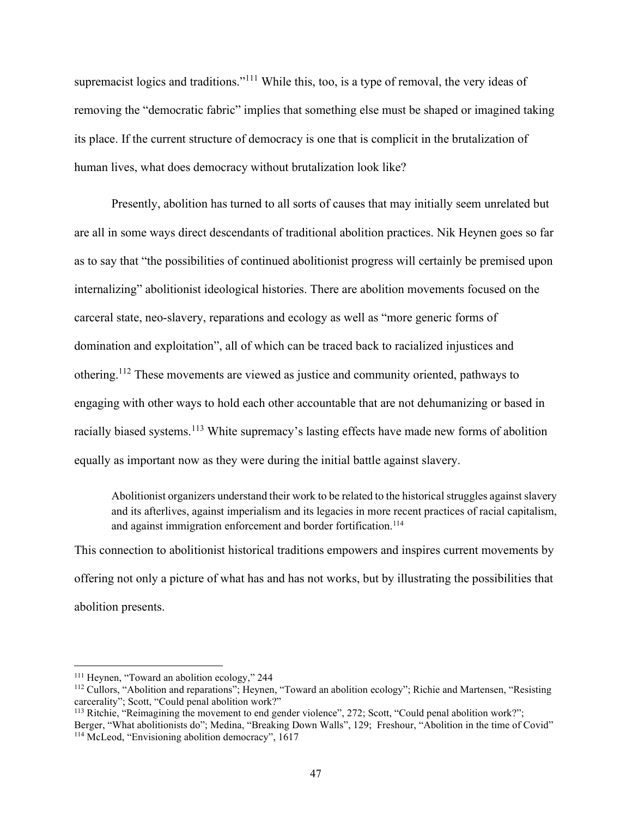supremacist logics and traditions."<sup>111</sup> While this, too, is a type of removal, the very ideas of removing the "democratic fabric" implies that something else must be shaped or imagined taking its place. If the current structure of democracy is one that is complicit in the brutalization of human lives, what does democracy without brutalization look like?

Presently, abolition has turned to all sorts of causes that may initially seem unrelated but are all in some ways direct descendants of traditional abolition practices. Nik Heynen goes so far as to say that "the possibilities of continued abolitionist progress will certainly be premised upon internalizing" abolitionist ideological histories. There are abolition movements focused on the carceral state, neo-slavery, reparations and ecology as well as "more generic forms of domination and exploitation", all of which can be traced back to racialized injustices and othering.<sup>112</sup> These movements are viewed as justice and community oriented, pathways to engaging with other ways to hold each other accountable that are not dehumanizing or based in racially biased systems.<sup>113</sup> White supremacy's lasting effects have made new forms of abolition equally as important now as they were during the initial battle against slavery.

Abolitionist organizers understand their work to be related to the historical struggles against slavery and its afterlives, against imperialism and its legacies in more recent practices of racial capitalism, and against immigration enforcement and border fortification.<sup>114</sup>

This connection to abolitionist historical traditions empowers and inspires current movements by offering not only a picture of what has and has not works, but by illustrating the possibilities that abolition presents.

<sup>111</sup> Heynen, "Toward an abolition ecology," 244

<sup>&</sup>lt;sup>112</sup> Cullors, "Abolition and reparations"; Heynen, "Toward an abolition ecology"; Richie and Martensen, "Resisting carcerality"; Scott, "Could penal abolition work?"

<sup>113</sup> Ritchie, "Reimagining the movement to end gender violence", 272; Scott, "Could penal abolition work?"; Berger, "What abolitionists do"; Medina, "Breaking Down Walls", 129; Freshour, "Abolition in the time of Covid" 114 McLeod, "Envisioning abolition democracy", 1617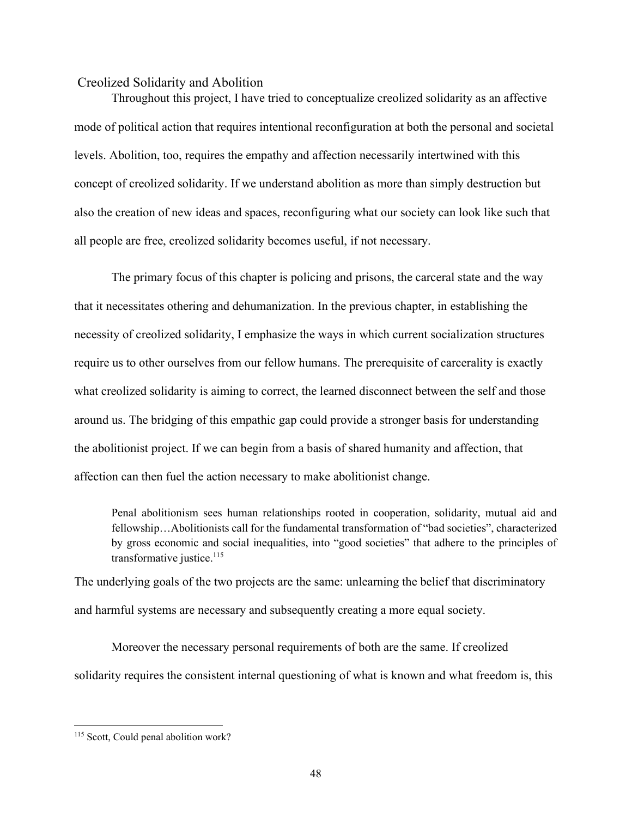#### Creolized Solidarity and Abolition

 Throughout this project, I have tried to conceptualize creolized solidarity as an affective mode of political action that requires intentional reconfiguration at both the personal and societal levels. Abolition, too, requires the empathy and affection necessarily intertwined with this concept of creolized solidarity. If we understand abolition as more than simply destruction but also the creation of new ideas and spaces, reconfiguring what our society can look like such that all people are free, creolized solidarity becomes useful, if not necessary.

 The primary focus of this chapter is policing and prisons, the carceral state and the way that it necessitates othering and dehumanization. In the previous chapter, in establishing the necessity of creolized solidarity, I emphasize the ways in which current socialization structures require us to other ourselves from our fellow humans. The prerequisite of carcerality is exactly what creolized solidarity is aiming to correct, the learned disconnect between the self and those around us. The bridging of this empathic gap could provide a stronger basis for understanding the abolitionist project. If we can begin from a basis of shared humanity and affection, that affection can then fuel the action necessary to make abolitionist change.

Penal abolitionism sees human relationships rooted in cooperation, solidarity, mutual aid and fellowship…Abolitionists call for the fundamental transformation of "bad societies", characterized by gross economic and social inequalities, into "good societies" that adhere to the principles of transformative justice. $115$ 

The underlying goals of the two projects are the same: unlearning the belief that discriminatory and harmful systems are necessary and subsequently creating a more equal society.

 Moreover the necessary personal requirements of both are the same. If creolized solidarity requires the consistent internal questioning of what is known and what freedom is, this

<sup>&</sup>lt;sup>115</sup> Scott, Could penal abolition work?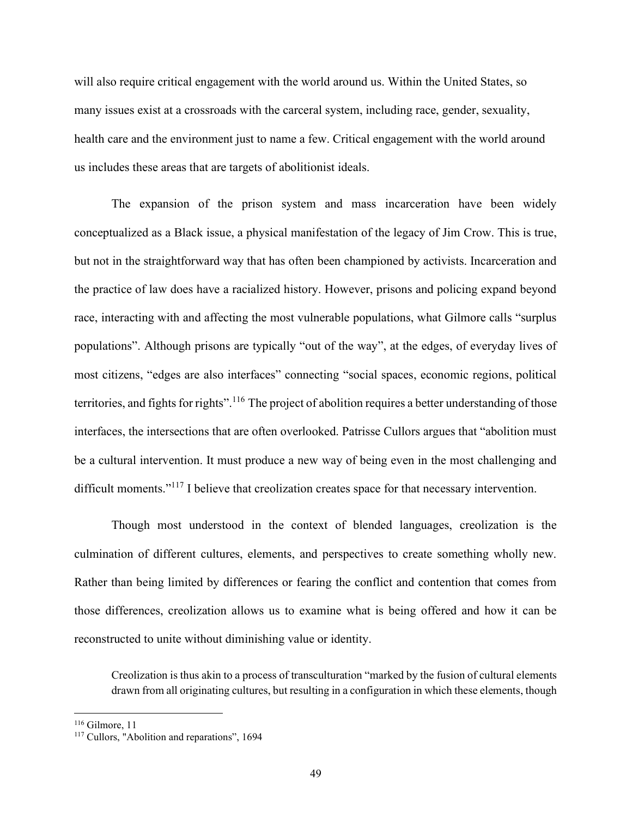will also require critical engagement with the world around us. Within the United States, so many issues exist at a crossroads with the carceral system, including race, gender, sexuality, health care and the environment just to name a few. Critical engagement with the world around us includes these areas that are targets of abolitionist ideals.

The expansion of the prison system and mass incarceration have been widely conceptualized as a Black issue, a physical manifestation of the legacy of Jim Crow. This is true, but not in the straightforward way that has often been championed by activists. Incarceration and the practice of law does have a racialized history. However, prisons and policing expand beyond race, interacting with and affecting the most vulnerable populations, what Gilmore calls "surplus populations". Although prisons are typically "out of the way", at the edges, of everyday lives of most citizens, "edges are also interfaces" connecting "social spaces, economic regions, political territories, and fights for rights".<sup>116</sup> The project of abolition requires a better understanding of those interfaces, the intersections that are often overlooked. Patrisse Cullors argues that "abolition must be a cultural intervention. It must produce a new way of being even in the most challenging and difficult moments."<sup>117</sup> I believe that creolization creates space for that necessary intervention.

Though most understood in the context of blended languages, creolization is the culmination of different cultures, elements, and perspectives to create something wholly new. Rather than being limited by differences or fearing the conflict and contention that comes from those differences, creolization allows us to examine what is being offered and how it can be reconstructed to unite without diminishing value or identity.

Creolization is thus akin to a process of transculturation "marked by the fusion of cultural elements drawn from all originating cultures, but resulting in a configuration in which these elements, though

 $116$  Gilmore, 11

<sup>&</sup>lt;sup>117</sup> Cullors, "Abolition and reparations", 1694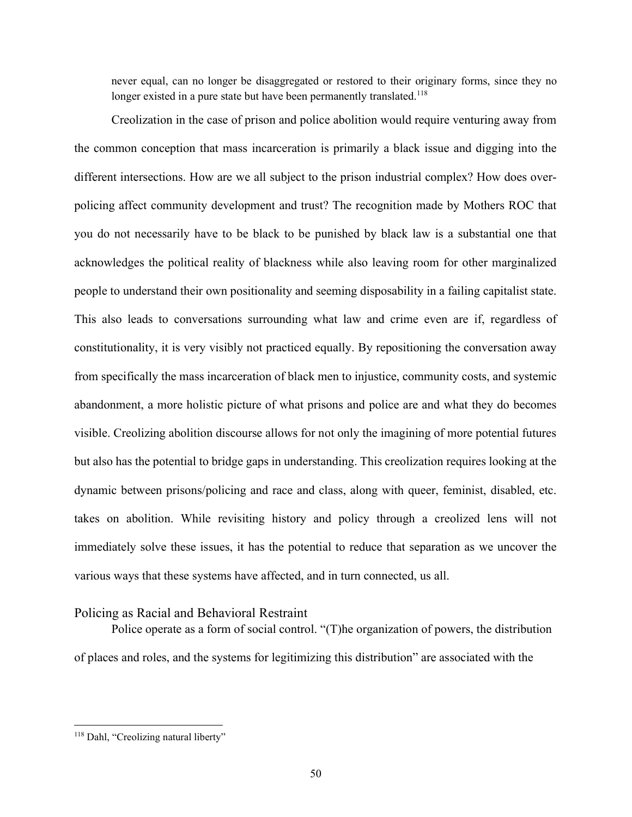never equal, can no longer be disaggregated or restored to their originary forms, since they no longer existed in a pure state but have been permanently translated.<sup>118</sup>

 Creolization in the case of prison and police abolition would require venturing away from the common conception that mass incarceration is primarily a black issue and digging into the different intersections. How are we all subject to the prison industrial complex? How does overpolicing affect community development and trust? The recognition made by Mothers ROC that you do not necessarily have to be black to be punished by black law is a substantial one that acknowledges the political reality of blackness while also leaving room for other marginalized people to understand their own positionality and seeming disposability in a failing capitalist state. This also leads to conversations surrounding what law and crime even are if, regardless of constitutionality, it is very visibly not practiced equally. By repositioning the conversation away from specifically the mass incarceration of black men to injustice, community costs, and systemic abandonment, a more holistic picture of what prisons and police are and what they do becomes visible. Creolizing abolition discourse allows for not only the imagining of more potential futures but also has the potential to bridge gaps in understanding. This creolization requires looking at the dynamic between prisons/policing and race and class, along with queer, feminist, disabled, etc. takes on abolition. While revisiting history and policy through a creolized lens will not immediately solve these issues, it has the potential to reduce that separation as we uncover the various ways that these systems have affected, and in turn connected, us all.

## Policing as Racial and Behavioral Restraint

Police operate as a form of social control. "(T)he organization of powers, the distribution of places and roles, and the systems for legitimizing this distribution" are associated with the

<sup>&</sup>lt;sup>118</sup> Dahl, "Creolizing natural liberty"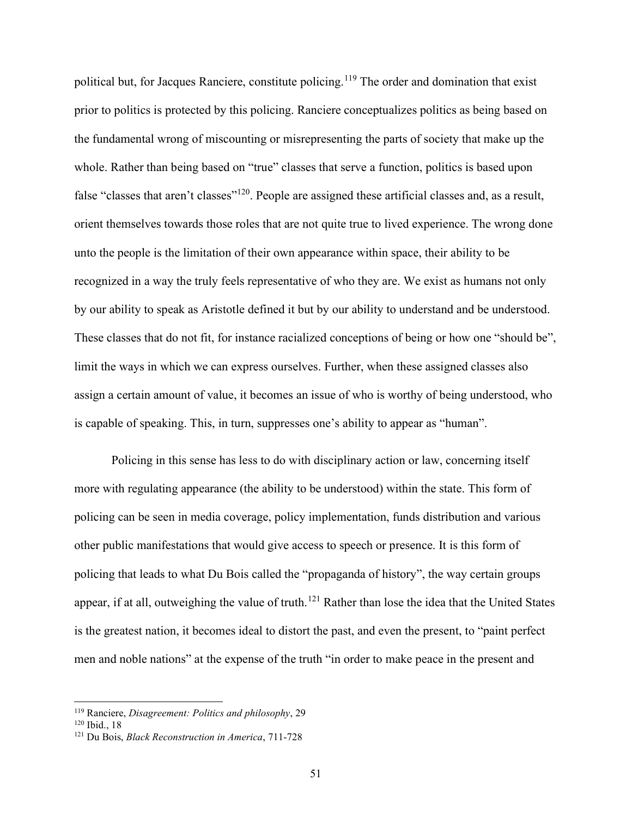political but, for Jacques Ranciere, constitute policing.<sup>119</sup> The order and domination that exist prior to politics is protected by this policing. Ranciere conceptualizes politics as being based on the fundamental wrong of miscounting or misrepresenting the parts of society that make up the whole. Rather than being based on "true" classes that serve a function, politics is based upon false "classes that aren't classes"<sup>120</sup>. People are assigned these artificial classes and, as a result, orient themselves towards those roles that are not quite true to lived experience. The wrong done unto the people is the limitation of their own appearance within space, their ability to be recognized in a way the truly feels representative of who they are. We exist as humans not only by our ability to speak as Aristotle defined it but by our ability to understand and be understood. These classes that do not fit, for instance racialized conceptions of being or how one "should be", limit the ways in which we can express ourselves. Further, when these assigned classes also assign a certain amount of value, it becomes an issue of who is worthy of being understood, who is capable of speaking. This, in turn, suppresses one's ability to appear as "human".

Policing in this sense has less to do with disciplinary action or law, concerning itself more with regulating appearance (the ability to be understood) within the state. This form of policing can be seen in media coverage, policy implementation, funds distribution and various other public manifestations that would give access to speech or presence. It is this form of policing that leads to what Du Bois called the "propaganda of history", the way certain groups appear, if at all, outweighing the value of truth.<sup>121</sup> Rather than lose the idea that the United States is the greatest nation, it becomes ideal to distort the past, and even the present, to "paint perfect men and noble nations" at the expense of the truth "in order to make peace in the present and

 $119$  Ranciere, *Disagreement: Politics and philosophy*, 29

<sup>120</sup> Ibid., 18

<sup>&</sup>lt;sup>121</sup> Du Bois, *Black Reconstruction in America*, 711-728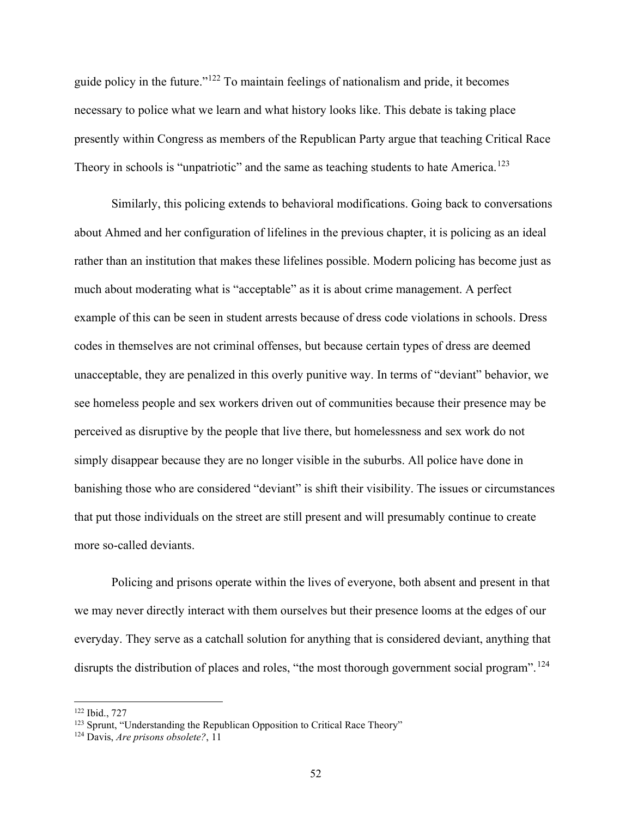guide policy in the future."<sup>122</sup> To maintain feelings of nationalism and pride, it becomes necessary to police what we learn and what history looks like. This debate is taking place presently within Congress as members of the Republican Party argue that teaching Critical Race Theory in schools is "unpatriotic" and the same as teaching students to hate America.<sup>123</sup>

Similarly, this policing extends to behavioral modifications. Going back to conversations about Ahmed and her configuration of lifelines in the previous chapter, it is policing as an ideal rather than an institution that makes these lifelines possible. Modern policing has become just as much about moderating what is "acceptable" as it is about crime management. A perfect example of this can be seen in student arrests because of dress code violations in schools. Dress codes in themselves are not criminal offenses, but because certain types of dress are deemed unacceptable, they are penalized in this overly punitive way. In terms of "deviant" behavior, we see homeless people and sex workers driven out of communities because their presence may be perceived as disruptive by the people that live there, but homelessness and sex work do not simply disappear because they are no longer visible in the suburbs. All police have done in banishing those who are considered "deviant" is shift their visibility. The issues or circumstances that put those individuals on the street are still present and will presumably continue to create more so-called deviants.

Policing and prisons operate within the lives of everyone, both absent and present in that we may never directly interact with them ourselves but their presence looms at the edges of our everyday. They serve as a catchall solution for anything that is considered deviant, anything that disrupts the distribution of places and roles, "the most thorough government social program".<sup>124</sup>

<sup>122</sup> Ibid., 727

<sup>&</sup>lt;sup>123</sup> Sprunt, "Understanding the Republican Opposition to Critical Race Theory"

<sup>&</sup>lt;sup>124</sup> Davis, *Are prisons obsolete?*, 11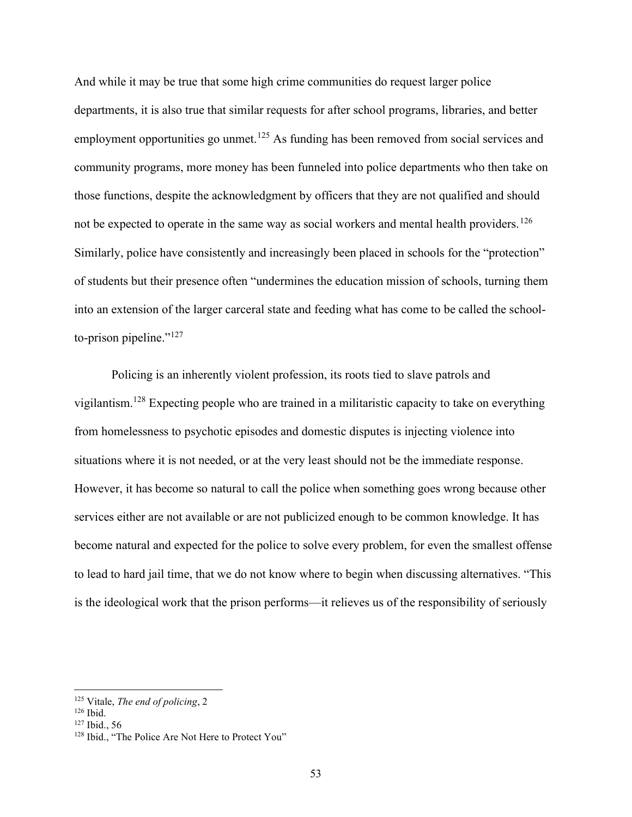And while it may be true that some high crime communities do request larger police departments, it is also true that similar requests for after school programs, libraries, and better employment opportunities go unmet.<sup>125</sup> As funding has been removed from social services and community programs, more money has been funneled into police departments who then take on those functions, despite the acknowledgment by officers that they are not qualified and should not be expected to operate in the same way as social workers and mental health providers.<sup>126</sup> Similarly, police have consistently and increasingly been placed in schools for the "protection" of students but their presence often "undermines the education mission of schools, turning them into an extension of the larger carceral state and feeding what has come to be called the schoolto-prison pipeline." $127$ 

Policing is an inherently violent profession, its roots tied to slave patrols and vigilantism.<sup>128</sup> Expecting people who are trained in a militaristic capacity to take on everything from homelessness to psychotic episodes and domestic disputes is injecting violence into situations where it is not needed, or at the very least should not be the immediate response. However, it has become so natural to call the police when something goes wrong because other services either are not available or are not publicized enough to be common knowledge. It has become natural and expected for the police to solve every problem, for even the smallest offense to lead to hard jail time, that we do not know where to begin when discussing alternatives. "This is the ideological work that the prison performs—it relieves us of the responsibility of seriously

 $125$  Vitale, The end of policing, 2

<sup>126</sup> Ibid.

<sup>127</sup> Ibid., 56

<sup>&</sup>lt;sup>128</sup> Ibid., "The Police Are Not Here to Protect You"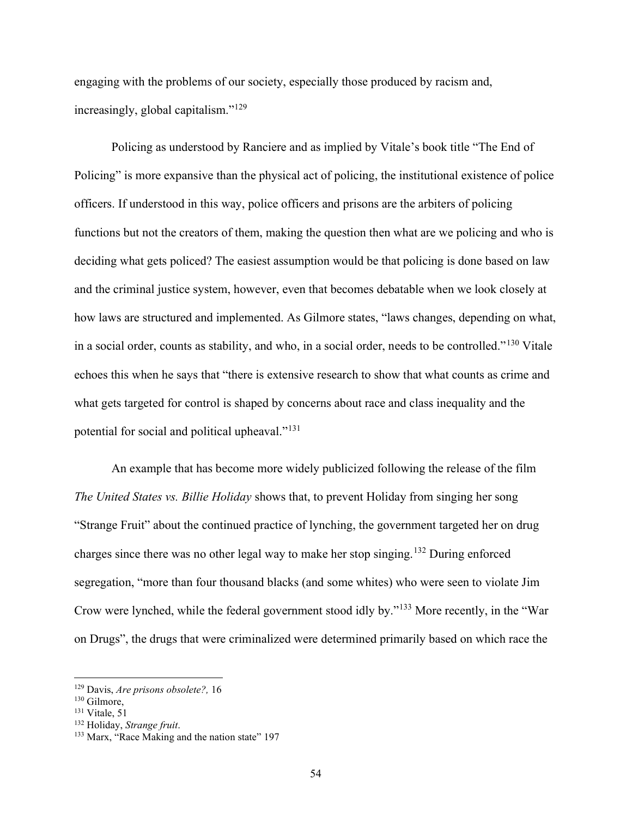engaging with the problems of our society, especially those produced by racism and, increasingly, global capitalism."<sup>129</sup>

Policing as understood by Ranciere and as implied by Vitale's book title "The End of Policing" is more expansive than the physical act of policing, the institutional existence of police officers. If understood in this way, police officers and prisons are the arbiters of policing functions but not the creators of them, making the question then what are we policing and who is deciding what gets policed? The easiest assumption would be that policing is done based on law and the criminal justice system, however, even that becomes debatable when we look closely at how laws are structured and implemented. As Gilmore states, "laws changes, depending on what, in a social order, counts as stability, and who, in a social order, needs to be controlled."<sup>130</sup> Vitale echoes this when he says that "there is extensive research to show that what counts as crime and what gets targeted for control is shaped by concerns about race and class inequality and the potential for social and political upheaval."<sup>131</sup>

An example that has become more widely publicized following the release of the film The United States vs. Billie Holiday shows that, to prevent Holiday from singing her song "Strange Fruit" about the continued practice of lynching, the government targeted her on drug charges since there was no other legal way to make her stop singing.<sup>132</sup> During enforced segregation, "more than four thousand blacks (and some whites) who were seen to violate Jim Crow were lynched, while the federal government stood idly by."<sup>133</sup> More recently, in the "War on Drugs", the drugs that were criminalized were determined primarily based on which race the

 $129$  Davis, *Are prisons obsolete?*, 16

<sup>130</sup> Gilmore,

<sup>131</sup> Vitale, 51

<sup>&</sup>lt;sup>132</sup> Holiday, Strange fruit.

<sup>&</sup>lt;sup>133</sup> Marx, "Race Making and the nation state" 197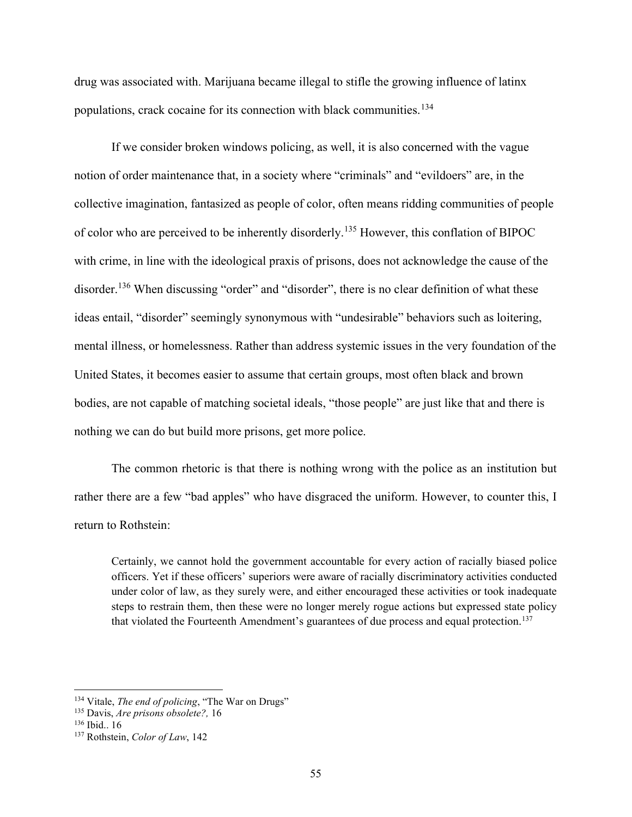drug was associated with. Marijuana became illegal to stifle the growing influence of latinx populations, crack cocaine for its connection with black communities.<sup>134</sup>

If we consider broken windows policing, as well, it is also concerned with the vague notion of order maintenance that, in a society where "criminals" and "evildoers" are, in the collective imagination, fantasized as people of color, often means ridding communities of people of color who are perceived to be inherently disorderly.<sup>135</sup> However, this conflation of BIPOC with crime, in line with the ideological praxis of prisons, does not acknowledge the cause of the disorder.<sup>136</sup> When discussing "order" and "disorder", there is no clear definition of what these ideas entail, "disorder" seemingly synonymous with "undesirable" behaviors such as loitering, mental illness, or homelessness. Rather than address systemic issues in the very foundation of the United States, it becomes easier to assume that certain groups, most often black and brown bodies, are not capable of matching societal ideals, "those people" are just like that and there is nothing we can do but build more prisons, get more police.

The common rhetoric is that there is nothing wrong with the police as an institution but rather there are a few "bad apples" who have disgraced the uniform. However, to counter this, I return to Rothstein:

Certainly, we cannot hold the government accountable for every action of racially biased police officers. Yet if these officers' superiors were aware of racially discriminatory activities conducted under color of law, as they surely were, and either encouraged these activities or took inadequate steps to restrain them, then these were no longer merely rogue actions but expressed state policy that violated the Fourteenth Amendment's guarantees of due process and equal protection.<sup>137</sup>

 $134$  Vitale, *The end of policing*, "The War on Drugs"

 $135$  Davis, *Are prisons obsolete*?, 16

<sup>136</sup> Ibid.. 16

<sup>&</sup>lt;sup>137</sup> Rothstein, Color of Law, 142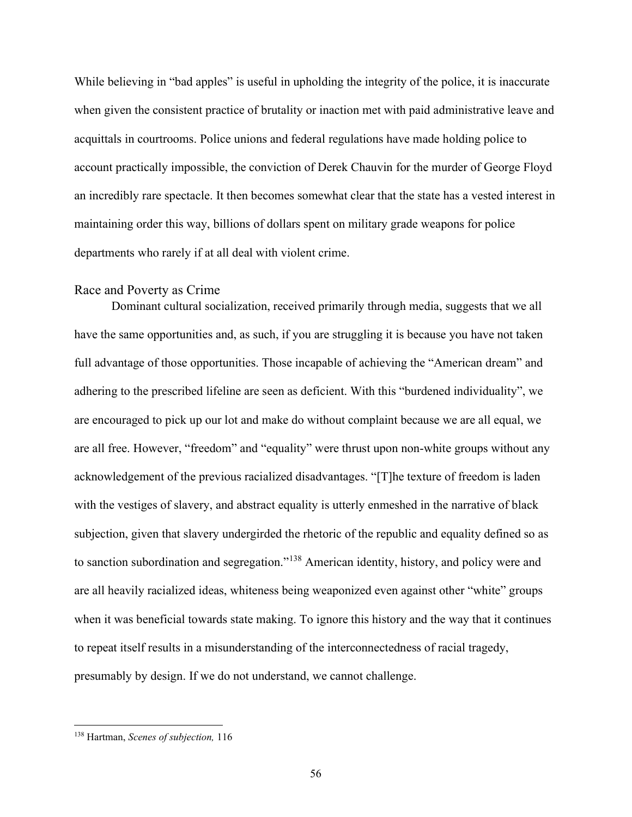While believing in "bad apples" is useful in upholding the integrity of the police, it is inaccurate when given the consistent practice of brutality or inaction met with paid administrative leave and acquittals in courtrooms. Police unions and federal regulations have made holding police to account practically impossible, the conviction of Derek Chauvin for the murder of George Floyd an incredibly rare spectacle. It then becomes somewhat clear that the state has a vested interest in maintaining order this way, billions of dollars spent on military grade weapons for police departments who rarely if at all deal with violent crime.

#### Race and Poverty as Crime

Dominant cultural socialization, received primarily through media, suggests that we all have the same opportunities and, as such, if you are struggling it is because you have not taken full advantage of those opportunities. Those incapable of achieving the "American dream" and adhering to the prescribed lifeline are seen as deficient. With this "burdened individuality", we are encouraged to pick up our lot and make do without complaint because we are all equal, we are all free. However, "freedom" and "equality" were thrust upon non-white groups without any acknowledgement of the previous racialized disadvantages. "[T]he texture of freedom is laden with the vestiges of slavery, and abstract equality is utterly enmeshed in the narrative of black subjection, given that slavery undergirded the rhetoric of the republic and equality defined so as to sanction subordination and segregation."<sup>138</sup> American identity, history, and policy were and are all heavily racialized ideas, whiteness being weaponized even against other "white" groups when it was beneficial towards state making. To ignore this history and the way that it continues to repeat itself results in a misunderstanding of the interconnectedness of racial tragedy, presumably by design. If we do not understand, we cannot challenge.

<sup>138</sup> Hartman, Scenes of subjection, 116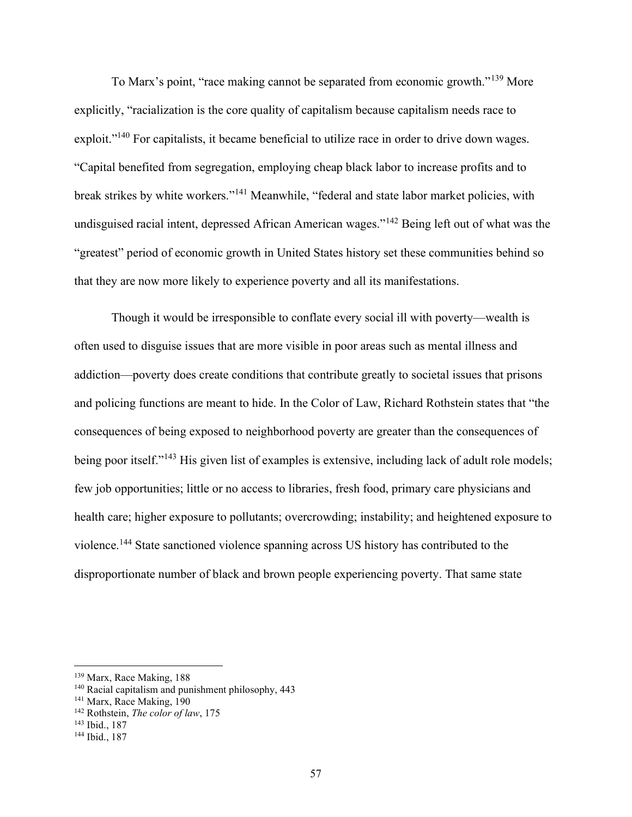To Marx's point, "race making cannot be separated from economic growth."<sup>139</sup> More explicitly, "racialization is the core quality of capitalism because capitalism needs race to exploit."<sup>140</sup> For capitalists, it became beneficial to utilize race in order to drive down wages. "Capital benefited from segregation, employing cheap black labor to increase profits and to break strikes by white workers."<sup>141</sup> Meanwhile, "federal and state labor market policies, with undisguised racial intent, depressed African American wages."<sup>142</sup> Being left out of what was the "greatest" period of economic growth in United States history set these communities behind so that they are now more likely to experience poverty and all its manifestations.

Though it would be irresponsible to conflate every social ill with poverty—wealth is often used to disguise issues that are more visible in poor areas such as mental illness and addiction—poverty does create conditions that contribute greatly to societal issues that prisons and policing functions are meant to hide. In the Color of Law, Richard Rothstein states that "the consequences of being exposed to neighborhood poverty are greater than the consequences of being poor itself."<sup>143</sup> His given list of examples is extensive, including lack of adult role models; few job opportunities; little or no access to libraries, fresh food, primary care physicians and health care; higher exposure to pollutants; overcrowding; instability; and heightened exposure to violence.<sup>144</sup> State sanctioned violence spanning across US history has contributed to the disproportionate number of black and brown people experiencing poverty. That same state

<sup>139</sup> Marx, Race Making, 188

<sup>140</sup> Racial capitalism and punishment philosophy, 443

<sup>&</sup>lt;sup>141</sup> Marx, Race Making, 190

 $142$  Rothstein, The color of law, 175

<sup>143</sup> Ibid., 187

<sup>144</sup> Ibid., 187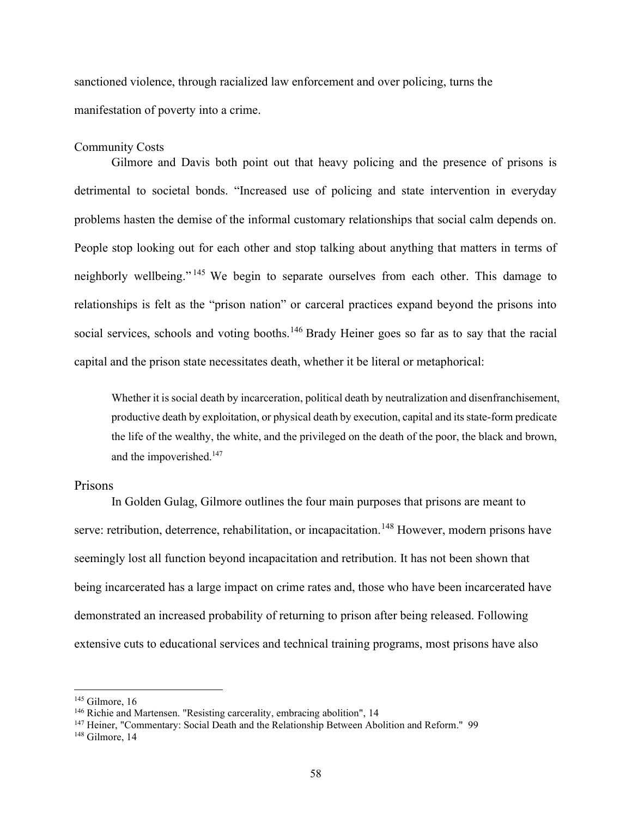sanctioned violence, through racialized law enforcement and over policing, turns the manifestation of poverty into a crime.

#### Community Costs

 Gilmore and Davis both point out that heavy policing and the presence of prisons is detrimental to societal bonds. "Increased use of policing and state intervention in everyday problems hasten the demise of the informal customary relationships that social calm depends on. People stop looking out for each other and stop talking about anything that matters in terms of neighborly wellbeing." <sup>145</sup> We begin to separate ourselves from each other. This damage to relationships is felt as the "prison nation" or carceral practices expand beyond the prisons into social services, schools and voting booths.<sup>146</sup> Brady Heiner goes so far as to say that the racial capital and the prison state necessitates death, whether it be literal or metaphorical:

Whether it is social death by incarceration, political death by neutralization and disenfranchisement, productive death by exploitation, or physical death by execution, capital and its state-form predicate the life of the wealthy, the white, and the privileged on the death of the poor, the black and brown, and the impoverished.<sup>147</sup>

## Prisons

 In Golden Gulag, Gilmore outlines the four main purposes that prisons are meant to serve: retribution, deterrence, rehabilitation, or incapacitation.<sup>148</sup> However, modern prisons have seemingly lost all function beyond incapacitation and retribution. It has not been shown that being incarcerated has a large impact on crime rates and, those who have been incarcerated have demonstrated an increased probability of returning to prison after being released. Following extensive cuts to educational services and technical training programs, most prisons have also

 $145$  Gilmore, 16

<sup>&</sup>lt;sup>146</sup> Richie and Martensen. "Resisting carcerality, embracing abolition", 14

<sup>&</sup>lt;sup>147</sup> Heiner, "Commentary: Social Death and the Relationship Between Abolition and Reform." 99

<sup>&</sup>lt;sup>148</sup> Gilmore, 14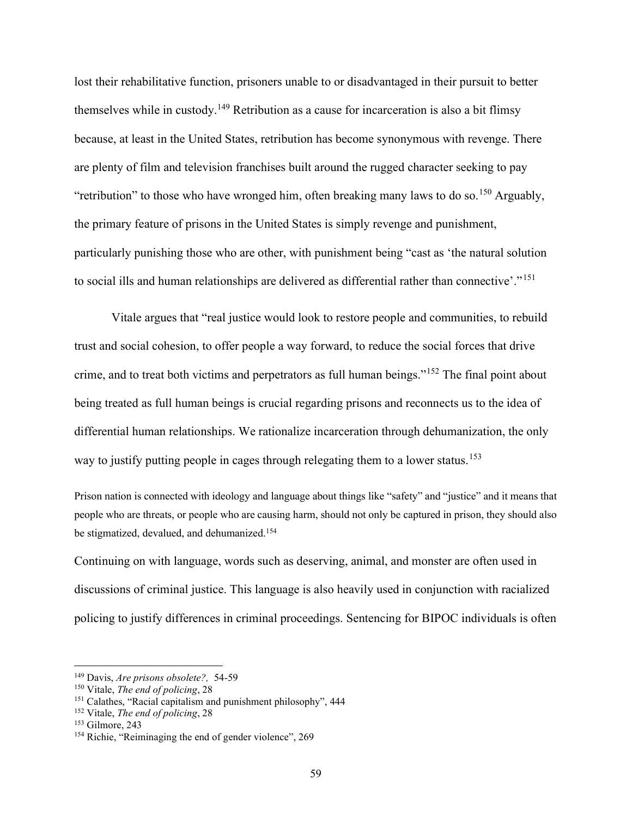lost their rehabilitative function, prisoners unable to or disadvantaged in their pursuit to better themselves while in custody.<sup>149</sup> Retribution as a cause for incarceration is also a bit flimsy because, at least in the United States, retribution has become synonymous with revenge. There are plenty of film and television franchises built around the rugged character seeking to pay "retribution" to those who have wronged him, often breaking many laws to do so.<sup>150</sup> Arguably, the primary feature of prisons in the United States is simply revenge and punishment, particularly punishing those who are other, with punishment being "cast as 'the natural solution to social ills and human relationships are delivered as differential rather than connective'."<sup>151</sup>

 Vitale argues that "real justice would look to restore people and communities, to rebuild trust and social cohesion, to offer people a way forward, to reduce the social forces that drive crime, and to treat both victims and perpetrators as full human beings."<sup>152</sup> The final point about being treated as full human beings is crucial regarding prisons and reconnects us to the idea of differential human relationships. We rationalize incarceration through dehumanization, the only way to justify putting people in cages through relegating them to a lower status.<sup>153</sup>

Prison nation is connected with ideology and language about things like "safety" and "justice" and it means that people who are threats, or people who are causing harm, should not only be captured in prison, they should also be stigmatized, devalued, and dehumanized.<sup>154</sup>

Continuing on with language, words such as deserving, animal, and monster are often used in discussions of criminal justice. This language is also heavily used in conjunction with racialized policing to justify differences in criminal proceedings. Sentencing for BIPOC individuals is often

<sup>149</sup> Davis, Are prisons obsolete?, 54-59

 $150$  Vitale, The end of policing, 28

<sup>151</sup> Calathes, "Racial capitalism and punishment philosophy", 444

<sup>&</sup>lt;sup>152</sup> Vitale, *The end of policing*, 28

<sup>153</sup> Gilmore, 243

<sup>154</sup> Richie, "Reiminaging the end of gender violence", 269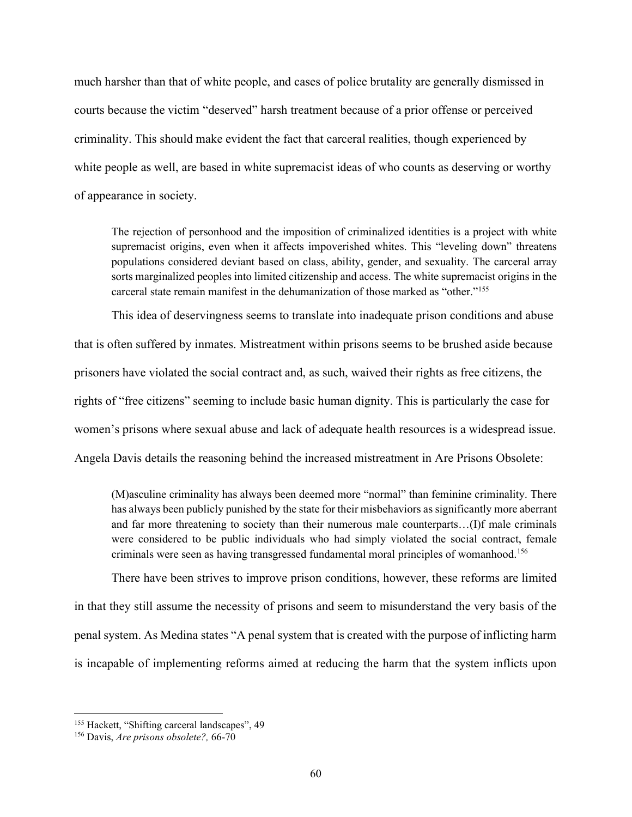much harsher than that of white people, and cases of police brutality are generally dismissed in courts because the victim "deserved" harsh treatment because of a prior offense or perceived criminality. This should make evident the fact that carceral realities, though experienced by white people as well, are based in white supremacist ideas of who counts as deserving or worthy of appearance in society.

The rejection of personhood and the imposition of criminalized identities is a project with white supremacist origins, even when it affects impoverished whites. This "leveling down" threatens populations considered deviant based on class, ability, gender, and sexuality. The carceral array sorts marginalized peoples into limited citizenship and access. The white supremacist origins in the carceral state remain manifest in the dehumanization of those marked as "other."<sup>155</sup>

 This idea of deservingness seems to translate into inadequate prison conditions and abuse that is often suffered by inmates. Mistreatment within prisons seems to be brushed aside because prisoners have violated the social contract and, as such, waived their rights as free citizens, the rights of "free citizens" seeming to include basic human dignity. This is particularly the case for women's prisons where sexual abuse and lack of adequate health resources is a widespread issue. Angela Davis details the reasoning behind the increased mistreatment in Are Prisons Obsolete:

(M)asculine criminality has always been deemed more "normal" than feminine criminality. There has always been publicly punished by the state for their misbehaviors as significantly more aberrant and far more threatening to society than their numerous male counterparts…(I)f male criminals were considered to be public individuals who had simply violated the social contract, female criminals were seen as having transgressed fundamental moral principles of womanhood.<sup>156</sup>

 There have been strives to improve prison conditions, however, these reforms are limited in that they still assume the necessity of prisons and seem to misunderstand the very basis of the penal system. As Medina states "A penal system that is created with the purpose of inflicting harm is incapable of implementing reforms aimed at reducing the harm that the system inflicts upon

<sup>&</sup>lt;sup>155</sup> Hackett, "Shifting carceral landscapes", 49

<sup>&</sup>lt;sup>156</sup> Davis, *Are prisons obsolete?*, 66-70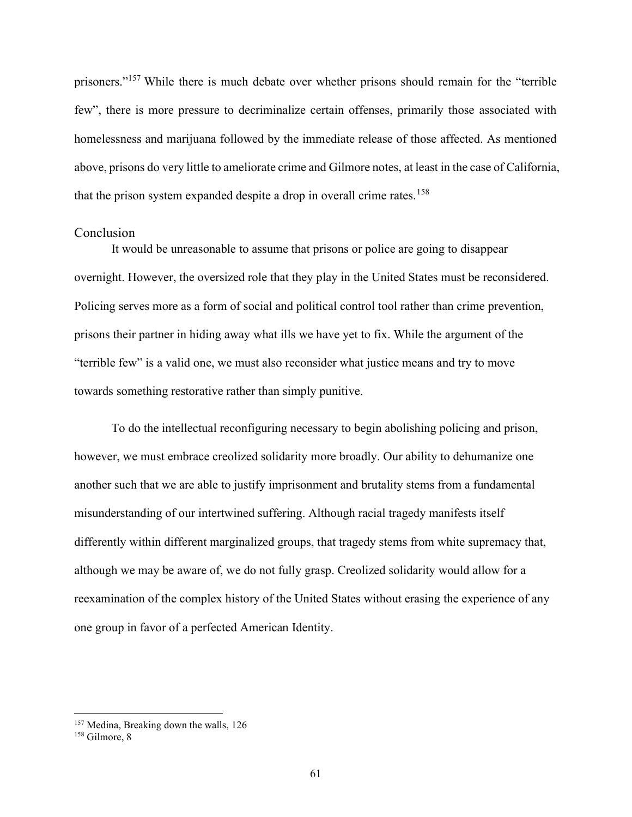prisoners."<sup>157</sup> While there is much debate over whether prisons should remain for the "terrible" few", there is more pressure to decriminalize certain offenses, primarily those associated with homelessness and marijuana followed by the immediate release of those affected. As mentioned above, prisons do very little to ameliorate crime and Gilmore notes, at least in the case of California, that the prison system expanded despite a drop in overall crime rates.<sup>158</sup>

#### Conclusion

 It would be unreasonable to assume that prisons or police are going to disappear overnight. However, the oversized role that they play in the United States must be reconsidered. Policing serves more as a form of social and political control tool rather than crime prevention, prisons their partner in hiding away what ills we have yet to fix. While the argument of the "terrible few" is a valid one, we must also reconsider what justice means and try to move towards something restorative rather than simply punitive.

 To do the intellectual reconfiguring necessary to begin abolishing policing and prison, however, we must embrace creolized solidarity more broadly. Our ability to dehumanize one another such that we are able to justify imprisonment and brutality stems from a fundamental misunderstanding of our intertwined suffering. Although racial tragedy manifests itself differently within different marginalized groups, that tragedy stems from white supremacy that, although we may be aware of, we do not fully grasp. Creolized solidarity would allow for a reexamination of the complex history of the United States without erasing the experience of any one group in favor of a perfected American Identity.

<sup>&</sup>lt;sup>157</sup> Medina, Breaking down the walls, 126

<sup>158</sup> Gilmore, 8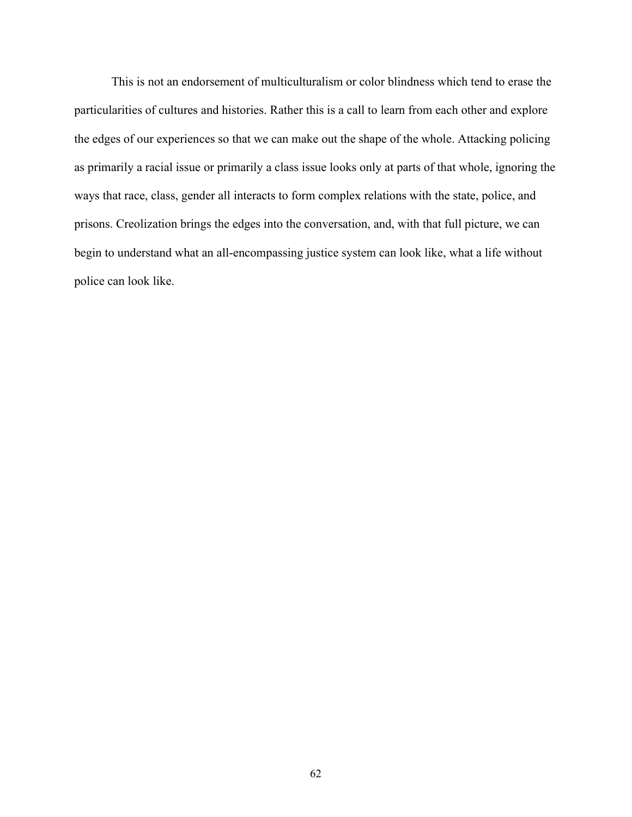This is not an endorsement of multiculturalism or color blindness which tend to erase the particularities of cultures and histories. Rather this is a call to learn from each other and explore the edges of our experiences so that we can make out the shape of the whole. Attacking policing as primarily a racial issue or primarily a class issue looks only at parts of that whole, ignoring the ways that race, class, gender all interacts to form complex relations with the state, police, and prisons. Creolization brings the edges into the conversation, and, with that full picture, we can begin to understand what an all-encompassing justice system can look like, what a life without police can look like.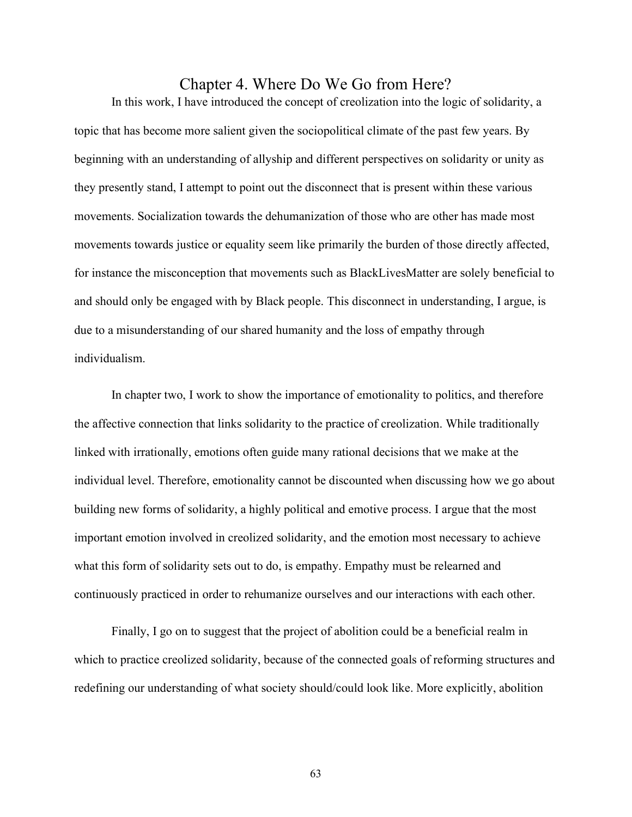# Chapter 4. Where Do We Go from Here?

In this work, I have introduced the concept of creolization into the logic of solidarity, a topic that has become more salient given the sociopolitical climate of the past few years. By beginning with an understanding of allyship and different perspectives on solidarity or unity as they presently stand, I attempt to point out the disconnect that is present within these various movements. Socialization towards the dehumanization of those who are other has made most movements towards justice or equality seem like primarily the burden of those directly affected, for instance the misconception that movements such as BlackLivesMatter are solely beneficial to and should only be engaged with by Black people. This disconnect in understanding, I argue, is due to a misunderstanding of our shared humanity and the loss of empathy through individualism.

In chapter two, I work to show the importance of emotionality to politics, and therefore the affective connection that links solidarity to the practice of creolization. While traditionally linked with irrationally, emotions often guide many rational decisions that we make at the individual level. Therefore, emotionality cannot be discounted when discussing how we go about building new forms of solidarity, a highly political and emotive process. I argue that the most important emotion involved in creolized solidarity, and the emotion most necessary to achieve what this form of solidarity sets out to do, is empathy. Empathy must be relearned and continuously practiced in order to rehumanize ourselves and our interactions with each other.

Finally, I go on to suggest that the project of abolition could be a beneficial realm in which to practice creolized solidarity, because of the connected goals of reforming structures and redefining our understanding of what society should/could look like. More explicitly, abolition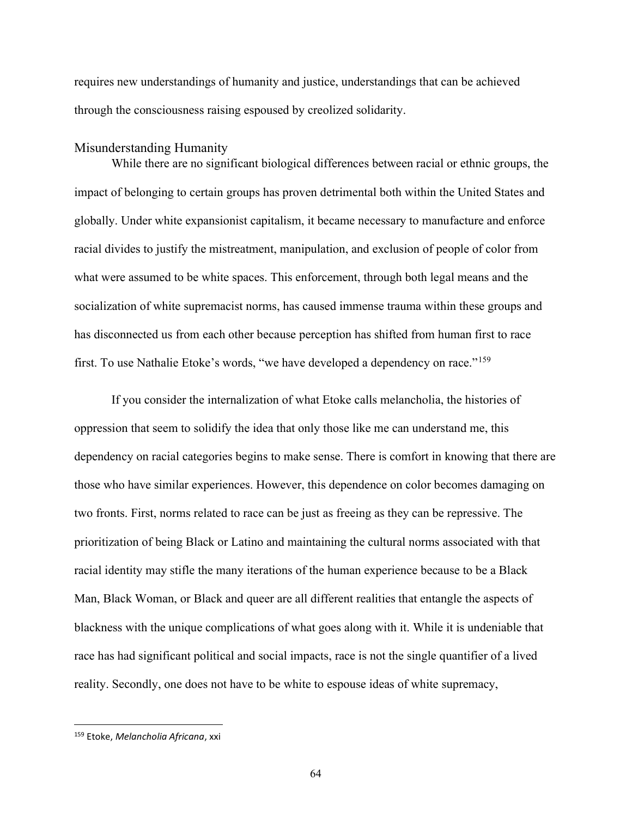requires new understandings of humanity and justice, understandings that can be achieved through the consciousness raising espoused by creolized solidarity.

#### Misunderstanding Humanity

 While there are no significant biological differences between racial or ethnic groups, the impact of belonging to certain groups has proven detrimental both within the United States and globally. Under white expansionist capitalism, it became necessary to manufacture and enforce racial divides to justify the mistreatment, manipulation, and exclusion of people of color from what were assumed to be white spaces. This enforcement, through both legal means and the socialization of white supremacist norms, has caused immense trauma within these groups and has disconnected us from each other because perception has shifted from human first to race first. To use Nathalie Etoke's words, "we have developed a dependency on race."<sup>159</sup>

 If you consider the internalization of what Etoke calls melancholia, the histories of oppression that seem to solidify the idea that only those like me can understand me, this dependency on racial categories begins to make sense. There is comfort in knowing that there are those who have similar experiences. However, this dependence on color becomes damaging on two fronts. First, norms related to race can be just as freeing as they can be repressive. The prioritization of being Black or Latino and maintaining the cultural norms associated with that racial identity may stifle the many iterations of the human experience because to be a Black Man, Black Woman, or Black and queer are all different realities that entangle the aspects of blackness with the unique complications of what goes along with it. While it is undeniable that race has had significant political and social impacts, race is not the single quantifier of a lived reality. Secondly, one does not have to be white to espouse ideas of white supremacy,

<sup>&</sup>lt;sup>159</sup> Etoke, Melancholia Africana, xxi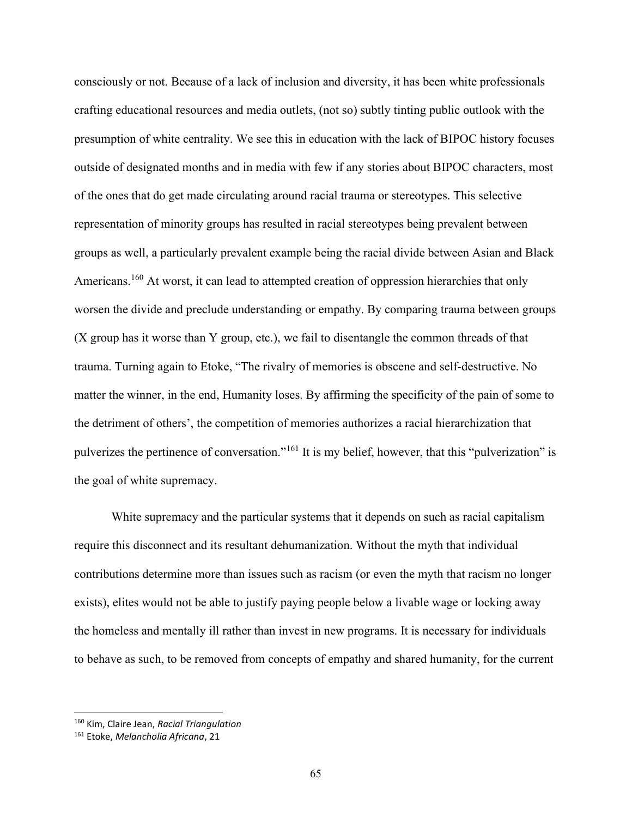consciously or not. Because of a lack of inclusion and diversity, it has been white professionals crafting educational resources and media outlets, (not so) subtly tinting public outlook with the presumption of white centrality. We see this in education with the lack of BIPOC history focuses outside of designated months and in media with few if any stories about BIPOC characters, most of the ones that do get made circulating around racial trauma or stereotypes. This selective representation of minority groups has resulted in racial stereotypes being prevalent between groups as well, a particularly prevalent example being the racial divide between Asian and Black Americans.<sup>160</sup> At worst, it can lead to attempted creation of oppression hierarchies that only worsen the divide and preclude understanding or empathy. By comparing trauma between groups (X group has it worse than Y group, etc.), we fail to disentangle the common threads of that trauma. Turning again to Etoke, "The rivalry of memories is obscene and self-destructive. No matter the winner, in the end, Humanity loses. By affirming the specificity of the pain of some to the detriment of others', the competition of memories authorizes a racial hierarchization that pulverizes the pertinence of conversation."<sup>161</sup> It is my belief, however, that this "pulverization" is the goal of white supremacy.

 White supremacy and the particular systems that it depends on such as racial capitalism require this disconnect and its resultant dehumanization. Without the myth that individual contributions determine more than issues such as racism (or even the myth that racism no longer exists), elites would not be able to justify paying people below a livable wage or locking away the homeless and mentally ill rather than invest in new programs. It is necessary for individuals to behave as such, to be removed from concepts of empathy and shared humanity, for the current

<sup>&</sup>lt;sup>160</sup> Kim, Claire Jean, Racial Triangulation

<sup>&</sup>lt;sup>161</sup> Etoke, Melancholia Africana, 21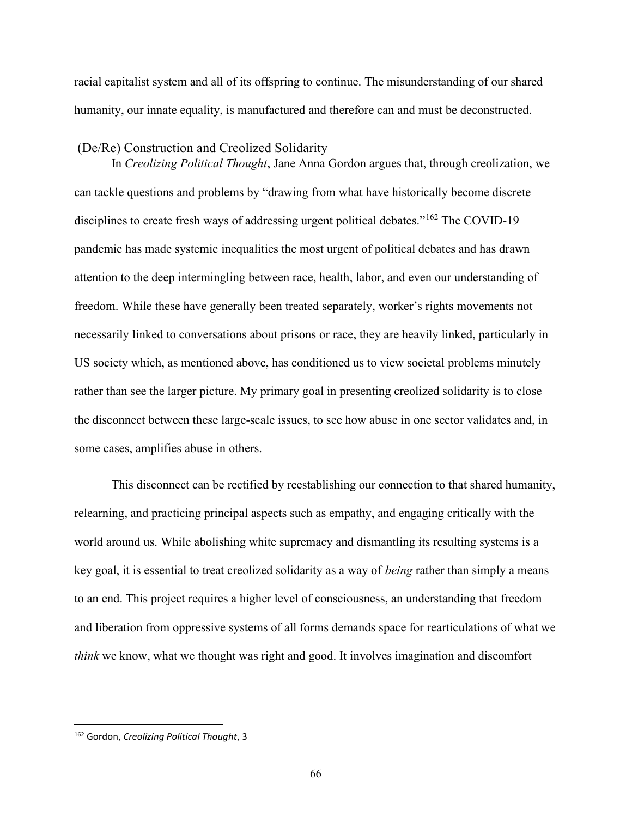racial capitalist system and all of its offspring to continue. The misunderstanding of our shared humanity, our innate equality, is manufactured and therefore can and must be deconstructed.

## (De/Re) Construction and Creolized Solidarity

 In Creolizing Political Thought, Jane Anna Gordon argues that, through creolization, we can tackle questions and problems by "drawing from what have historically become discrete disciplines to create fresh ways of addressing urgent political debates."<sup>162</sup> The COVID-19 pandemic has made systemic inequalities the most urgent of political debates and has drawn attention to the deep intermingling between race, health, labor, and even our understanding of freedom. While these have generally been treated separately, worker's rights movements not necessarily linked to conversations about prisons or race, they are heavily linked, particularly in US society which, as mentioned above, has conditioned us to view societal problems minutely rather than see the larger picture. My primary goal in presenting creolized solidarity is to close the disconnect between these large-scale issues, to see how abuse in one sector validates and, in some cases, amplifies abuse in others.

 This disconnect can be rectified by reestablishing our connection to that shared humanity, relearning, and practicing principal aspects such as empathy, and engaging critically with the world around us. While abolishing white supremacy and dismantling its resulting systems is a key goal, it is essential to treat creolized solidarity as a way of being rather than simply a means to an end. This project requires a higher level of consciousness, an understanding that freedom and liberation from oppressive systems of all forms demands space for rearticulations of what we think we know, what we thought was right and good. It involves imagination and discomfort

<sup>&</sup>lt;sup>162</sup> Gordon, Creolizing Political Thought, 3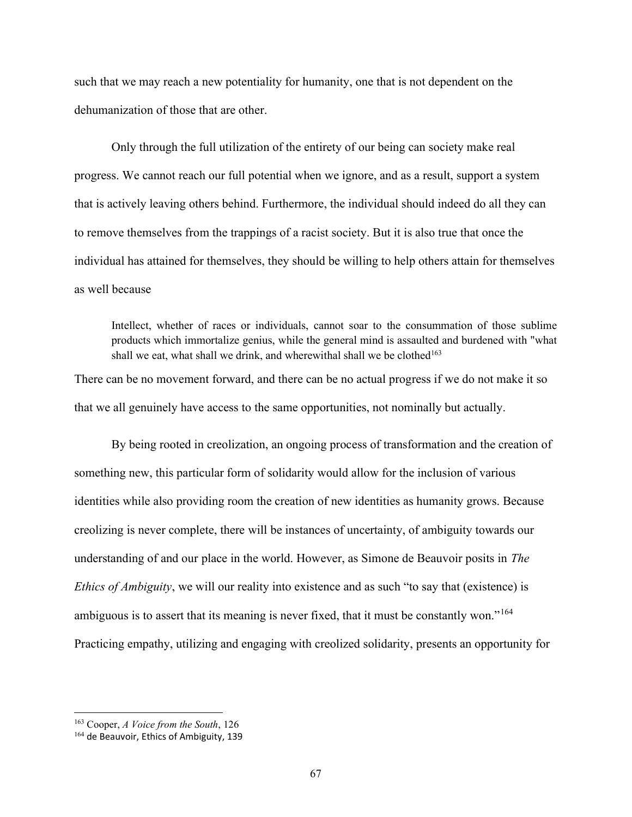such that we may reach a new potentiality for humanity, one that is not dependent on the dehumanization of those that are other.

 Only through the full utilization of the entirety of our being can society make real progress. We cannot reach our full potential when we ignore, and as a result, support a system that is actively leaving others behind. Furthermore, the individual should indeed do all they can to remove themselves from the trappings of a racist society. But it is also true that once the individual has attained for themselves, they should be willing to help others attain for themselves as well because

Intellect, whether of races or individuals, cannot soar to the consummation of those sublime products which immortalize genius, while the general mind is assaulted and burdened with "what shall we eat, what shall we drink, and wherewithal shall we be clothed<sup>163</sup>

There can be no movement forward, and there can be no actual progress if we do not make it so that we all genuinely have access to the same opportunities, not nominally but actually.

 By being rooted in creolization, an ongoing process of transformation and the creation of something new, this particular form of solidarity would allow for the inclusion of various identities while also providing room the creation of new identities as humanity grows. Because creolizing is never complete, there will be instances of uncertainty, of ambiguity towards our understanding of and our place in the world. However, as Simone de Beauvoir posits in The Ethics of Ambiguity, we will our reality into existence and as such "to say that (existence) is ambiguous is to assert that its meaning is never fixed, that it must be constantly won."<sup>164</sup> Practicing empathy, utilizing and engaging with creolized solidarity, presents an opportunity for

 $163$  Cooper, A Voice from the South, 126

<sup>&</sup>lt;sup>164</sup> de Beauvoir, Ethics of Ambiguity, 139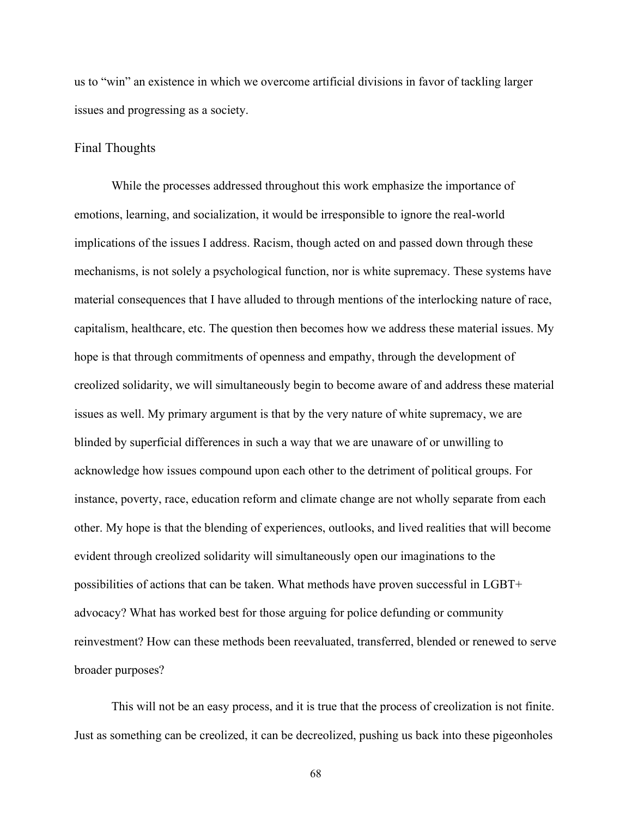us to "win" an existence in which we overcome artificial divisions in favor of tackling larger issues and progressing as a society.

## Final Thoughts

While the processes addressed throughout this work emphasize the importance of emotions, learning, and socialization, it would be irresponsible to ignore the real-world implications of the issues I address. Racism, though acted on and passed down through these mechanisms, is not solely a psychological function, nor is white supremacy. These systems have material consequences that I have alluded to through mentions of the interlocking nature of race, capitalism, healthcare, etc. The question then becomes how we address these material issues. My hope is that through commitments of openness and empathy, through the development of creolized solidarity, we will simultaneously begin to become aware of and address these material issues as well. My primary argument is that by the very nature of white supremacy, we are blinded by superficial differences in such a way that we are unaware of or unwilling to acknowledge how issues compound upon each other to the detriment of political groups. For instance, poverty, race, education reform and climate change are not wholly separate from each other. My hope is that the blending of experiences, outlooks, and lived realities that will become evident through creolized solidarity will simultaneously open our imaginations to the possibilities of actions that can be taken. What methods have proven successful in LGBT+ advocacy? What has worked best for those arguing for police defunding or community reinvestment? How can these methods been reevaluated, transferred, blended or renewed to serve broader purposes?

This will not be an easy process, and it is true that the process of creolization is not finite. Just as something can be creolized, it can be decreolized, pushing us back into these pigeonholes

68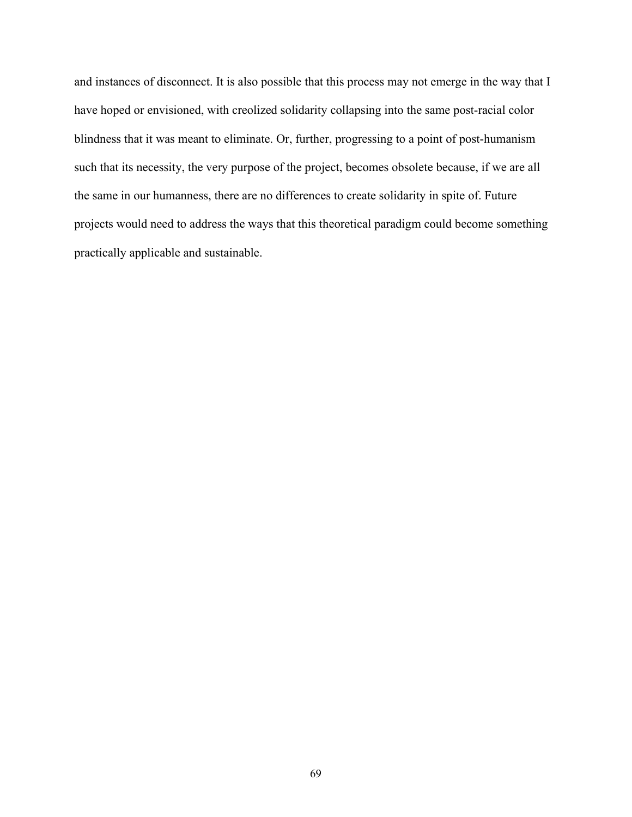and instances of disconnect. It is also possible that this process may not emerge in the way that I have hoped or envisioned, with creolized solidarity collapsing into the same post-racial color blindness that it was meant to eliminate. Or, further, progressing to a point of post-humanism such that its necessity, the very purpose of the project, becomes obsolete because, if we are all the same in our humanness, there are no differences to create solidarity in spite of. Future projects would need to address the ways that this theoretical paradigm could become something practically applicable and sustainable.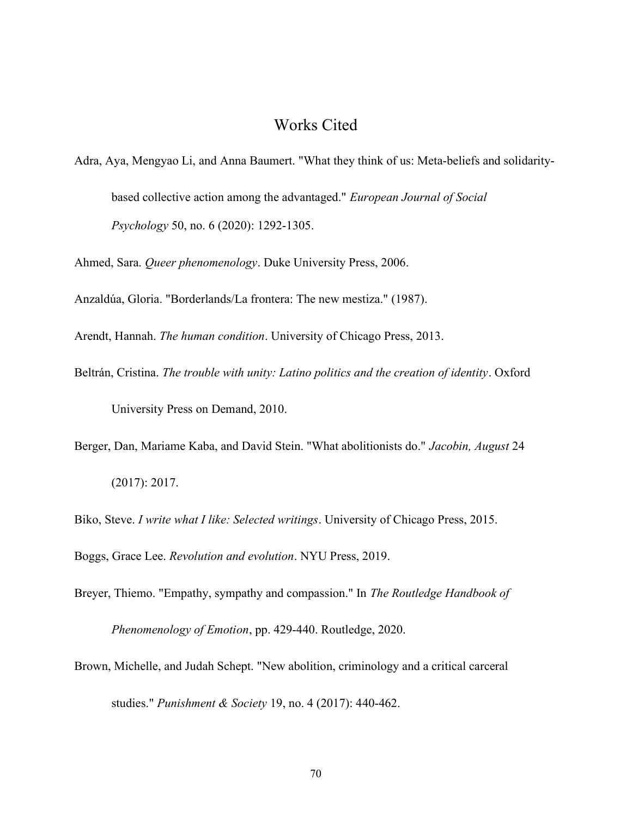## Works Cited

Adra, Aya, Mengyao Li, and Anna Baumert. "What they think of us: Meta-beliefs and solidaritybased collective action among the advantaged." European Journal of Social Psychology 50, no. 6 (2020): 1292-1305.

Ahmed, Sara. Queer phenomenology. Duke University Press, 2006.

Anzaldúa, Gloria. "Borderlands/La frontera: The new mestiza." (1987).

Arendt, Hannah. The human condition. University of Chicago Press, 2013.

- Beltrán, Cristina. The trouble with unity: Latino politics and the creation of identity. Oxford University Press on Demand, 2010.
- Berger, Dan, Mariame Kaba, and David Stein. "What abolitionists do." Jacobin, August 24 (2017): 2017.

Biko, Steve. I write what I like: Selected writings. University of Chicago Press, 2015.

Boggs, Grace Lee. Revolution and evolution. NYU Press, 2019.

Breyer, Thiemo. "Empathy, sympathy and compassion." In The Routledge Handbook of

Phenomenology of Emotion, pp. 429-440. Routledge, 2020.

Brown, Michelle, and Judah Schept. "New abolition, criminology and a critical carceral studies." Punishment & Society 19, no. 4 (2017): 440-462.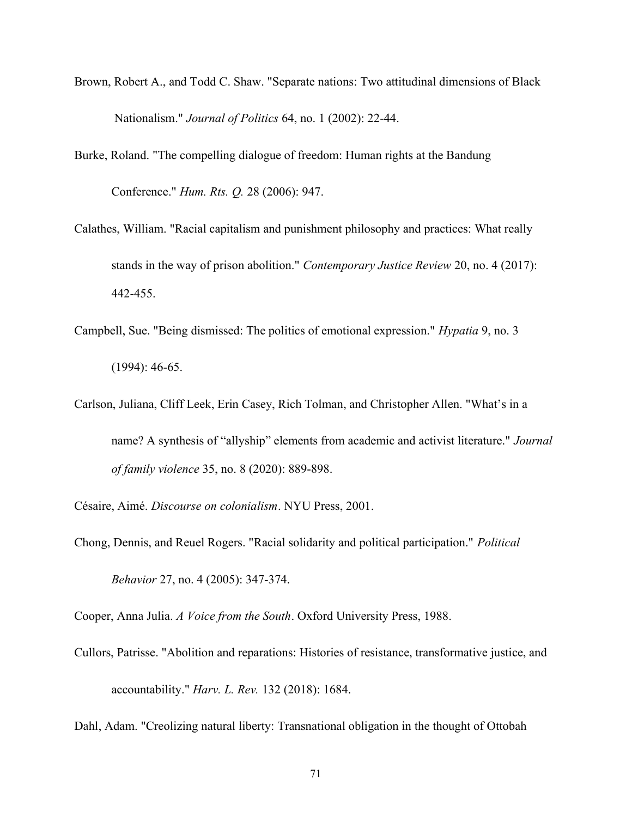- Brown, Robert A., and Todd C. Shaw. "Separate nations: Two attitudinal dimensions of Black Nationalism." Journal of Politics 64, no. 1 (2002): 22-44.
- Burke, Roland. "The compelling dialogue of freedom: Human rights at the Bandung Conference." Hum. Rts. Q. 28 (2006): 947.
- Calathes, William. "Racial capitalism and punishment philosophy and practices: What really stands in the way of prison abolition." Contemporary Justice Review 20, no. 4 (2017): 442-455.
- Campbell, Sue. "Being dismissed: The politics of emotional expression." Hypatia 9, no. 3 (1994): 46-65.
- Carlson, Juliana, Cliff Leek, Erin Casey, Rich Tolman, and Christopher Allen. "What's in a name? A synthesis of "allyship" elements from academic and activist literature." Journal of family violence 35, no. 8 (2020): 889-898.

Césaire, Aimé. Discourse on colonialism. NYU Press, 2001.

Chong, Dennis, and Reuel Rogers. "Racial solidarity and political participation." Political Behavior 27, no. 4 (2005): 347-374.

Cooper, Anna Julia. A Voice from the South. Oxford University Press, 1988.

Cullors, Patrisse. "Abolition and reparations: Histories of resistance, transformative justice, and accountability." Harv. L. Rev. 132 (2018): 1684.

Dahl, Adam. "Creolizing natural liberty: Transnational obligation in the thought of Ottobah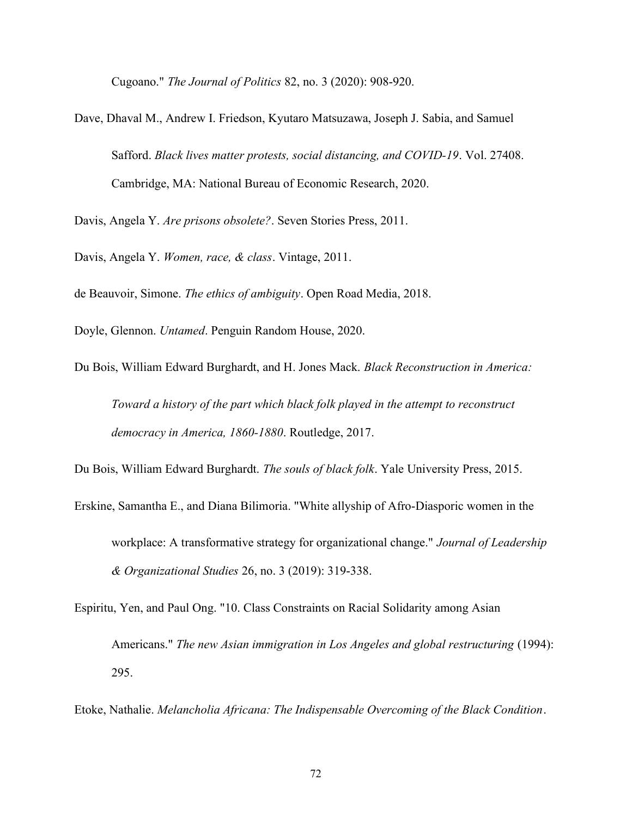Cugoano." The Journal of Politics 82, no. 3 (2020): 908-920.

Dave, Dhaval M., Andrew I. Friedson, Kyutaro Matsuzawa, Joseph J. Sabia, and Samuel Safford. Black lives matter protests, social distancing, and COVID-19. Vol. 27408. Cambridge, MA: National Bureau of Economic Research, 2020.

Davis, Angela Y. Are prisons obsolete?. Seven Stories Press, 2011.

Davis, Angela Y. Women, race, & class. Vintage, 2011.

de Beauvoir, Simone. The ethics of ambiguity. Open Road Media, 2018.

Doyle, Glennon. Untamed. Penguin Random House, 2020.

Du Bois, William Edward Burghardt, and H. Jones Mack. Black Reconstruction in America: Toward a history of the part which black folk played in the attempt to reconstruct democracy in America, 1860-1880. Routledge, 2017.

Du Bois, William Edward Burghardt. The souls of black folk. Yale University Press, 2015.

- Erskine, Samantha E., and Diana Bilimoria. "White allyship of Afro-Diasporic women in the workplace: A transformative strategy for organizational change." Journal of Leadership & Organizational Studies 26, no. 3 (2019): 319-338.
- Espiritu, Yen, and Paul Ong. "10. Class Constraints on Racial Solidarity among Asian Americans." The new Asian immigration in Los Angeles and global restructuring (1994): 295.

Etoke, Nathalie. Melancholia Africana: The Indispensable Overcoming of the Black Condition.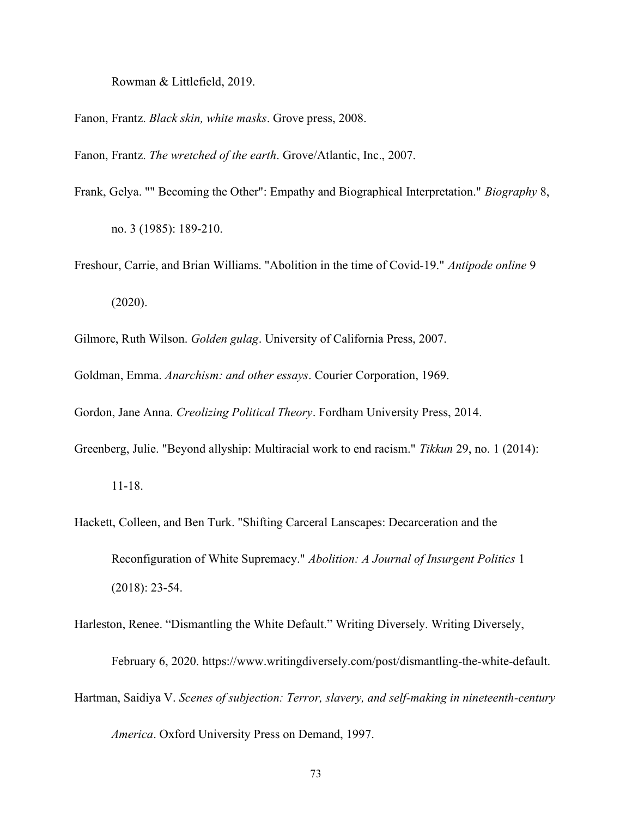Rowman & Littlefield, 2019.

Fanon, Frantz. Black skin, white masks. Grove press, 2008.

Fanon, Frantz. The wretched of the earth. Grove/Atlantic, Inc., 2007.

Frank, Gelya. "" Becoming the Other": Empathy and Biographical Interpretation." Biography 8,

no. 3 (1985): 189-210.

Freshour, Carrie, and Brian Williams. "Abolition in the time of Covid-19." Antipode online 9

(2020).

Gilmore, Ruth Wilson. Golden gulag. University of California Press, 2007.

Goldman, Emma. Anarchism: and other essays. Courier Corporation, 1969.

Gordon, Jane Anna. Creolizing Political Theory. Fordham University Press, 2014.

Greenberg, Julie. "Beyond allyship: Multiracial work to end racism." Tikkun 29, no. 1 (2014):

- Hackett, Colleen, and Ben Turk. "Shifting Carceral Lanscapes: Decarceration and the Reconfiguration of White Supremacy." Abolition: A Journal of Insurgent Politics 1 (2018): 23-54.
- Harleston, Renee. "Dismantling the White Default." Writing Diversely. Writing Diversely, February 6, 2020. https://www.writingdiversely.com/post/dismantling-the-white-default. Hartman, Saidiya V. Scenes of subjection: Terror, slavery, and self-making in nineteenth-century

America. Oxford University Press on Demand, 1997.

<sup>11-18.</sup>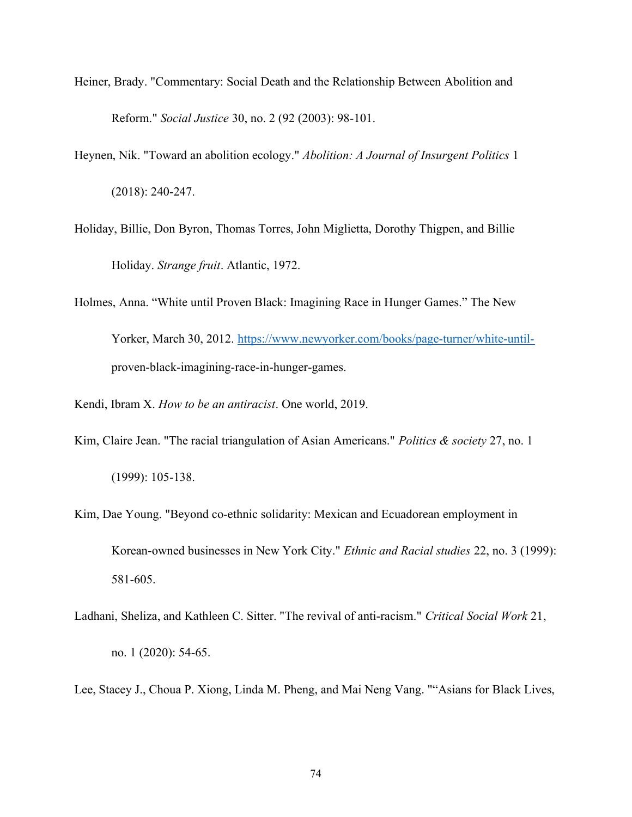- Heiner, Brady. "Commentary: Social Death and the Relationship Between Abolition and Reform." Social Justice 30, no. 2 (92 (2003): 98-101.
- Heynen, Nik. "Toward an abolition ecology." Abolition: A Journal of Insurgent Politics 1 (2018): 240-247.
- Holiday, Billie, Don Byron, Thomas Torres, John Miglietta, Dorothy Thigpen, and Billie Holiday. Strange fruit. Atlantic, 1972.
- Holmes, Anna. "White until Proven Black: Imagining Race in Hunger Games." The New Yorker, March 30, 2012. https://www.newyorker.com/books/page-turner/white-untilproven-black-imagining-race-in-hunger-games.
- Kendi, Ibram X. How to be an antiracist. One world, 2019.
- Kim, Claire Jean. "The racial triangulation of Asian Americans." Politics & society 27, no. 1 (1999): 105-138.
- Kim, Dae Young. "Beyond co-ethnic solidarity: Mexican and Ecuadorean employment in Korean-owned businesses in New York City." Ethnic and Racial studies 22, no. 3 (1999): 581-605.
- Ladhani, Sheliza, and Kathleen C. Sitter. "The revival of anti-racism." Critical Social Work 21, no. 1 (2020): 54-65.
- Lee, Stacey J., Choua P. Xiong, Linda M. Pheng, and Mai Neng Vang. ""Asians for Black Lives,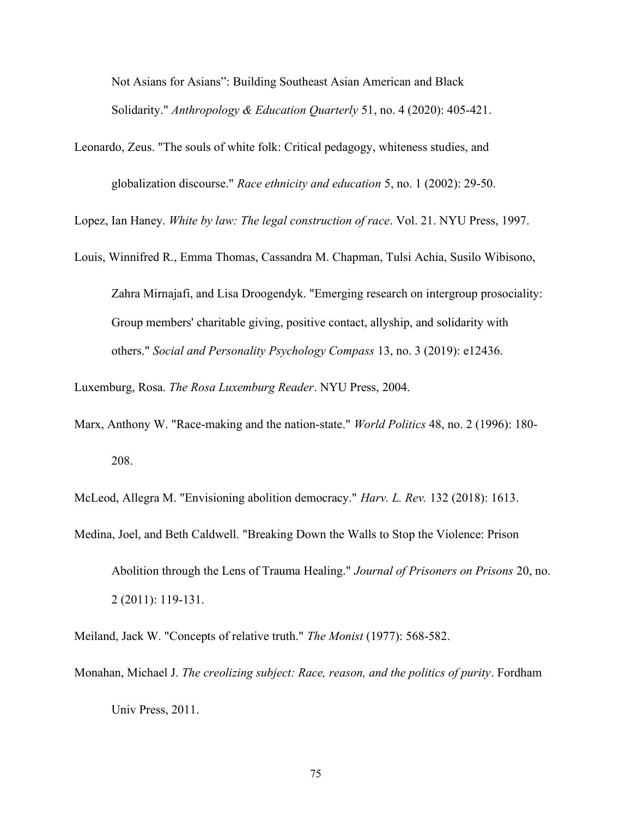Not Asians for Asians": Building Southeast Asian American and Black Solidarity." Anthropology & Education Quarterly 51, no. 4 (2020): 405-421.

Leonardo, Zeus. "The souls of white folk: Critical pedagogy, whiteness studies, and globalization discourse." Race ethnicity and education 5, no. 1 (2002): 29-50.

Lopez, Ian Haney. White by law: The legal construction of race. Vol. 21. NYU Press, 1997.

Louis, Winnifred R., Emma Thomas, Cassandra M. Chapman, Tulsi Achia, Susilo Wibisono,

Zahra Mirnajafi, and Lisa Droogendyk. "Emerging research on intergroup prosociality: Group members' charitable giving, positive contact, allyship, and solidarity with others." Social and Personality Psychology Compass 13, no. 3 (2019): e12436.

Luxemburg, Rosa. The Rosa Luxemburg Reader. NYU Press, 2004.

Marx, Anthony W. "Race-making and the nation-state." *World Politics* 48, no. 2 (1996): 180-208.

McLeod, Allegra M. "Envisioning abolition democracy." Harv. L. Rev. 132 (2018): 1613.

Medina, Joel, and Beth Caldwell. "Breaking Down the Walls to Stop the Violence: Prison

Meiland, Jack W. "Concepts of relative truth." The Monist (1977): 568-582.

Monahan, Michael J. The creolizing subject: Race, reason, and the politics of purity. Fordham Univ Press, 2011.

Abolition through the Lens of Trauma Healing." Journal of Prisoners on Prisons 20, no. 2 (2011): 119-131.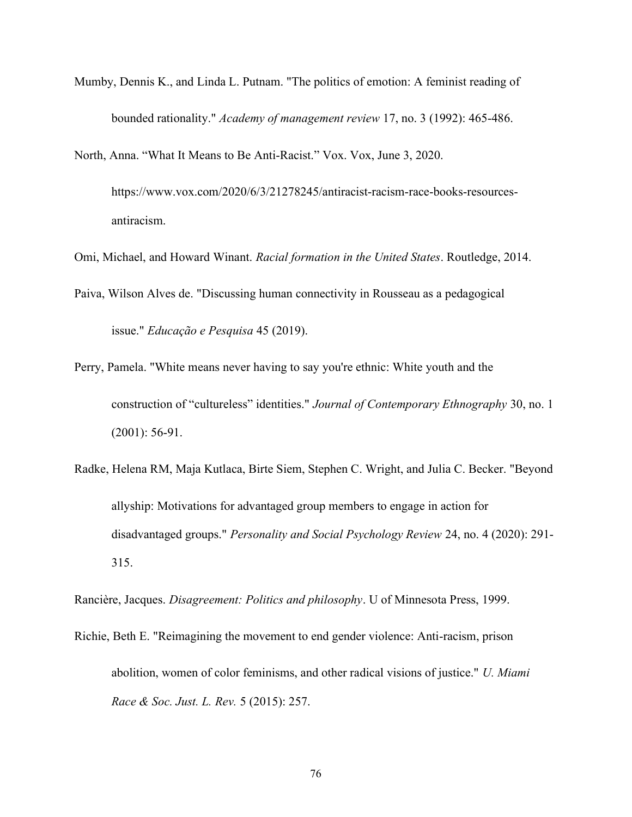- Mumby, Dennis K., and Linda L. Putnam. "The politics of emotion: A feminist reading of bounded rationality." *Academy of management review* 17, no. 3 (1992): 465-486.
- North, Anna. "What It Means to Be Anti-Racist." Vox. Vox, June 3, 2020. https://www.vox.com/2020/6/3/21278245/antiracist-racism-race-books-resourcesantiracism.
- Omi, Michael, and Howard Winant. Racial formation in the United States. Routledge, 2014.
- Paiva, Wilson Alves de. "Discussing human connectivity in Rousseau as a pedagogical issue." Educação e Pesquisa 45 (2019).
- Perry, Pamela. "White means never having to say you're ethnic: White youth and the construction of "cultureless" identities." Journal of Contemporary Ethnography 30, no. 1 (2001): 56-91.
- Radke, Helena RM, Maja Kutlaca, Birte Siem, Stephen C. Wright, and Julia C. Becker. "Beyond allyship: Motivations for advantaged group members to engage in action for disadvantaged groups." Personality and Social Psychology Review 24, no. 4 (2020): 291- 315.
- Rancière, Jacques. Disagreement: Politics and philosophy. U of Minnesota Press, 1999.
- Richie, Beth E. "Reimagining the movement to end gender violence: Anti-racism, prison abolition, women of color feminisms, and other radical visions of justice." U. Miami Race & Soc. Just. L. Rev. 5 (2015): 257.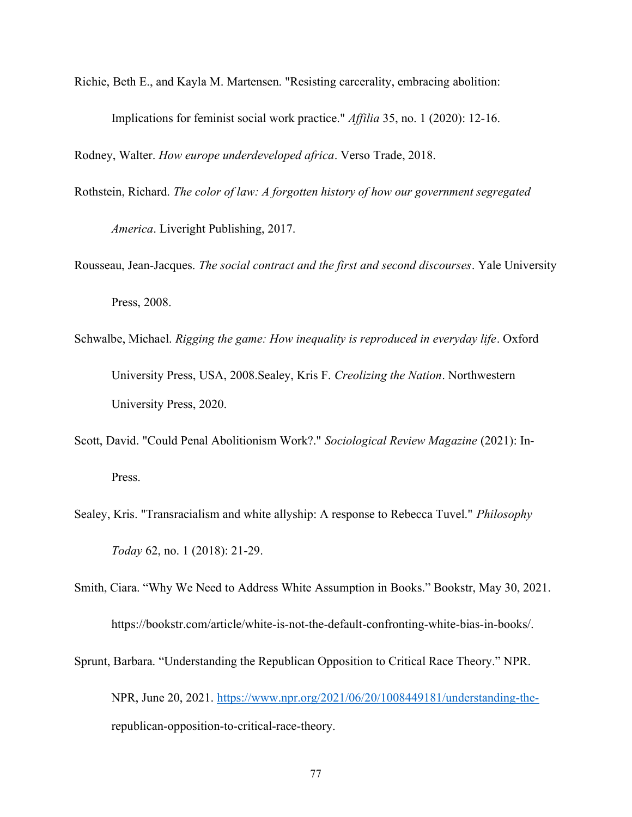Richie, Beth E., and Kayla M. Martensen. "Resisting carcerality, embracing abolition:

Implications for feminist social work practice." Affilia 35, no. 1 (2020): 12-16.

Rodney, Walter. How europe underdeveloped africa. Verso Trade, 2018.

Rothstein, Richard. The color of law: A forgotten history of how our government segregated

America. Liveright Publishing, 2017.

- Rousseau, Jean-Jacques. The social contract and the first and second discourses. Yale University Press, 2008.
- Schwalbe, Michael. Rigging the game: How inequality is reproduced in everyday life. Oxford University Press, USA, 2008.Sealey, Kris F. Creolizing the Nation. Northwestern University Press, 2020.
- Scott, David. "Could Penal Abolitionism Work?." Sociological Review Magazine (2021): In-Press.
- Sealey, Kris. "Transracialism and white allyship: A response to Rebecca Tuvel." Philosophy Today 62, no. 1 (2018): 21-29.
- Smith, Ciara. "Why We Need to Address White Assumption in Books." Bookstr, May 30, 2021. https://bookstr.com/article/white-is-not-the-default-confronting-white-bias-in-books/.
- Sprunt, Barbara. "Understanding the Republican Opposition to Critical Race Theory." NPR. NPR, June 20, 2021. https://www.npr.org/2021/06/20/1008449181/understanding-therepublican-opposition-to-critical-race-theory.